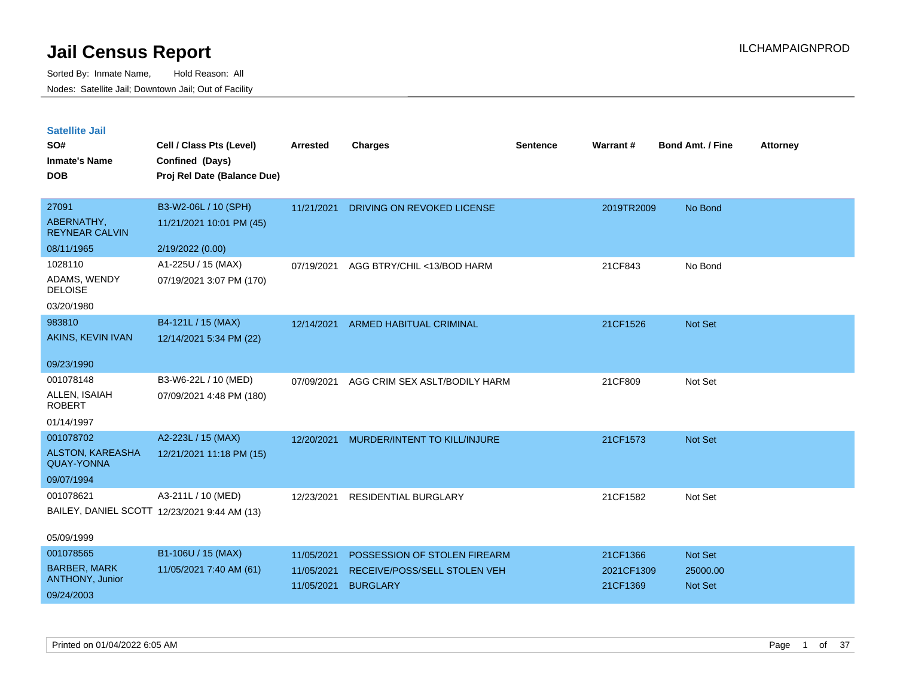| <b>Satellite Jail</b> |  |  |
|-----------------------|--|--|
|                       |  |  |

| SO#<br><b>Inmate's Name</b><br><b>DOB</b> | Cell / Class Pts (Level)<br>Confined (Days)<br>Proj Rel Date (Balance Due) | Arrested   | <b>Charges</b>                | <b>Sentence</b> | <b>Warrant#</b> | <b>Bond Amt. / Fine</b> | <b>Attorney</b> |
|-------------------------------------------|----------------------------------------------------------------------------|------------|-------------------------------|-----------------|-----------------|-------------------------|-----------------|
|                                           |                                                                            |            |                               |                 |                 |                         |                 |
| 27091                                     | B3-W2-06L / 10 (SPH)                                                       | 11/21/2021 | DRIVING ON REVOKED LICENSE    |                 | 2019TR2009      | No Bond                 |                 |
| ABERNATHY,<br><b>REYNEAR CALVIN</b>       | 11/21/2021 10:01 PM (45)                                                   |            |                               |                 |                 |                         |                 |
| 08/11/1965                                | 2/19/2022 (0.00)                                                           |            |                               |                 |                 |                         |                 |
| 1028110                                   | A1-225U / 15 (MAX)                                                         | 07/19/2021 | AGG BTRY/CHIL <13/BOD HARM    |                 | 21CF843         | No Bond                 |                 |
| ADAMS, WENDY<br><b>DELOISE</b>            | 07/19/2021 3:07 PM (170)                                                   |            |                               |                 |                 |                         |                 |
| 03/20/1980                                |                                                                            |            |                               |                 |                 |                         |                 |
| 983810                                    | B4-121L / 15 (MAX)                                                         | 12/14/2021 | ARMED HABITUAL CRIMINAL       |                 | 21CF1526        | Not Set                 |                 |
| AKINS, KEVIN IVAN                         | 12/14/2021 5:34 PM (22)                                                    |            |                               |                 |                 |                         |                 |
| 09/23/1990                                |                                                                            |            |                               |                 |                 |                         |                 |
| 001078148                                 | B3-W6-22L / 10 (MED)                                                       | 07/09/2021 | AGG CRIM SEX ASLT/BODILY HARM |                 | 21CF809         | Not Set                 |                 |
| ALLEN, ISAIAH<br><b>ROBERT</b>            | 07/09/2021 4:48 PM (180)                                                   |            |                               |                 |                 |                         |                 |
| 01/14/1997                                |                                                                            |            |                               |                 |                 |                         |                 |
| 001078702                                 | A2-223L / 15 (MAX)                                                         | 12/20/2021 | MURDER/INTENT TO KILL/INJURE  |                 | 21CF1573        | Not Set                 |                 |
| ALSTON, KAREASHA<br><b>QUAY-YONNA</b>     | 12/21/2021 11:18 PM (15)                                                   |            |                               |                 |                 |                         |                 |
| 09/07/1994                                |                                                                            |            |                               |                 |                 |                         |                 |
| 001078621                                 | A3-211L / 10 (MED)                                                         | 12/23/2021 | RESIDENTIAL BURGLARY          |                 | 21CF1582        | Not Set                 |                 |
|                                           | BAILEY, DANIEL SCOTT 12/23/2021 9:44 AM (13)                               |            |                               |                 |                 |                         |                 |
| 05/09/1999                                |                                                                            |            |                               |                 |                 |                         |                 |
| 001078565                                 | B1-106U / 15 (MAX)                                                         | 11/05/2021 | POSSESSION OF STOLEN FIREARM  |                 | 21CF1366        | Not Set                 |                 |
| <b>BARBER, MARK</b>                       | 11/05/2021 7:40 AM (61)                                                    | 11/05/2021 | RECEIVE/POSS/SELL STOLEN VEH  |                 | 2021CF1309      | 25000.00                |                 |
| ANTHONY, Junior                           |                                                                            | 11/05/2021 | <b>BURGLARY</b>               |                 | 21CF1369        | Not Set                 |                 |
| 09/24/2003                                |                                                                            |            |                               |                 |                 |                         |                 |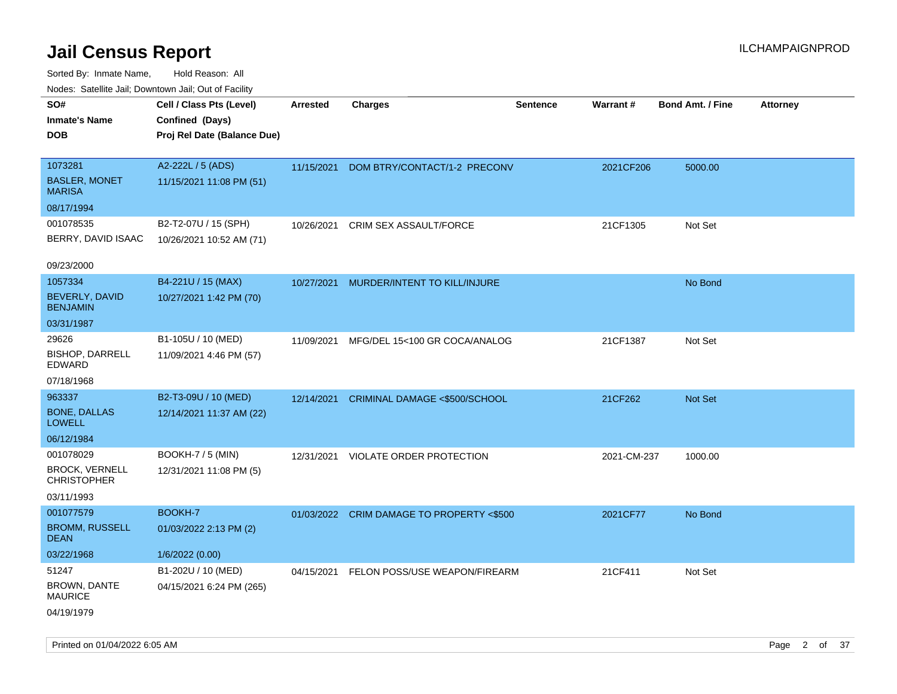| rouco. Calcinic Jan, Downtown Jan, Out of Facility |                                                                            |                 |                                           |                 |             |                         |                 |
|----------------------------------------------------|----------------------------------------------------------------------------|-----------------|-------------------------------------------|-----------------|-------------|-------------------------|-----------------|
| SO#<br>Inmate's Name<br>DOB                        | Cell / Class Pts (Level)<br>Confined (Days)<br>Proj Rel Date (Balance Due) | <b>Arrested</b> | <b>Charges</b>                            | <b>Sentence</b> | Warrant#    | <b>Bond Amt. / Fine</b> | <b>Attorney</b> |
|                                                    |                                                                            |                 |                                           |                 |             |                         |                 |
| 1073281<br><b>BASLER, MONET</b>                    | A2-222L / 5 (ADS)<br>11/15/2021 11:08 PM (51)                              | 11/15/2021      | DOM BTRY/CONTACT/1-2 PRECONV              |                 | 2021CF206   | 5000.00                 |                 |
| MARISA                                             |                                                                            |                 |                                           |                 |             |                         |                 |
| 08/17/1994                                         |                                                                            |                 |                                           |                 |             |                         |                 |
| 001078535                                          | B2-T2-07U / 15 (SPH)                                                       | 10/26/2021      | CRIM SEX ASSAULT/FORCE                    |                 | 21CF1305    | Not Set                 |                 |
| BERRY, DAVID ISAAC                                 | 10/26/2021 10:52 AM (71)                                                   |                 |                                           |                 |             |                         |                 |
| 09/23/2000                                         |                                                                            |                 |                                           |                 |             |                         |                 |
| 1057334                                            | B4-221U / 15 (MAX)                                                         | 10/27/2021      | MURDER/INTENT TO KILL/INJURE              |                 |             | No Bond                 |                 |
| BEVERLY, DAVID<br><b>BENJAMIN</b>                  | 10/27/2021 1:42 PM (70)                                                    |                 |                                           |                 |             |                         |                 |
| 03/31/1987                                         |                                                                            |                 |                                           |                 |             |                         |                 |
| 29626                                              | B1-105U / 10 (MED)                                                         | 11/09/2021      | MFG/DEL 15<100 GR COCA/ANALOG             |                 | 21CF1387    | Not Set                 |                 |
| <b>BISHOP, DARRELL</b><br>EDWARD                   | 11/09/2021 4:46 PM (57)                                                    |                 |                                           |                 |             |                         |                 |
| 07/18/1968                                         |                                                                            |                 |                                           |                 |             |                         |                 |
| 963337                                             | B2-T3-09U / 10 (MED)                                                       | 12/14/2021      | CRIMINAL DAMAGE <\$500/SCHOOL             |                 | 21CF262     | <b>Not Set</b>          |                 |
| <b>BONE, DALLAS</b><br>LOWELL                      | 12/14/2021 11:37 AM (22)                                                   |                 |                                           |                 |             |                         |                 |
| 06/12/1984                                         |                                                                            |                 |                                           |                 |             |                         |                 |
| 001078029                                          | <b>BOOKH-7 / 5 (MIN)</b>                                                   |                 | 12/31/2021 VIOLATE ORDER PROTECTION       |                 | 2021-CM-237 | 1000.00                 |                 |
| <b>BROCK, VERNELL</b><br>CHRISTOPHER               | 12/31/2021 11:08 PM (5)                                                    |                 |                                           |                 |             |                         |                 |
| 03/11/1993                                         |                                                                            |                 |                                           |                 |             |                         |                 |
| 001077579                                          | BOOKH-7                                                                    |                 | 01/03/2022 CRIM DAMAGE TO PROPERTY <\$500 |                 | 2021CF77    | No Bond                 |                 |
| <b>BROMM, RUSSELL</b><br>DEAN                      | 01/03/2022 2:13 PM (2)                                                     |                 |                                           |                 |             |                         |                 |
| 03/22/1968                                         | 1/6/2022 (0.00)                                                            |                 |                                           |                 |             |                         |                 |
| 51247                                              | B1-202U / 10 (MED)                                                         | 04/15/2021      | FELON POSS/USE WEAPON/FIREARM             |                 | 21CF411     | Not Set                 |                 |
| <b>BROWN, DANTE</b><br><b>MAURICE</b>              | 04/15/2021 6:24 PM (265)                                                   |                 |                                           |                 |             |                         |                 |
| 04/19/1979                                         |                                                                            |                 |                                           |                 |             |                         |                 |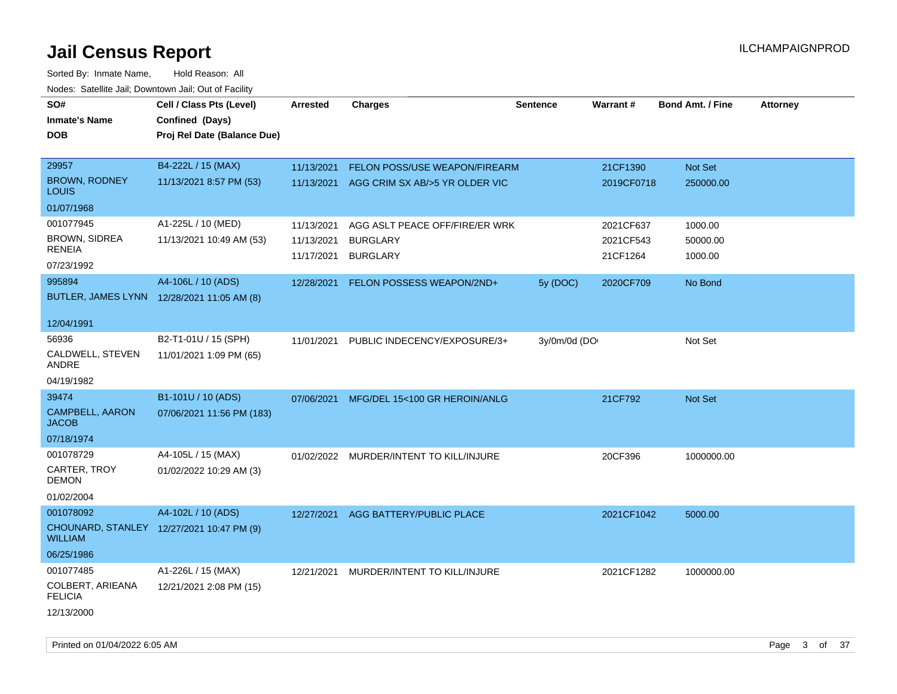| roaco. Catolino dall, Downtown dall, Out of Fability        |                             |                 |                                           |                 |            |                         |                 |
|-------------------------------------------------------------|-----------------------------|-----------------|-------------------------------------------|-----------------|------------|-------------------------|-----------------|
| SO#                                                         | Cell / Class Pts (Level)    | <b>Arrested</b> | <b>Charges</b>                            | <b>Sentence</b> | Warrant#   | <b>Bond Amt. / Fine</b> | <b>Attorney</b> |
| <b>Inmate's Name</b>                                        | Confined (Days)             |                 |                                           |                 |            |                         |                 |
| <b>DOB</b>                                                  | Proj Rel Date (Balance Due) |                 |                                           |                 |            |                         |                 |
|                                                             |                             |                 |                                           |                 |            |                         |                 |
| 29957                                                       | B4-222L / 15 (MAX)          | 11/13/2021      | FELON POSS/USE WEAPON/FIREARM             |                 | 21CF1390   | Not Set                 |                 |
| <b>BROWN, RODNEY</b><br>LOUIS                               | 11/13/2021 8:57 PM (53)     |                 | 11/13/2021 AGG CRIM SX AB/>5 YR OLDER VIC |                 | 2019CF0718 | 250000.00               |                 |
| 01/07/1968                                                  |                             |                 |                                           |                 |            |                         |                 |
| 001077945                                                   | A1-225L / 10 (MED)          | 11/13/2021      | AGG ASLT PEACE OFF/FIRE/ER WRK            |                 | 2021CF637  | 1000.00                 |                 |
| <b>BROWN, SIDREA</b>                                        | 11/13/2021 10:49 AM (53)    | 11/13/2021      | <b>BURGLARY</b>                           |                 | 2021CF543  | 50000.00                |                 |
| RENEIA                                                      |                             | 11/17/2021      | <b>BURGLARY</b>                           |                 | 21CF1264   | 1000.00                 |                 |
| 07/23/1992                                                  |                             |                 |                                           |                 |            |                         |                 |
| 995894                                                      | A4-106L / 10 (ADS)          |                 | 12/28/2021 FELON POSSESS WEAPON/2ND+      | 5y (DOC)        | 2020CF709  | No Bond                 |                 |
| BUTLER, JAMES LYNN 12/28/2021 11:05 AM (8)                  |                             |                 |                                           |                 |            |                         |                 |
|                                                             |                             |                 |                                           |                 |            |                         |                 |
| 12/04/1991                                                  |                             |                 |                                           |                 |            |                         |                 |
| 56936                                                       | B2-T1-01U / 15 (SPH)        | 11/01/2021      | PUBLIC INDECENCY/EXPOSURE/3+              | 3y/0m/0d (DO    |            | Not Set                 |                 |
| CALDWELL, STEVEN<br>ANDRE                                   | 11/01/2021 1:09 PM (65)     |                 |                                           |                 |            |                         |                 |
| 04/19/1982                                                  |                             |                 |                                           |                 |            |                         |                 |
| 39474                                                       | B1-101U / 10 (ADS)          | 07/06/2021      | MFG/DEL 15<100 GR HEROIN/ANLG             |                 | 21CF792    | Not Set                 |                 |
| <b>CAMPBELL, AARON</b><br><b>JACOB</b>                      | 07/06/2021 11:56 PM (183)   |                 |                                           |                 |            |                         |                 |
| 07/18/1974                                                  |                             |                 |                                           |                 |            |                         |                 |
| 001078729                                                   | A4-105L / 15 (MAX)          |                 | 01/02/2022 MURDER/INTENT TO KILL/INJURE   |                 | 20CF396    | 1000000.00              |                 |
| CARTER, TROY<br><b>DEMON</b>                                | 01/02/2022 10:29 AM (3)     |                 |                                           |                 |            |                         |                 |
| 01/02/2004                                                  |                             |                 |                                           |                 |            |                         |                 |
| 001078092                                                   | A4-102L / 10 (ADS)          | 12/27/2021      | AGG BATTERY/PUBLIC PLACE                  |                 | 2021CF1042 | 5000.00                 |                 |
| CHOUNARD, STANLEY 12/27/2021 10:47 PM (9)<br><b>WILLIAM</b> |                             |                 |                                           |                 |            |                         |                 |
| 06/25/1986                                                  |                             |                 |                                           |                 |            |                         |                 |
| 001077485                                                   | A1-226L / 15 (MAX)          | 12/21/2021      | MURDER/INTENT TO KILL/INJURE              |                 | 2021CF1282 | 1000000.00              |                 |
| COLBERT, ARIEANA<br><b>FELICIA</b>                          | 12/21/2021 2:08 PM (15)     |                 |                                           |                 |            |                         |                 |
| 12/13/2000                                                  |                             |                 |                                           |                 |            |                         |                 |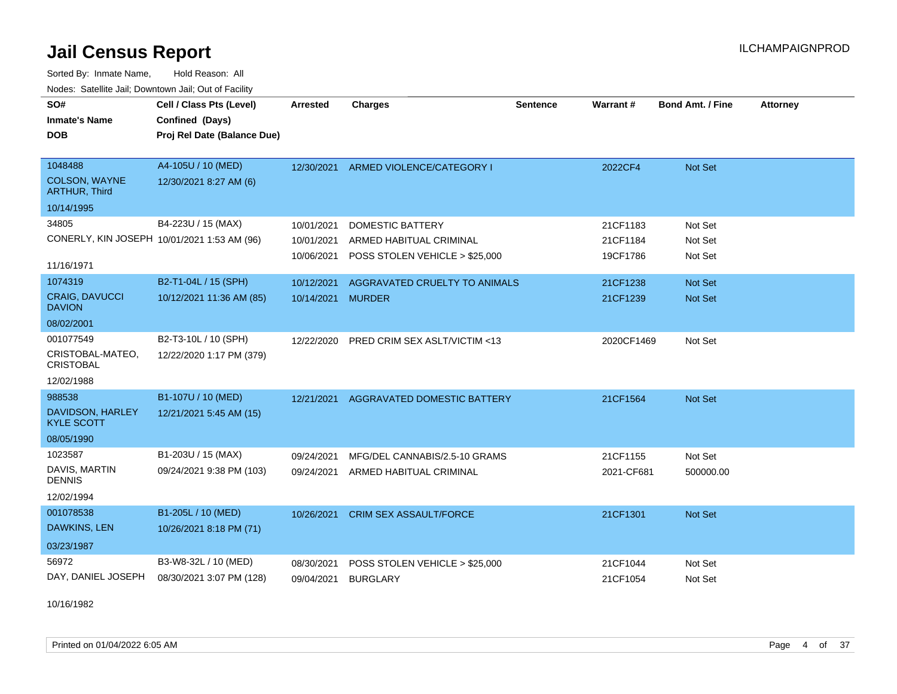Sorted By: Inmate Name, Hold Reason: All Nodes: Satellite Jail; Downtown Jail; Out of Facility

| SO#<br><b>Inmate's Name</b>                                           | Cell / Class Pts (Level)<br>Confined (Days)      | <b>Arrested</b>                        | <b>Charges</b>                                                                       | <b>Sentence</b> | Warrant#                         | <b>Bond Amt. / Fine</b>       | <b>Attorney</b> |
|-----------------------------------------------------------------------|--------------------------------------------------|----------------------------------------|--------------------------------------------------------------------------------------|-----------------|----------------------------------|-------------------------------|-----------------|
| <b>DOB</b>                                                            | Proj Rel Date (Balance Due)                      |                                        |                                                                                      |                 |                                  |                               |                 |
| 1048488<br><b>COLSON, WAYNE</b><br><b>ARTHUR, Third</b><br>10/14/1995 | A4-105U / 10 (MED)<br>12/30/2021 8:27 AM (6)     |                                        | 12/30/2021 ARMED VIOLENCE/CATEGORY I                                                 |                 | 2022CF4                          | Not Set                       |                 |
| 34805<br>CONERLY, KIN JOSEPH 10/01/2021 1:53 AM (96)<br>11/16/1971    | B4-223U / 15 (MAX)                               | 10/01/2021<br>10/01/2021<br>10/06/2021 | <b>DOMESTIC BATTERY</b><br>ARMED HABITUAL CRIMINAL<br>POSS STOLEN VEHICLE > \$25,000 |                 | 21CF1183<br>21CF1184<br>19CF1786 | Not Set<br>Not Set<br>Not Set |                 |
| 1074319<br><b>CRAIG, DAVUCCI</b><br><b>DAVION</b><br>08/02/2001       | B2-T1-04L / 15 (SPH)<br>10/12/2021 11:36 AM (85) | 10/12/2021<br>10/14/2021               | AGGRAVATED CRUELTY TO ANIMALS<br><b>MURDER</b>                                       |                 | 21CF1238<br>21CF1239             | Not Set<br>Not Set            |                 |
| 001077549<br>CRISTOBAL-MATEO,<br><b>CRISTOBAL</b><br>12/02/1988       | B2-T3-10L / 10 (SPH)<br>12/22/2020 1:17 PM (379) | 12/22/2020                             | PRED CRIM SEX ASLT/VICTIM <13                                                        |                 | 2020CF1469                       | Not Set                       |                 |
| 988538<br>DAVIDSON, HARLEY<br><b>KYLE SCOTT</b><br>08/05/1990         | B1-107U / 10 (MED)<br>12/21/2021 5:45 AM (15)    | 12/21/2021                             | AGGRAVATED DOMESTIC BATTERY                                                          |                 | 21CF1564                         | Not Set                       |                 |
| 1023587<br>DAVIS, MARTIN<br><b>DENNIS</b><br>12/02/1994               | B1-203U / 15 (MAX)<br>09/24/2021 9:38 PM (103)   | 09/24/2021<br>09/24/2021               | MFG/DEL CANNABIS/2.5-10 GRAMS<br>ARMED HABITUAL CRIMINAL                             |                 | 21CF1155<br>2021-CF681           | Not Set<br>500000.00          |                 |
| 001078538<br>DAWKINS, LEN<br>03/23/1987                               | B1-205L / 10 (MED)<br>10/26/2021 8:18 PM (71)    | 10/26/2021                             | <b>CRIM SEX ASSAULT/FORCE</b>                                                        |                 | 21CF1301                         | Not Set                       |                 |
| 56972<br>DAY, DANIEL JOSEPH                                           | B3-W8-32L / 10 (MED)<br>08/30/2021 3:07 PM (128) | 08/30/2021<br>09/04/2021               | POSS STOLEN VEHICLE > \$25,000<br><b>BURGLARY</b>                                    |                 | 21CF1044<br>21CF1054             | Not Set<br>Not Set            |                 |

10/16/1982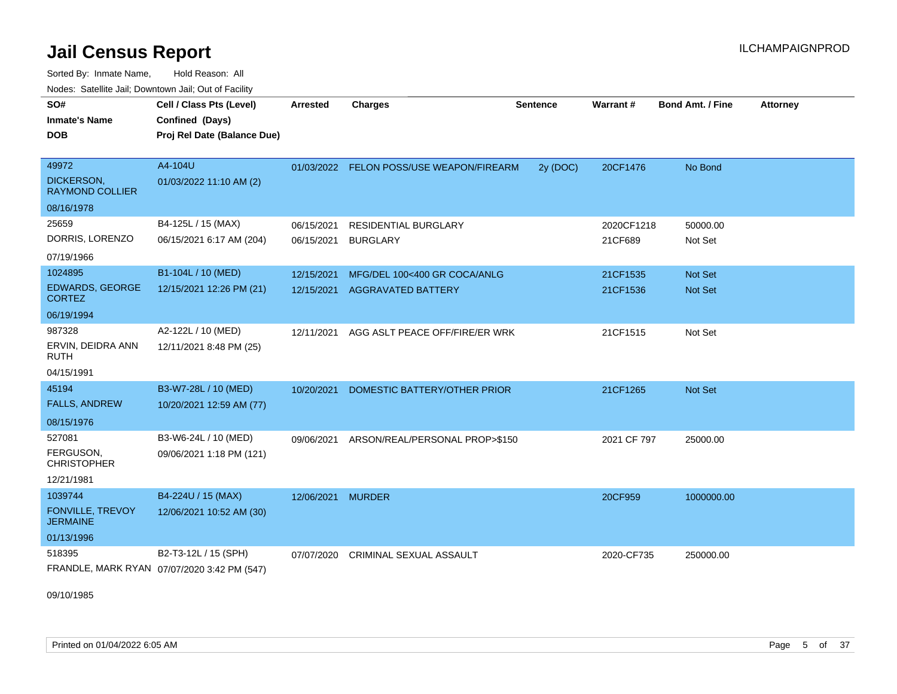Sorted By: Inmate Name, Hold Reason: All Nodes: Satellite Jail; Downtown Jail; Out of Facility

| SO#<br><b>Inmate's Name</b><br><b>DOB</b>     | Cell / Class Pts (Level)<br>Confined (Days)<br>Proj Rel Date (Balance Due) | <b>Arrested</b> | <b>Charges</b>                           | <b>Sentence</b> | Warrant#    | <b>Bond Amt. / Fine</b> | <b>Attorney</b> |
|-----------------------------------------------|----------------------------------------------------------------------------|-----------------|------------------------------------------|-----------------|-------------|-------------------------|-----------------|
| 49972<br>DICKERSON,<br><b>RAYMOND COLLIER</b> | A4-104U<br>01/03/2022 11:10 AM (2)                                         |                 | 01/03/2022 FELON POSS/USE WEAPON/FIREARM | 2y (DOC)        | 20CF1476    | No Bond                 |                 |
| 08/16/1978                                    |                                                                            |                 |                                          |                 |             |                         |                 |
| 25659                                         | B4-125L / 15 (MAX)                                                         | 06/15/2021      | <b>RESIDENTIAL BURGLARY</b>              |                 | 2020CF1218  | 50000.00                |                 |
| DORRIS, LORENZO                               | 06/15/2021 6:17 AM (204)                                                   | 06/15/2021      | <b>BURGLARY</b>                          |                 | 21CF689     | Not Set                 |                 |
| 07/19/1966                                    |                                                                            |                 |                                          |                 |             |                         |                 |
| 1024895                                       | B1-104L / 10 (MED)                                                         | 12/15/2021      | MFG/DEL 100<400 GR COCA/ANLG             |                 | 21CF1535    | <b>Not Set</b>          |                 |
| <b>EDWARDS, GEORGE</b><br><b>CORTEZ</b>       | 12/15/2021 12:26 PM (21)                                                   | 12/15/2021      | <b>AGGRAVATED BATTERY</b>                |                 | 21CF1536    | Not Set                 |                 |
| 06/19/1994                                    |                                                                            |                 |                                          |                 |             |                         |                 |
| 987328                                        | A2-122L / 10 (MED)                                                         | 12/11/2021      | AGG ASLT PEACE OFF/FIRE/ER WRK           |                 | 21CF1515    | Not Set                 |                 |
| ERVIN, DEIDRA ANN<br>RUTH                     | 12/11/2021 8:48 PM (25)                                                    |                 |                                          |                 |             |                         |                 |
| 04/15/1991                                    |                                                                            |                 |                                          |                 |             |                         |                 |
| 45194                                         | B3-W7-28L / 10 (MED)                                                       | 10/20/2021      | DOMESTIC BATTERY/OTHER PRIOR             |                 | 21CF1265    | Not Set                 |                 |
| <b>FALLS, ANDREW</b>                          | 10/20/2021 12:59 AM (77)                                                   |                 |                                          |                 |             |                         |                 |
| 08/15/1976                                    |                                                                            |                 |                                          |                 |             |                         |                 |
| 527081                                        | B3-W6-24L / 10 (MED)                                                       | 09/06/2021      | ARSON/REAL/PERSONAL PROP>\$150           |                 | 2021 CF 797 | 25000.00                |                 |
| FERGUSON,<br><b>CHRISTOPHER</b>               | 09/06/2021 1:18 PM (121)                                                   |                 |                                          |                 |             |                         |                 |
| 12/21/1981                                    |                                                                            |                 |                                          |                 |             |                         |                 |
| 1039744                                       | B4-224U / 15 (MAX)                                                         | 12/06/2021      | <b>MURDER</b>                            |                 | 20CF959     | 1000000.00              |                 |
| <b>FONVILLE, TREVOY</b><br><b>JERMAINE</b>    | 12/06/2021 10:52 AM (30)                                                   |                 |                                          |                 |             |                         |                 |
| 01/13/1996                                    |                                                                            |                 |                                          |                 |             |                         |                 |
| 518395                                        | B2-T3-12L / 15 (SPH)                                                       | 07/07/2020      | <b>CRIMINAL SEXUAL ASSAULT</b>           |                 | 2020-CF735  | 250000.00               |                 |
|                                               | FRANDLE, MARK RYAN 07/07/2020 3:42 PM (547)                                |                 |                                          |                 |             |                         |                 |

09/10/1985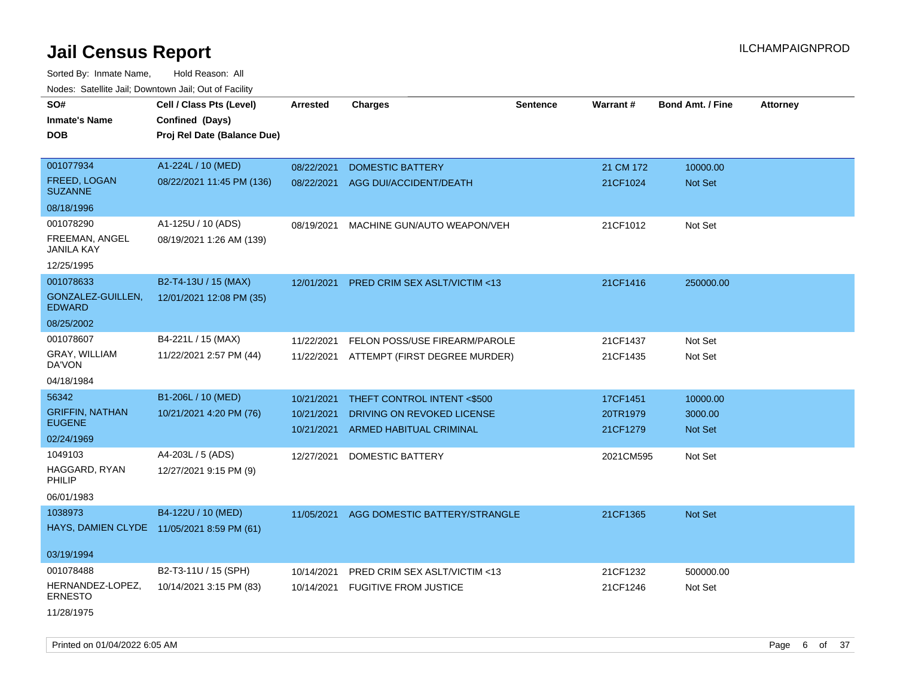| roaco. Catolino cali, Domntonn cali, Out of Facility |                                            |            |                                |                 |           |                         |                 |
|------------------------------------------------------|--------------------------------------------|------------|--------------------------------|-----------------|-----------|-------------------------|-----------------|
| SO#                                                  | Cell / Class Pts (Level)                   | Arrested   | <b>Charges</b>                 | <b>Sentence</b> | Warrant#  | <b>Bond Amt. / Fine</b> | <b>Attorney</b> |
| <b>Inmate's Name</b>                                 | Confined (Days)                            |            |                                |                 |           |                         |                 |
| <b>DOB</b>                                           | Proj Rel Date (Balance Due)                |            |                                |                 |           |                         |                 |
|                                                      |                                            |            |                                |                 |           |                         |                 |
| 001077934                                            | A1-224L / 10 (MED)                         | 08/22/2021 | <b>DOMESTIC BATTERY</b>        |                 | 21 CM 172 | 10000.00                |                 |
| FREED, LOGAN<br><b>SUZANNE</b>                       | 08/22/2021 11:45 PM (136)                  | 08/22/2021 | AGG DUI/ACCIDENT/DEATH         |                 | 21CF1024  | Not Set                 |                 |
| 08/18/1996                                           |                                            |            |                                |                 |           |                         |                 |
| 001078290                                            | A1-125U / 10 (ADS)                         | 08/19/2021 | MACHINE GUN/AUTO WEAPON/VEH    |                 | 21CF1012  | Not Set                 |                 |
| FREEMAN, ANGEL<br><b>JANILA KAY</b>                  | 08/19/2021 1:26 AM (139)                   |            |                                |                 |           |                         |                 |
| 12/25/1995                                           |                                            |            |                                |                 |           |                         |                 |
| 001078633                                            | B2-T4-13U / 15 (MAX)                       | 12/01/2021 | PRED CRIM SEX ASLT/VICTIM <13  |                 | 21CF1416  | 250000.00               |                 |
| GONZALEZ-GUILLEN,<br><b>EDWARD</b>                   | 12/01/2021 12:08 PM (35)                   |            |                                |                 |           |                         |                 |
| 08/25/2002                                           |                                            |            |                                |                 |           |                         |                 |
| 001078607                                            | B4-221L / 15 (MAX)                         | 11/22/2021 | FELON POSS/USE FIREARM/PAROLE  |                 | 21CF1437  | Not Set                 |                 |
| GRAY, WILLIAM<br>DA'VON                              | 11/22/2021 2:57 PM (44)                    | 11/22/2021 | ATTEMPT (FIRST DEGREE MURDER)  |                 | 21CF1435  | Not Set                 |                 |
| 04/18/1984                                           |                                            |            |                                |                 |           |                         |                 |
| 56342                                                | B1-206L / 10 (MED)                         | 10/21/2021 | THEFT CONTROL INTENT <\$500    |                 | 17CF1451  | 10000.00                |                 |
| <b>GRIFFIN, NATHAN</b>                               | 10/21/2021 4:20 PM (76)                    | 10/21/2021 | DRIVING ON REVOKED LICENSE     |                 | 20TR1979  | 3000.00                 |                 |
| <b>EUGENE</b>                                        |                                            | 10/21/2021 | <b>ARMED HABITUAL CRIMINAL</b> |                 | 21CF1279  | <b>Not Set</b>          |                 |
| 02/24/1969                                           |                                            |            |                                |                 |           |                         |                 |
| 1049103                                              | A4-203L / 5 (ADS)                          | 12/27/2021 | DOMESTIC BATTERY               |                 | 2021CM595 | Not Set                 |                 |
| HAGGARD, RYAN<br>PHILIP                              | 12/27/2021 9:15 PM (9)                     |            |                                |                 |           |                         |                 |
| 06/01/1983                                           |                                            |            |                                |                 |           |                         |                 |
| 1038973                                              | B4-122U / 10 (MED)                         | 11/05/2021 | AGG DOMESTIC BATTERY/STRANGLE  |                 | 21CF1365  | Not Set                 |                 |
|                                                      | HAYS, DAMIEN CLYDE 11/05/2021 8:59 PM (61) |            |                                |                 |           |                         |                 |
| 03/19/1994                                           |                                            |            |                                |                 |           |                         |                 |
| 001078488                                            | B2-T3-11U / 15 (SPH)                       | 10/14/2021 | PRED CRIM SEX ASLT/VICTIM <13  |                 | 21CF1232  | 500000.00               |                 |
| HERNANDEZ-LOPEZ,<br><b>ERNESTO</b>                   | 10/14/2021 3:15 PM (83)                    | 10/14/2021 | <b>FUGITIVE FROM JUSTICE</b>   |                 | 21CF1246  | Not Set                 |                 |
| 11/28/1975                                           |                                            |            |                                |                 |           |                         |                 |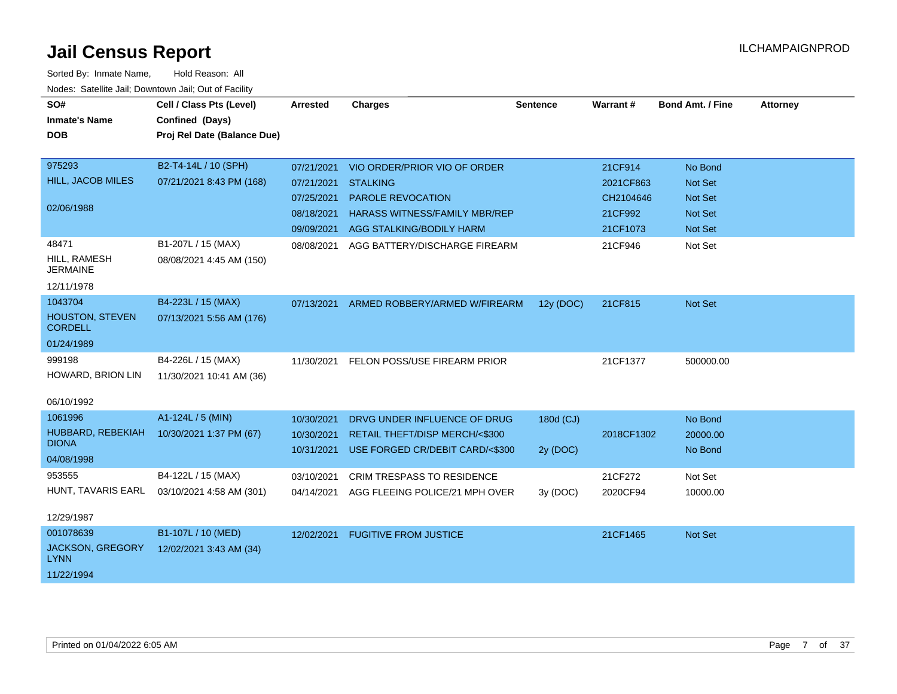| SO#<br><b>Inmate's Name</b><br><b>DOB</b>                         | Cell / Class Pts (Level)<br>Confined (Days)<br>Proj Rel Date (Balance Due) | <b>Arrested</b>                                      | <b>Charges</b>                                                                                                                                             | <b>Sentence</b>       | Warrant#                                                 | <b>Bond Amt. / Fine</b>                                    | <b>Attorney</b> |
|-------------------------------------------------------------------|----------------------------------------------------------------------------|------------------------------------------------------|------------------------------------------------------------------------------------------------------------------------------------------------------------|-----------------------|----------------------------------------------------------|------------------------------------------------------------|-----------------|
| 975293<br>HILL, JACOB MILES<br>02/06/1988                         | B2-T4-14L / 10 (SPH)<br>07/21/2021 8:43 PM (168)                           | 07/21/2021<br>07/21/2021<br>07/25/2021<br>08/18/2021 | VIO ORDER/PRIOR VIO OF ORDER<br><b>STALKING</b><br><b>PAROLE REVOCATION</b><br><b>HARASS WITNESS/FAMILY MBR/REP</b><br>09/09/2021 AGG STALKING/BODILY HARM |                       | 21CF914<br>2021CF863<br>CH2104646<br>21CF992<br>21CF1073 | No Bond<br>Not Set<br><b>Not Set</b><br>Not Set<br>Not Set |                 |
| 48471<br>HILL, RAMESH<br><b>JERMAINE</b><br>12/11/1978            | B1-207L / 15 (MAX)<br>08/08/2021 4:45 AM (150)                             | 08/08/2021                                           | AGG BATTERY/DISCHARGE FIREARM                                                                                                                              |                       | 21CF946                                                  | Not Set                                                    |                 |
| 1043704<br><b>HOUSTON, STEVEN</b><br><b>CORDELL</b><br>01/24/1989 | B4-223L / 15 (MAX)<br>07/13/2021 5:56 AM (176)                             | 07/13/2021                                           | ARMED ROBBERY/ARMED W/FIREARM                                                                                                                              | 12y (DOC)             | 21CF815                                                  | Not Set                                                    |                 |
| 999198<br>HOWARD, BRION LIN<br>06/10/1992                         | B4-226L / 15 (MAX)<br>11/30/2021 10:41 AM (36)                             | 11/30/2021                                           | FELON POSS/USE FIREARM PRIOR                                                                                                                               |                       | 21CF1377                                                 | 500000.00                                                  |                 |
| 1061996<br>HUBBARD, REBEKIAH<br><b>DIONA</b><br>04/08/1998        | A1-124L / 5 (MIN)<br>10/30/2021 1:37 PM (67)                               | 10/30/2021<br>10/30/2021<br>10/31/2021               | DRVG UNDER INFLUENCE OF DRUG<br>RETAIL THEFT/DISP MERCH/<\$300<br>USE FORGED CR/DEBIT CARD/<\$300                                                          | 180d (CJ)<br>2y (DOC) | 2018CF1302                                               | No Bond<br>20000.00<br>No Bond                             |                 |
| 953555<br>HUNT, TAVARIS EARL<br>12/29/1987                        | B4-122L / 15 (MAX)<br>03/10/2021 4:58 AM (301)                             | 03/10/2021<br>04/14/2021                             | <b>CRIM TRESPASS TO RESIDENCE</b><br>AGG FLEEING POLICE/21 MPH OVER                                                                                        | 3y (DOC)              | 21CF272<br>2020CF94                                      | Not Set<br>10000.00                                        |                 |
| 001078639<br>JACKSON, GREGORY<br><b>LYNN</b><br>11/22/1994        | B1-107L / 10 (MED)<br>12/02/2021 3:43 AM (34)                              | 12/02/2021                                           | <b>FUGITIVE FROM JUSTICE</b>                                                                                                                               |                       | 21CF1465                                                 | Not Set                                                    |                 |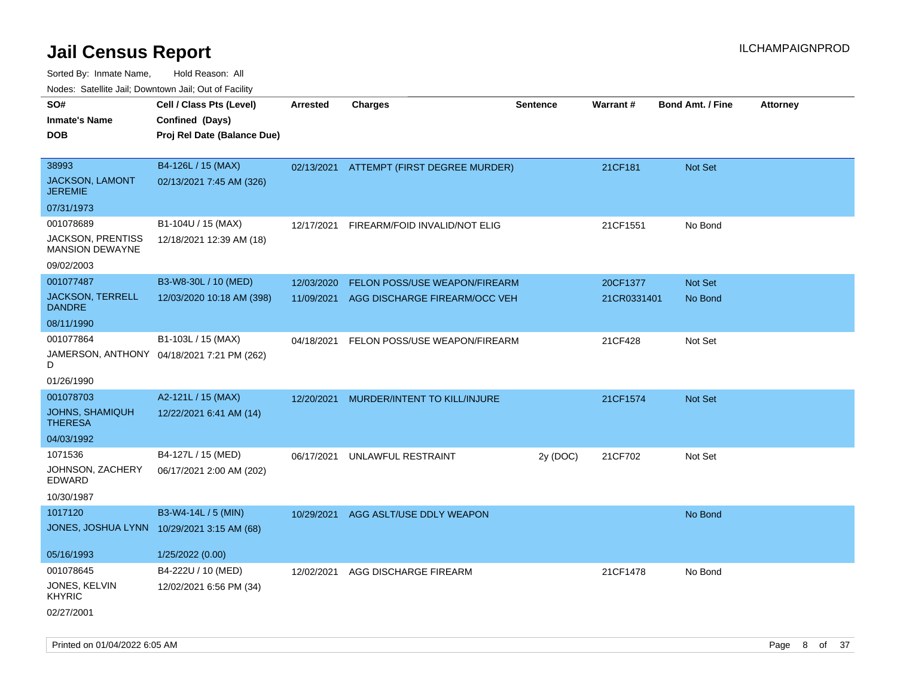Sorted By: Inmate Name, Hold Reason: All Nodes: Satellite Jail; Downtown Jail; Out of Facility

| rouco. Calcinic Jan, Downtown Jan, Out of Facility |                                            |                 |                                          |                 |             |                         |                 |
|----------------------------------------------------|--------------------------------------------|-----------------|------------------------------------------|-----------------|-------------|-------------------------|-----------------|
| SO#                                                | Cell / Class Pts (Level)                   | <b>Arrested</b> | <b>Charges</b>                           | <b>Sentence</b> | Warrant#    | <b>Bond Amt. / Fine</b> | <b>Attorney</b> |
| Inmate's Name                                      | Confined (Days)                            |                 |                                          |                 |             |                         |                 |
| DOB                                                | Proj Rel Date (Balance Due)                |                 |                                          |                 |             |                         |                 |
|                                                    |                                            |                 |                                          |                 |             |                         |                 |
| 38993                                              | B4-126L / 15 (MAX)                         |                 | 02/13/2021 ATTEMPT (FIRST DEGREE MURDER) |                 | 21CF181     | Not Set                 |                 |
| JACKSON, LAMONT<br><b>JEREMIE</b>                  | 02/13/2021 7:45 AM (326)                   |                 |                                          |                 |             |                         |                 |
| 07/31/1973                                         |                                            |                 |                                          |                 |             |                         |                 |
| 001078689                                          | B1-104U / 15 (MAX)                         | 12/17/2021      | FIREARM/FOID INVALID/NOT ELIG            |                 | 21CF1551    | No Bond                 |                 |
| JACKSON, PRENTISS<br><b>MANSION DEWAYNE</b>        | 12/18/2021 12:39 AM (18)                   |                 |                                          |                 |             |                         |                 |
| 09/02/2003                                         |                                            |                 |                                          |                 |             |                         |                 |
| 001077487                                          | B3-W8-30L / 10 (MED)                       | 12/03/2020      | FELON POSS/USE WEAPON/FIREARM            |                 | 20CF1377    | Not Set                 |                 |
| JACKSON, TERRELL<br><b>DANDRE</b>                  | 12/03/2020 10:18 AM (398)                  | 11/09/2021      | AGG DISCHARGE FIREARM/OCC VEH            |                 | 21CR0331401 | No Bond                 |                 |
| 08/11/1990                                         |                                            |                 |                                          |                 |             |                         |                 |
| 001077864                                          | B1-103L / 15 (MAX)                         | 04/18/2021      | FELON POSS/USE WEAPON/FIREARM            |                 | 21CF428     | Not Set                 |                 |
| D                                                  | JAMERSON, ANTHONY 04/18/2021 7:21 PM (262) |                 |                                          |                 |             |                         |                 |
| 01/26/1990                                         |                                            |                 |                                          |                 |             |                         |                 |
| 001078703                                          | A2-121L / 15 (MAX)                         | 12/20/2021      | MURDER/INTENT TO KILL/INJURE             |                 | 21CF1574    | <b>Not Set</b>          |                 |
| <b>JOHNS, SHAMIQUH</b><br>THERESA                  | 12/22/2021 6:41 AM (14)                    |                 |                                          |                 |             |                         |                 |
| 04/03/1992                                         |                                            |                 |                                          |                 |             |                         |                 |
| 1071536                                            | B4-127L / 15 (MED)                         | 06/17/2021      | UNLAWFUL RESTRAINT                       | 2y (DOC)        | 21CF702     | Not Set                 |                 |
| JOHNSON, ZACHERY<br>EDWARD                         | 06/17/2021 2:00 AM (202)                   |                 |                                          |                 |             |                         |                 |
| 10/30/1987                                         |                                            |                 |                                          |                 |             |                         |                 |
| 1017120                                            | B3-W4-14L / 5 (MIN)                        |                 | 10/29/2021 AGG ASLT/USE DDLY WEAPON      |                 |             | No Bond                 |                 |
|                                                    | JONES, JOSHUA LYNN 10/29/2021 3:15 AM (68) |                 |                                          |                 |             |                         |                 |
|                                                    |                                            |                 |                                          |                 |             |                         |                 |
| 05/16/1993                                         | 1/25/2022 (0.00)                           |                 |                                          |                 |             |                         |                 |
| 001078645                                          | B4-222U / 10 (MED)                         | 12/02/2021      | AGG DISCHARGE FIREARM                    |                 | 21CF1478    | No Bond                 |                 |
| JONES, KELVIN<br>KHYRIC                            | 12/02/2021 6:56 PM (34)                    |                 |                                          |                 |             |                         |                 |
| 02/27/2001                                         |                                            |                 |                                          |                 |             |                         |                 |

Printed on 01/04/2022 6:05 AM Page 8 of 37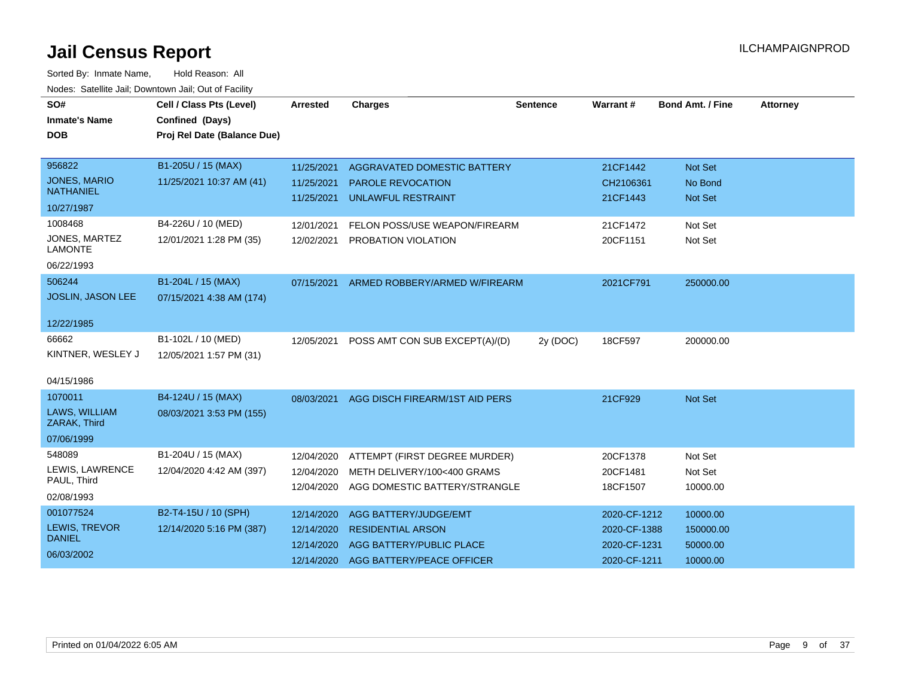| SO#<br><b>Inmate's Name</b>             | Cell / Class Pts (Level)<br>Confined (Days) | <b>Arrested</b> | <b>Charges</b>                 | <b>Sentence</b> | Warrant#     | <b>Bond Amt. / Fine</b> | <b>Attorney</b> |
|-----------------------------------------|---------------------------------------------|-----------------|--------------------------------|-----------------|--------------|-------------------------|-----------------|
| <b>DOB</b>                              | Proj Rel Date (Balance Due)                 |                 |                                |                 |              |                         |                 |
|                                         |                                             |                 |                                |                 |              |                         |                 |
| 956822                                  | B1-205U / 15 (MAX)                          | 11/25/2021      | AGGRAVATED DOMESTIC BATTERY    |                 | 21CF1442     | <b>Not Set</b>          |                 |
| <b>JONES, MARIO</b><br><b>NATHANIEL</b> | 11/25/2021 10:37 AM (41)                    | 11/25/2021      | <b>PAROLE REVOCATION</b>       |                 | CH2106361    | No Bond                 |                 |
| 10/27/1987                              |                                             | 11/25/2021      | <b>UNLAWFUL RESTRAINT</b>      |                 | 21CF1443     | <b>Not Set</b>          |                 |
| 1008468                                 | B4-226U / 10 (MED)                          | 12/01/2021      | FELON POSS/USE WEAPON/FIREARM  |                 | 21CF1472     | Not Set                 |                 |
| JONES, MARTEZ<br><b>LAMONTE</b>         | 12/01/2021 1:28 PM (35)                     | 12/02/2021      | PROBATION VIOLATION            |                 | 20CF1151     | Not Set                 |                 |
| 06/22/1993                              |                                             |                 |                                |                 |              |                         |                 |
| 506244                                  | B1-204L / 15 (MAX)                          | 07/15/2021      | ARMED ROBBERY/ARMED W/FIREARM  |                 | 2021CF791    | 250000.00               |                 |
| <b>JOSLIN, JASON LEE</b>                | 07/15/2021 4:38 AM (174)                    |                 |                                |                 |              |                         |                 |
| 12/22/1985                              |                                             |                 |                                |                 |              |                         |                 |
| 66662                                   | B1-102L / 10 (MED)                          | 12/05/2021      | POSS AMT CON SUB EXCEPT(A)/(D) | 2y (DOC)        | 18CF597      | 200000.00               |                 |
| KINTNER, WESLEY J                       | 12/05/2021 1:57 PM (31)                     |                 |                                |                 |              |                         |                 |
| 04/15/1986                              |                                             |                 |                                |                 |              |                         |                 |
| 1070011                                 | B4-124U / 15 (MAX)                          | 08/03/2021      | AGG DISCH FIREARM/1ST AID PERS |                 | 21CF929      | <b>Not Set</b>          |                 |
| LAWS, WILLIAM<br>ZARAK, Third           | 08/03/2021 3:53 PM (155)                    |                 |                                |                 |              |                         |                 |
| 07/06/1999                              |                                             |                 |                                |                 |              |                         |                 |
| 548089                                  | B1-204U / 15 (MAX)                          | 12/04/2020      | ATTEMPT (FIRST DEGREE MURDER)  |                 | 20CF1378     | Not Set                 |                 |
| LEWIS, LAWRENCE                         | 12/04/2020 4:42 AM (397)                    | 12/04/2020      | METH DELIVERY/100<400 GRAMS    |                 | 20CF1481     | Not Set                 |                 |
| PAUL, Third<br>02/08/1993               |                                             | 12/04/2020      | AGG DOMESTIC BATTERY/STRANGLE  |                 | 18CF1507     | 10000.00                |                 |
| 001077524                               | B2-T4-15U / 10 (SPH)                        |                 |                                |                 |              |                         |                 |
|                                         |                                             | 12/14/2020      | AGG BATTERY/JUDGE/EMT          |                 | 2020-CF-1212 | 10000.00                |                 |
| LEWIS, TREVOR<br><b>DANIEL</b>          | 12/14/2020 5:16 PM (387)                    | 12/14/2020      | <b>RESIDENTIAL ARSON</b>       |                 | 2020-CF-1388 | 150000.00               |                 |
| 06/03/2002                              |                                             | 12/14/2020      | AGG BATTERY/PUBLIC PLACE       |                 | 2020-CF-1231 | 50000.00                |                 |
|                                         |                                             | 12/14/2020      | AGG BATTERY/PEACE OFFICER      |                 | 2020-CF-1211 | 10000.00                |                 |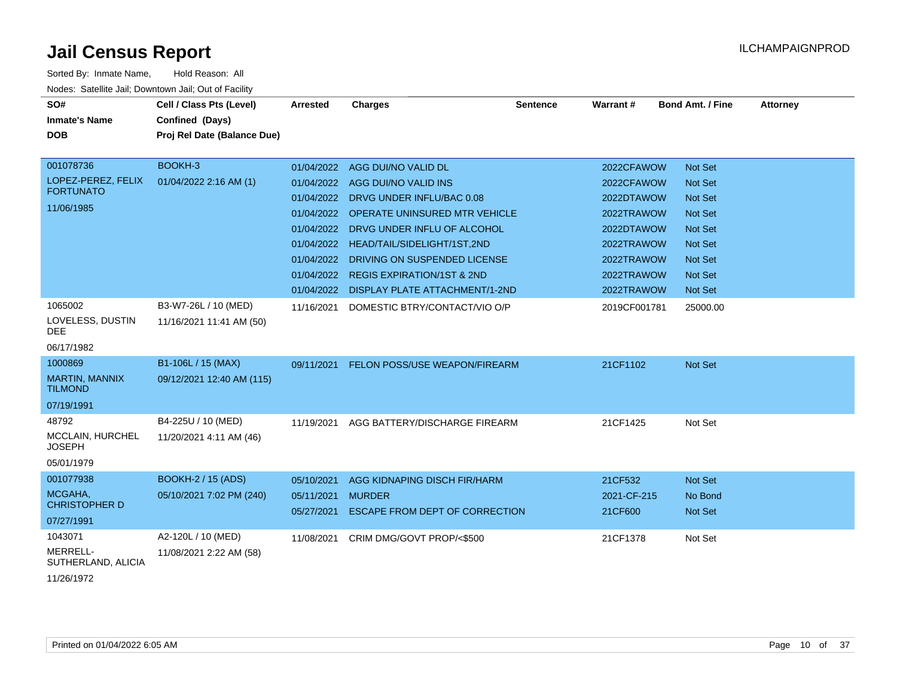| Sorted By: Inmate Name,                               | Hold Reason: All            |                 |                                           |                 |              |                         |                 |
|-------------------------------------------------------|-----------------------------|-----------------|-------------------------------------------|-----------------|--------------|-------------------------|-----------------|
| Nodes: Satellite Jail; Downtown Jail; Out of Facility |                             |                 |                                           |                 |              |                         |                 |
| SO#                                                   | Cell / Class Pts (Level)    | <b>Arrested</b> | <b>Charges</b>                            | <b>Sentence</b> | Warrant#     | <b>Bond Amt. / Fine</b> | <b>Attorney</b> |
| <b>Inmate's Name</b>                                  | Confined (Days)             |                 |                                           |                 |              |                         |                 |
| <b>DOB</b>                                            | Proj Rel Date (Balance Due) |                 |                                           |                 |              |                         |                 |
| 001078736                                             | BOOKH-3                     |                 | 01/04/2022 AGG DUI/NO VALID DL            |                 | 2022CFAWOW   | Not Set                 |                 |
| LOPEZ-PEREZ, FELIX                                    | 01/04/2022 2:16 AM (1)      |                 | 01/04/2022 AGG DUI/NO VALID INS           |                 | 2022CFAWOW   | <b>Not Set</b>          |                 |
| <b>FORTUNATO</b>                                      |                             |                 | 01/04/2022 DRVG UNDER INFLU/BAC 0.08      |                 | 2022DTAWOW   | <b>Not Set</b>          |                 |
| 11/06/1985                                            |                             |                 |                                           |                 |              |                         |                 |
|                                                       |                             |                 | 01/04/2022 OPERATE UNINSURED MTR VEHICLE  |                 | 2022TRAWOW   | <b>Not Set</b>          |                 |
|                                                       |                             | 01/04/2022      | DRVG UNDER INFLU OF ALCOHOL               |                 | 2022DTAWOW   | <b>Not Set</b>          |                 |
|                                                       |                             | 01/04/2022      | HEAD/TAIL/SIDELIGHT/1ST,2ND               |                 | 2022TRAWOW   | <b>Not Set</b>          |                 |
|                                                       |                             | 01/04/2022      | DRIVING ON SUSPENDED LICENSE              |                 | 2022TRAWOW   | <b>Not Set</b>          |                 |
|                                                       |                             |                 | 01/04/2022 REGIS EXPIRATION/1ST & 2ND     |                 | 2022TRAWOW   | <b>Not Set</b>          |                 |
|                                                       |                             |                 | 01/04/2022 DISPLAY PLATE ATTACHMENT/1-2ND |                 | 2022TRAWOW   | <b>Not Set</b>          |                 |
| 1065002                                               | B3-W7-26L / 10 (MED)        | 11/16/2021      | DOMESTIC BTRY/CONTACT/VIO O/P             |                 | 2019CF001781 | 25000.00                |                 |
| LOVELESS, DUSTIN<br>DEE.                              | 11/16/2021 11:41 AM (50)    |                 |                                           |                 |              |                         |                 |
| 06/17/1982                                            |                             |                 |                                           |                 |              |                         |                 |
| 1000869                                               | B1-106L / 15 (MAX)          |                 | 09/11/2021 FELON POSS/USE WEAPON/FIREARM  |                 | 21CF1102     | Not Set                 |                 |
| <b>MARTIN, MANNIX</b><br><b>TILMOND</b>               | 09/12/2021 12:40 AM (115)   |                 |                                           |                 |              |                         |                 |
| 07/19/1991                                            |                             |                 |                                           |                 |              |                         |                 |
| 48792                                                 | B4-225U / 10 (MED)          | 11/19/2021      | AGG BATTERY/DISCHARGE FIREARM             |                 | 21CF1425     | Not Set                 |                 |
| MCCLAIN, HURCHEL<br><b>JOSEPH</b>                     | 11/20/2021 4:11 AM (46)     |                 |                                           |                 |              |                         |                 |
| 05/01/1979                                            |                             |                 |                                           |                 |              |                         |                 |
| 001077938                                             | <b>BOOKH-2 / 15 (ADS)</b>   | 05/10/2021      | AGG KIDNAPING DISCH FIR/HARM              |                 | 21CF532      | <b>Not Set</b>          |                 |
| MCGAHA,<br><b>CHRISTOPHER D</b>                       | 05/10/2021 7:02 PM (240)    | 05/11/2021      | <b>MURDER</b>                             |                 | 2021-CF-215  | No Bond                 |                 |
| 07/27/1991                                            |                             | 05/27/2021      | <b>ESCAPE FROM DEPT OF CORRECTION</b>     |                 | 21CF600      | <b>Not Set</b>          |                 |
| 1043071                                               | A2-120L / 10 (MED)          | 11/08/2021      | CRIM DMG/GOVT PROP/<\$500                 |                 | 21CF1378     | Not Set                 |                 |
| MERRELL-<br>SUTHERLAND, ALICIA                        | 11/08/2021 2:22 AM (58)     |                 |                                           |                 |              |                         |                 |

11/26/1972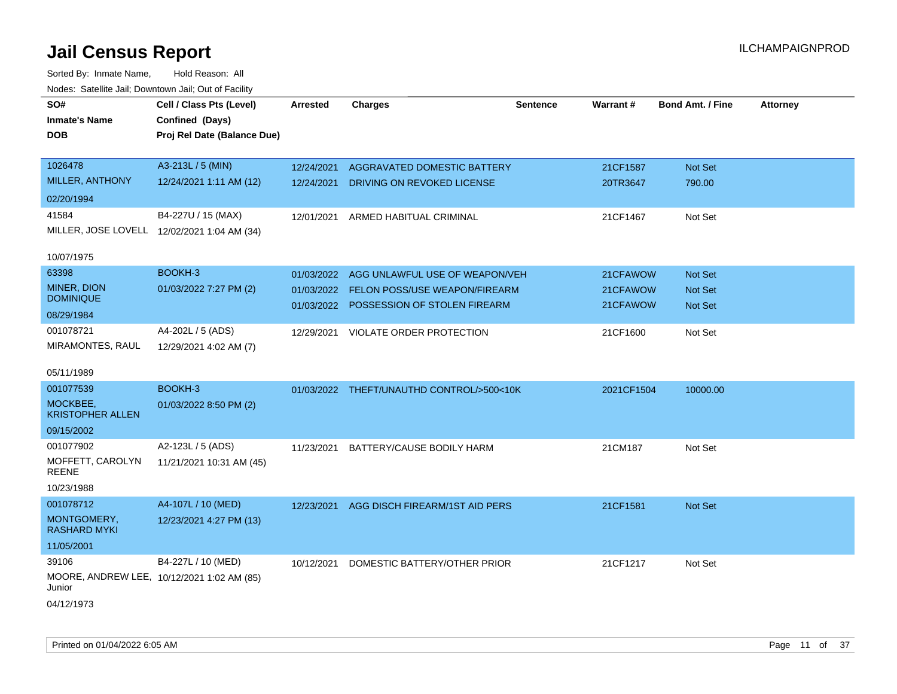| SO#                                | Cell / Class Pts (Level)                    | <b>Arrested</b> | <b>Charges</b>                            | <b>Sentence</b> | <b>Warrant#</b> | <b>Bond Amt. / Fine</b> | <b>Attorney</b> |
|------------------------------------|---------------------------------------------|-----------------|-------------------------------------------|-----------------|-----------------|-------------------------|-----------------|
| <b>Inmate's Name</b>               | Confined (Days)                             |                 |                                           |                 |                 |                         |                 |
| <b>DOB</b>                         | Proj Rel Date (Balance Due)                 |                 |                                           |                 |                 |                         |                 |
|                                    |                                             |                 |                                           |                 |                 |                         |                 |
| 1026478                            | A3-213L / 5 (MIN)                           | 12/24/2021      | AGGRAVATED DOMESTIC BATTERY               |                 | 21CF1587        | Not Set                 |                 |
| MILLER, ANTHONY                    | 12/24/2021 1:11 AM (12)                     | 12/24/2021      | DRIVING ON REVOKED LICENSE                |                 | 20TR3647        | 790.00                  |                 |
| 02/20/1994                         |                                             |                 |                                           |                 |                 |                         |                 |
| 41584                              | B4-227U / 15 (MAX)                          | 12/01/2021      | ARMED HABITUAL CRIMINAL                   |                 | 21CF1467        | Not Set                 |                 |
|                                    | MILLER, JOSE LOVELL 12/02/2021 1:04 AM (34) |                 |                                           |                 |                 |                         |                 |
|                                    |                                             |                 |                                           |                 |                 |                         |                 |
| 10/07/1975                         |                                             |                 |                                           |                 |                 |                         |                 |
| 63398                              | BOOKH-3                                     | 01/03/2022      | AGG UNLAWFUL USE OF WEAPON/VEH            |                 | 21CFAWOW        | Not Set                 |                 |
| MINER, DION                        | 01/03/2022 7:27 PM (2)                      | 01/03/2022      | FELON POSS/USE WEAPON/FIREARM             |                 | 21CFAWOW        | Not Set                 |                 |
| <b>DOMINIQUE</b>                   |                                             |                 | 01/03/2022 POSSESSION OF STOLEN FIREARM   |                 | 21CFAWOW        | Not Set                 |                 |
| 08/29/1984                         |                                             |                 |                                           |                 |                 |                         |                 |
| 001078721                          | A4-202L / 5 (ADS)                           | 12/29/2021      | VIOLATE ORDER PROTECTION                  |                 | 21CF1600        | Not Set                 |                 |
| MIRAMONTES, RAUL                   | 12/29/2021 4:02 AM (7)                      |                 |                                           |                 |                 |                         |                 |
|                                    |                                             |                 |                                           |                 |                 |                         |                 |
| 05/11/1989                         |                                             |                 |                                           |                 |                 |                         |                 |
| 001077539                          | BOOKH-3                                     |                 | 01/03/2022 THEFT/UNAUTHD CONTROL/>500<10K |                 | 2021CF1504      | 10000.00                |                 |
| MOCKBEE.                           | 01/03/2022 8:50 PM (2)                      |                 |                                           |                 |                 |                         |                 |
| <b>KRISTOPHER ALLEN</b>            |                                             |                 |                                           |                 |                 |                         |                 |
| 09/15/2002                         |                                             |                 |                                           |                 |                 |                         |                 |
| 001077902                          | A2-123L / 5 (ADS)                           | 11/23/2021      | BATTERY/CAUSE BODILY HARM                 |                 | 21CM187         | Not Set                 |                 |
| MOFFETT, CAROLYN<br>REENE          | 11/21/2021 10:31 AM (45)                    |                 |                                           |                 |                 |                         |                 |
| 10/23/1988                         |                                             |                 |                                           |                 |                 |                         |                 |
| 001078712                          | A4-107L / 10 (MED)                          | 12/23/2021      | AGG DISCH FIREARM/1ST AID PERS            |                 | 21CF1581        | Not Set                 |                 |
| MONTGOMERY,<br><b>RASHARD MYKI</b> | 12/23/2021 4:27 PM (13)                     |                 |                                           |                 |                 |                         |                 |
| 11/05/2001                         |                                             |                 |                                           |                 |                 |                         |                 |
| 39106                              | B4-227L / 10 (MED)                          | 10/12/2021      | DOMESTIC BATTERY/OTHER PRIOR              |                 | 21CF1217        | Not Set                 |                 |
| Junior                             | MOORE, ANDREW LEE, 10/12/2021 1:02 AM (85)  |                 |                                           |                 |                 |                         |                 |
| 04/12/1973                         |                                             |                 |                                           |                 |                 |                         |                 |
|                                    |                                             |                 |                                           |                 |                 |                         |                 |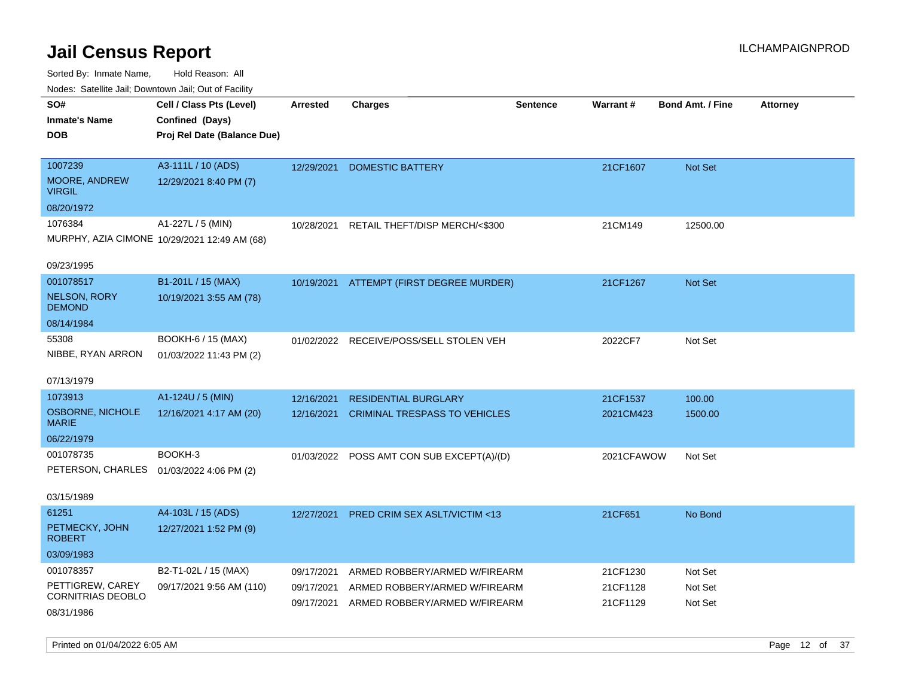Sorted By: Inmate Name, Hold Reason: All Nodes: Satellite Jail; Downtown Jail; Out of Facility

| Noues. Sateme Jan, Downtown Jan, Out of Facility |                                              |            |                                           |                 |            |                         |                 |
|--------------------------------------------------|----------------------------------------------|------------|-------------------------------------------|-----------------|------------|-------------------------|-----------------|
| SO#                                              | Cell / Class Pts (Level)                     | Arrested   | <b>Charges</b>                            | <b>Sentence</b> | Warrant#   | <b>Bond Amt. / Fine</b> | <b>Attorney</b> |
| <b>Inmate's Name</b>                             | Confined (Days)                              |            |                                           |                 |            |                         |                 |
| DOB                                              | Proj Rel Date (Balance Due)                  |            |                                           |                 |            |                         |                 |
|                                                  |                                              |            |                                           |                 |            |                         |                 |
| 1007239                                          | A3-111L / 10 (ADS)                           | 12/29/2021 | <b>DOMESTIC BATTERY</b>                   |                 | 21CF1607   | Not Set                 |                 |
| MOORE, ANDREW<br><b>VIRGIL</b>                   | 12/29/2021 8:40 PM (7)                       |            |                                           |                 |            |                         |                 |
| 08/20/1972                                       |                                              |            |                                           |                 |            |                         |                 |
| 1076384                                          | A1-227L / 5 (MIN)                            | 10/28/2021 | RETAIL THEFT/DISP MERCH/<\$300            |                 | 21CM149    | 12500.00                |                 |
|                                                  | MURPHY, AZIA CIMONE 10/29/2021 12:49 AM (68) |            |                                           |                 |            |                         |                 |
| 09/23/1995                                       |                                              |            |                                           |                 |            |                         |                 |
| 001078517                                        | B1-201L / 15 (MAX)                           | 10/19/2021 | ATTEMPT (FIRST DEGREE MURDER)             |                 | 21CF1267   | <b>Not Set</b>          |                 |
| <b>NELSON, RORY</b><br><b>DEMOND</b>             | 10/19/2021 3:55 AM (78)                      |            |                                           |                 |            |                         |                 |
| 08/14/1984                                       |                                              |            |                                           |                 |            |                         |                 |
| 55308                                            | BOOKH-6 / 15 (MAX)                           |            | 01/02/2022 RECEIVE/POSS/SELL STOLEN VEH   |                 | 2022CF7    | Not Set                 |                 |
| NIBBE, RYAN ARRON                                | 01/03/2022 11:43 PM (2)                      |            |                                           |                 |            |                         |                 |
|                                                  |                                              |            |                                           |                 |            |                         |                 |
| 07/13/1979                                       |                                              |            |                                           |                 |            |                         |                 |
| 1073913                                          | A1-124U / 5 (MIN)                            | 12/16/2021 | <b>RESIDENTIAL BURGLARY</b>               |                 | 21CF1537   | 100.00                  |                 |
| OSBORNE, NICHOLE<br><b>MARIE</b>                 | 12/16/2021 4:17 AM (20)                      | 12/16/2021 | <b>CRIMINAL TRESPASS TO VEHICLES</b>      |                 | 2021CM423  | 1500.00                 |                 |
| 06/22/1979                                       |                                              |            |                                           |                 |            |                         |                 |
| 001078735                                        | BOOKH-3                                      |            | 01/03/2022 POSS AMT CON SUB EXCEPT(A)/(D) |                 | 2021CFAWOW | Not Set                 |                 |
| PETERSON, CHARLES 01/03/2022 4:06 PM (2)         |                                              |            |                                           |                 |            |                         |                 |
|                                                  |                                              |            |                                           |                 |            |                         |                 |
| 03/15/1989                                       |                                              |            |                                           |                 |            |                         |                 |
| 61251                                            | A4-103L / 15 (ADS)                           | 12/27/2021 | <b>PRED CRIM SEX ASLT/VICTIM &lt;13</b>   |                 | 21CF651    | No Bond                 |                 |
| PETMECKY, JOHN<br><b>ROBERT</b>                  | 12/27/2021 1:52 PM (9)                       |            |                                           |                 |            |                         |                 |
| 03/09/1983                                       |                                              |            |                                           |                 |            |                         |                 |
| 001078357                                        | B2-T1-02L / 15 (MAX)                         | 09/17/2021 | ARMED ROBBERY/ARMED W/FIREARM             |                 | 21CF1230   | Not Set                 |                 |
| PETTIGREW, CAREY                                 | 09/17/2021 9:56 AM (110)                     | 09/17/2021 | ARMED ROBBERY/ARMED W/FIREARM             |                 | 21CF1128   | Not Set                 |                 |
| CORNITRIAS DEOBLO                                |                                              | 09/17/2021 | ARMED ROBBERY/ARMED W/FIREARM             |                 | 21CF1129   | Not Set                 |                 |
| 08/31/1986                                       |                                              |            |                                           |                 |            |                         |                 |

Printed on 01/04/2022 6:05 AM Page 12 of 37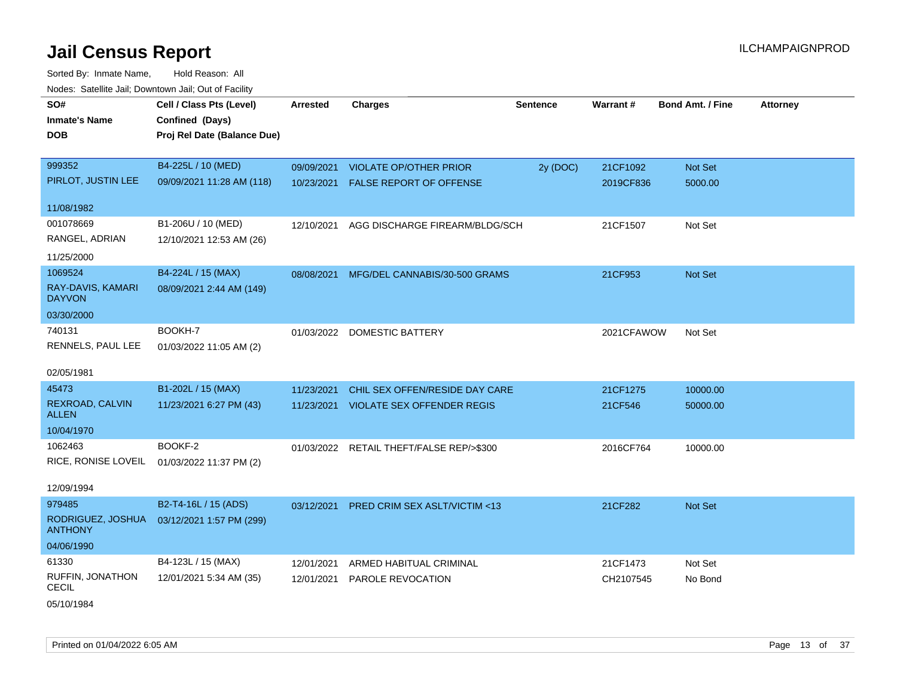| SO#                                 | Cell / Class Pts (Level)                       | <b>Arrested</b> | <b>Charges</b>                           | <b>Sentence</b> | Warrant#   | <b>Bond Amt. / Fine</b> | <b>Attorney</b> |
|-------------------------------------|------------------------------------------------|-----------------|------------------------------------------|-----------------|------------|-------------------------|-----------------|
| <b>Inmate's Name</b>                | Confined (Days)                                |                 |                                          |                 |            |                         |                 |
| <b>DOB</b>                          | Proj Rel Date (Balance Due)                    |                 |                                          |                 |            |                         |                 |
| 999352                              | B4-225L / 10 (MED)                             | 09/09/2021      | <b>VIOLATE OP/OTHER PRIOR</b>            | 2y (DOC)        | 21CF1092   | Not Set                 |                 |
| PIRLOT, JUSTIN LEE                  | 09/09/2021 11:28 AM (118)                      | 10/23/2021      | <b>FALSE REPORT OF OFFENSE</b>           |                 | 2019CF836  | 5000.00                 |                 |
| 11/08/1982                          |                                                |                 |                                          |                 |            |                         |                 |
| 001078669<br>RANGEL, ADRIAN         | B1-206U / 10 (MED)<br>12/10/2021 12:53 AM (26) | 12/10/2021      | AGG DISCHARGE FIREARM/BLDG/SCH           |                 | 21CF1507   | Not Set                 |                 |
| 11/25/2000                          |                                                |                 |                                          |                 |            |                         |                 |
| 1069524                             | B4-224L / 15 (MAX)                             | 08/08/2021      | MFG/DEL CANNABIS/30-500 GRAMS            |                 | 21CF953    | Not Set                 |                 |
| RAY-DAVIS, KAMARI<br><b>DAYVON</b>  | 08/09/2021 2:44 AM (149)                       |                 |                                          |                 |            |                         |                 |
| 03/30/2000                          |                                                |                 |                                          |                 |            |                         |                 |
| 740131                              | BOOKH-7                                        | 01/03/2022      | DOMESTIC BATTERY                         |                 | 2021CFAWOW | Not Set                 |                 |
| RENNELS, PAUL LEE                   | 01/03/2022 11:05 AM (2)                        |                 |                                          |                 |            |                         |                 |
| 02/05/1981                          |                                                |                 |                                          |                 |            |                         |                 |
| 45473                               | B1-202L / 15 (MAX)                             | 11/23/2021      | CHIL SEX OFFEN/RESIDE DAY CARE           |                 | 21CF1275   | 10000.00                |                 |
| REXROAD, CALVIN<br><b>ALLEN</b>     | 11/23/2021 6:27 PM (43)                        | 11/23/2021      | VIOLATE SEX OFFENDER REGIS               |                 | 21CF546    | 50000.00                |                 |
| 10/04/1970                          |                                                |                 |                                          |                 |            |                         |                 |
| 1062463                             | BOOKF-2                                        |                 | 01/03/2022 RETAIL THEFT/FALSE REP/>\$300 |                 | 2016CF764  | 10000.00                |                 |
| RICE, RONISE LOVEIL                 | 01/03/2022 11:37 PM (2)                        |                 |                                          |                 |            |                         |                 |
| 12/09/1994                          |                                                |                 |                                          |                 |            |                         |                 |
| 979485                              | B2-T4-16L / 15 (ADS)                           | 03/12/2021      | <b>PRED CRIM SEX ASLT/VICTIM &lt;13</b>  |                 | 21CF282    | Not Set                 |                 |
| RODRIGUEZ, JOSHUA<br><b>ANTHONY</b> | 03/12/2021 1:57 PM (299)                       |                 |                                          |                 |            |                         |                 |
| 04/06/1990                          |                                                |                 |                                          |                 |            |                         |                 |
| 61330                               | B4-123L / 15 (MAX)                             | 12/01/2021      | ARMED HABITUAL CRIMINAL                  |                 | 21CF1473   | Not Set                 |                 |
| RUFFIN, JONATHON<br><b>CECIL</b>    | 12/01/2021 5:34 AM (35)                        | 12/01/2021      | <b>PAROLE REVOCATION</b>                 |                 | CH2107545  | No Bond                 |                 |
| 05/10/1984                          |                                                |                 |                                          |                 |            |                         |                 |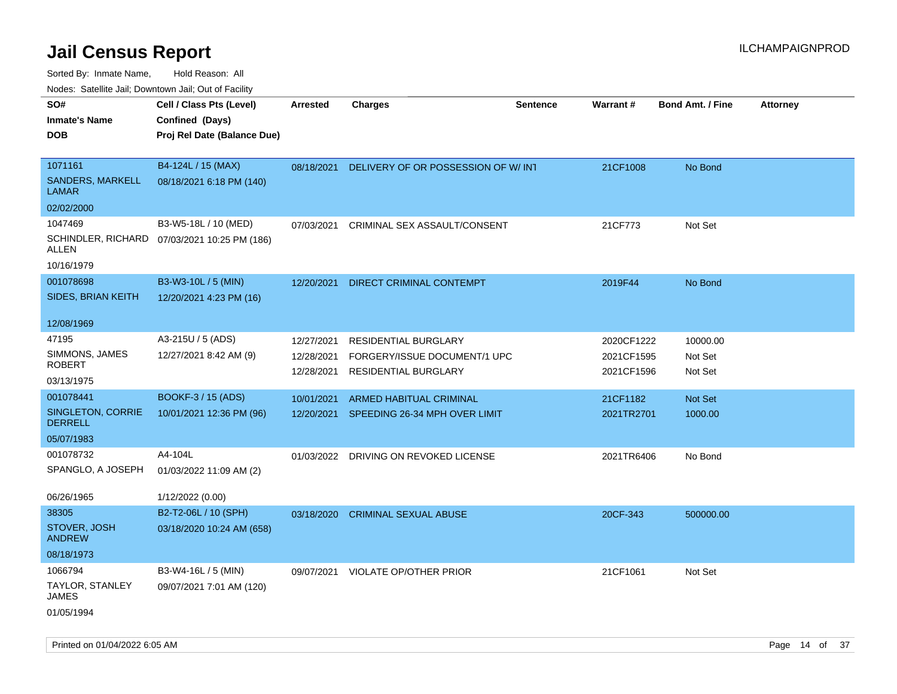Sorted By: Inmate Name, Hold Reason: All

Nodes: Satellite Jail; Downtown Jail; Out of Facility

| roacs. Catellite Jall, Downtown Jall, Out of Facility |                                              |                 |                                     |                 |            |                         |                 |
|-------------------------------------------------------|----------------------------------------------|-----------------|-------------------------------------|-----------------|------------|-------------------------|-----------------|
| SO#                                                   | Cell / Class Pts (Level)                     | <b>Arrested</b> | <b>Charges</b>                      | <b>Sentence</b> | Warrant#   | <b>Bond Amt. / Fine</b> | <b>Attorney</b> |
| <b>Inmate's Name</b>                                  | Confined (Days)                              |                 |                                     |                 |            |                         |                 |
| <b>DOB</b>                                            | Proj Rel Date (Balance Due)                  |                 |                                     |                 |            |                         |                 |
|                                                       |                                              |                 |                                     |                 |            |                         |                 |
| 1071161                                               | B4-124L / 15 (MAX)                           | 08/18/2021      | DELIVERY OF OR POSSESSION OF W/ INT |                 | 21CF1008   | No Bond                 |                 |
| <b>SANDERS, MARKELL</b><br><b>LAMAR</b>               | 08/18/2021 6:18 PM (140)                     |                 |                                     |                 |            |                         |                 |
| 02/02/2000                                            |                                              |                 |                                     |                 |            |                         |                 |
| 1047469                                               | B3-W5-18L / 10 (MED)                         | 07/03/2021      | CRIMINAL SEX ASSAULT/CONSENT        |                 | 21CF773    | Not Set                 |                 |
| ALLEN                                                 | SCHINDLER, RICHARD 07/03/2021 10:25 PM (186) |                 |                                     |                 |            |                         |                 |
| 10/16/1979                                            |                                              |                 |                                     |                 |            |                         |                 |
| 001078698                                             | B3-W3-10L / 5 (MIN)                          | 12/20/2021      | DIRECT CRIMINAL CONTEMPT            |                 | 2019F44    | No Bond                 |                 |
| SIDES, BRIAN KEITH                                    | 12/20/2021 4:23 PM (16)                      |                 |                                     |                 |            |                         |                 |
|                                                       |                                              |                 |                                     |                 |            |                         |                 |
| 12/08/1969                                            |                                              |                 |                                     |                 |            |                         |                 |
| 47195                                                 | A3-215U / 5 (ADS)                            | 12/27/2021      | RESIDENTIAL BURGLARY                |                 | 2020CF1222 | 10000.00                |                 |
| SIMMONS, JAMES                                        | 12/27/2021 8:42 AM (9)                       | 12/28/2021      | FORGERY/ISSUE DOCUMENT/1 UPC        |                 | 2021CF1595 | Not Set                 |                 |
| ROBERT                                                |                                              | 12/28/2021      | <b>RESIDENTIAL BURGLARY</b>         |                 | 2021CF1596 | Not Set                 |                 |
| 03/13/1975                                            |                                              |                 |                                     |                 |            |                         |                 |
| 001078441                                             | BOOKF-3 / 15 (ADS)                           | 10/01/2021      | <b>ARMED HABITUAL CRIMINAL</b>      |                 | 21CF1182   | <b>Not Set</b>          |                 |
| SINGLETON, CORRIE<br><b>DERRELL</b>                   | 10/01/2021 12:36 PM (96)                     | 12/20/2021      | SPEEDING 26-34 MPH OVER LIMIT       |                 | 2021TR2701 | 1000.00                 |                 |
| 05/07/1983                                            |                                              |                 |                                     |                 |            |                         |                 |
| 001078732                                             | A4-104L                                      | 01/03/2022      | DRIVING ON REVOKED LICENSE          |                 | 2021TR6406 | No Bond                 |                 |
| SPANGLO, A JOSEPH                                     | 01/03/2022 11:09 AM (2)                      |                 |                                     |                 |            |                         |                 |
|                                                       |                                              |                 |                                     |                 |            |                         |                 |
| 06/26/1965                                            | 1/12/2022 (0.00)                             |                 |                                     |                 |            |                         |                 |
| 38305                                                 | B2-T2-06L / 10 (SPH)                         |                 | 03/18/2020 CRIMINAL SEXUAL ABUSE    |                 | 20CF-343   | 500000.00               |                 |
| STOVER, JOSH<br><b>ANDREW</b>                         | 03/18/2020 10:24 AM (658)                    |                 |                                     |                 |            |                         |                 |
| 08/18/1973                                            |                                              |                 |                                     |                 |            |                         |                 |
| 1066794                                               | B3-W4-16L / 5 (MIN)                          | 09/07/2021      | VIOLATE OP/OTHER PRIOR              |                 | 21CF1061   | Not Set                 |                 |
| TAYLOR, STANLEY<br><b>JAMES</b>                       | 09/07/2021 7:01 AM (120)                     |                 |                                     |                 |            |                         |                 |
| 01/05/1994                                            |                                              |                 |                                     |                 |            |                         |                 |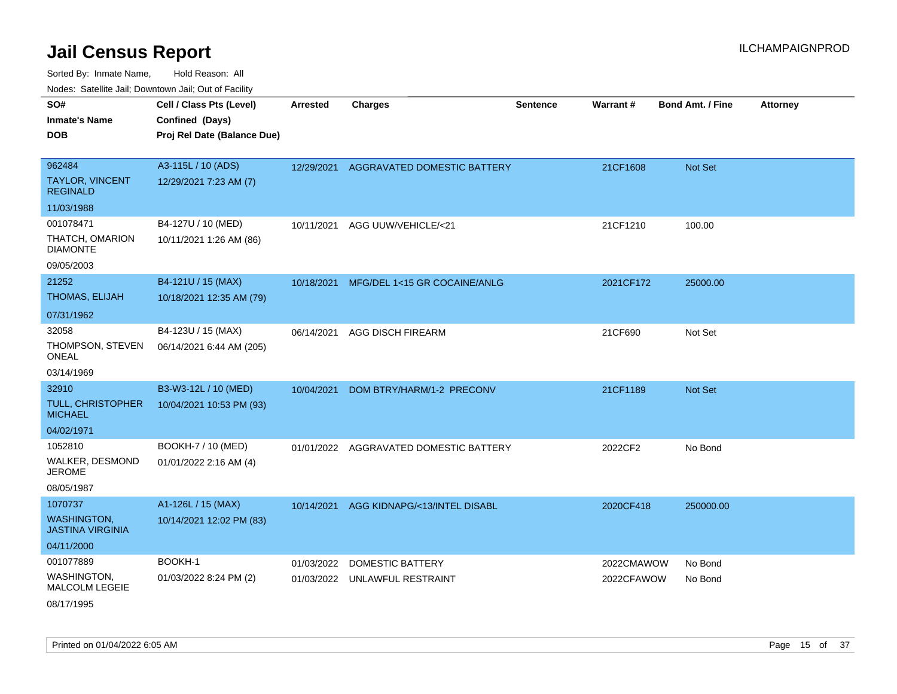Sorted By: Inmate Name, Hold Reason: All

|                                               | Nodes: Satellite Jail; Downtown Jail; Out of Facility |                 |                                        |                 |            |                         |                 |
|-----------------------------------------------|-------------------------------------------------------|-----------------|----------------------------------------|-----------------|------------|-------------------------|-----------------|
| SO#                                           | Cell / Class Pts (Level)                              | <b>Arrested</b> | <b>Charges</b>                         | <b>Sentence</b> | Warrant#   | <b>Bond Amt. / Fine</b> | <b>Attorney</b> |
| <b>Inmate's Name</b>                          | Confined (Days)                                       |                 |                                        |                 |            |                         |                 |
| <b>DOB</b>                                    | Proj Rel Date (Balance Due)                           |                 |                                        |                 |            |                         |                 |
|                                               |                                                       |                 |                                        |                 |            |                         |                 |
| 962484                                        | A3-115L / 10 (ADS)                                    | 12/29/2021      | AGGRAVATED DOMESTIC BATTERY            |                 | 21CF1608   | <b>Not Set</b>          |                 |
| <b>TAYLOR, VINCENT</b><br><b>REGINALD</b>     | 12/29/2021 7:23 AM (7)                                |                 |                                        |                 |            |                         |                 |
| 11/03/1988                                    |                                                       |                 |                                        |                 |            |                         |                 |
| 001078471                                     | B4-127U / 10 (MED)                                    | 10/11/2021      | AGG UUW/VEHICLE/<21                    |                 | 21CF1210   | 100.00                  |                 |
| THATCH, OMARION<br><b>DIAMONTE</b>            | 10/11/2021 1:26 AM (86)                               |                 |                                        |                 |            |                         |                 |
| 09/05/2003                                    |                                                       |                 |                                        |                 |            |                         |                 |
| 21252                                         | B4-121U / 15 (MAX)                                    | 10/18/2021      | MFG/DEL 1<15 GR COCAINE/ANLG           |                 | 2021CF172  | 25000.00                |                 |
| THOMAS, ELIJAH                                | 10/18/2021 12:35 AM (79)                              |                 |                                        |                 |            |                         |                 |
| 07/31/1962                                    |                                                       |                 |                                        |                 |            |                         |                 |
| 32058                                         | B4-123U / 15 (MAX)                                    | 06/14/2021      | AGG DISCH FIREARM                      |                 | 21CF690    | Not Set                 |                 |
| THOMPSON, STEVEN<br><b>ONEAL</b>              | 06/14/2021 6:44 AM (205)                              |                 |                                        |                 |            |                         |                 |
| 03/14/1969                                    |                                                       |                 |                                        |                 |            |                         |                 |
| 32910                                         | B3-W3-12L / 10 (MED)                                  | 10/04/2021      | DOM BTRY/HARM/1-2 PRECONV              |                 | 21CF1189   | Not Set                 |                 |
| <b>TULL, CHRISTOPHER</b><br><b>MICHAEL</b>    | 10/04/2021 10:53 PM (93)                              |                 |                                        |                 |            |                         |                 |
| 04/02/1971                                    |                                                       |                 |                                        |                 |            |                         |                 |
| 1052810                                       | BOOKH-7 / 10 (MED)                                    |                 | 01/01/2022 AGGRAVATED DOMESTIC BATTERY |                 | 2022CF2    | No Bond                 |                 |
| WALKER, DESMOND<br><b>JEROME</b>              | 01/01/2022 2:16 AM (4)                                |                 |                                        |                 |            |                         |                 |
| 08/05/1987                                    |                                                       |                 |                                        |                 |            |                         |                 |
| 1070737                                       | A1-126L / 15 (MAX)                                    | 10/14/2021      | AGG KIDNAPG/<13/INTEL DISABL           |                 | 2020CF418  | 250000.00               |                 |
| <b>WASHINGTON,</b><br><b>JASTINA VIRGINIA</b> | 10/14/2021 12:02 PM (83)                              |                 |                                        |                 |            |                         |                 |
| 04/11/2000                                    |                                                       |                 |                                        |                 |            |                         |                 |
| 001077889                                     | BOOKH-1                                               | 01/03/2022      | <b>DOMESTIC BATTERY</b>                |                 | 2022CMAWOW | No Bond                 |                 |
| <b>WASHINGTON,</b><br><b>MALCOLM LEGEIE</b>   | 01/03/2022 8:24 PM (2)                                |                 | 01/03/2022 UNLAWFUL RESTRAINT          |                 | 2022CFAWOW | No Bond                 |                 |
| 08/17/1995                                    |                                                       |                 |                                        |                 |            |                         |                 |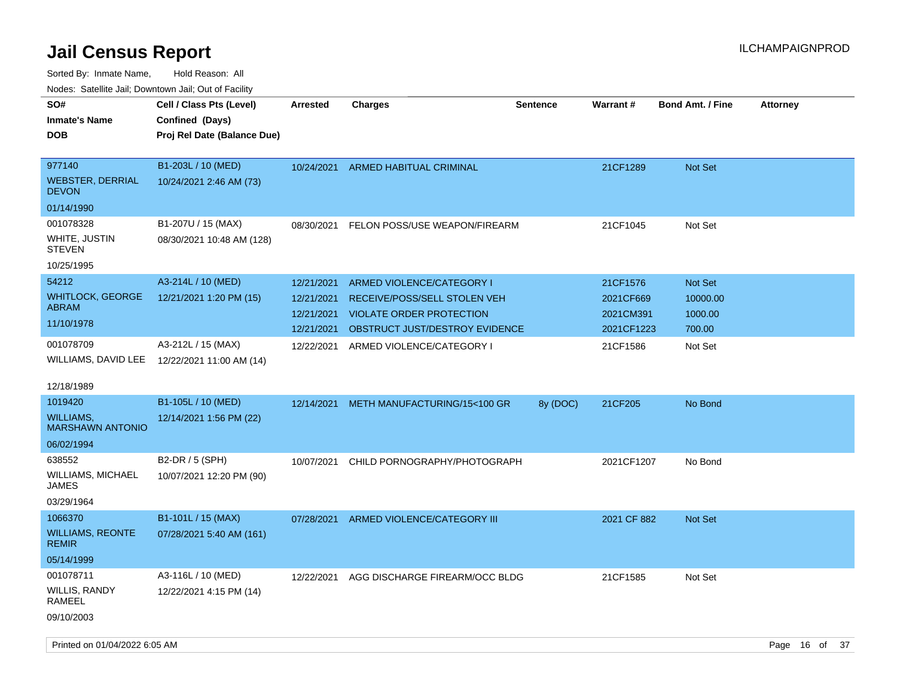| ivodes. Satellite Jali, Downtown Jali, Out of Facility |                             |                 |                                 |                 |             |                         |                 |      |
|--------------------------------------------------------|-----------------------------|-----------------|---------------------------------|-----------------|-------------|-------------------------|-----------------|------|
| SO#                                                    | Cell / Class Pts (Level)    | <b>Arrested</b> | <b>Charges</b>                  | <b>Sentence</b> | Warrant#    | <b>Bond Amt. / Fine</b> | <b>Attorney</b> |      |
| Inmate's Name                                          | Confined (Days)             |                 |                                 |                 |             |                         |                 |      |
| <b>DOB</b>                                             | Proj Rel Date (Balance Due) |                 |                                 |                 |             |                         |                 |      |
|                                                        |                             |                 |                                 |                 |             |                         |                 |      |
| 977140                                                 | B1-203L / 10 (MED)          | 10/24/2021      | ARMED HABITUAL CRIMINAL         |                 | 21CF1289    | <b>Not Set</b>          |                 |      |
| WEBSTER, DERRIAL<br><b>DEVON</b>                       | 10/24/2021 2:46 AM (73)     |                 |                                 |                 |             |                         |                 |      |
| 01/14/1990                                             |                             |                 |                                 |                 |             |                         |                 |      |
| 001078328                                              | B1-207U / 15 (MAX)          | 08/30/2021      | FELON POSS/USE WEAPON/FIREARM   |                 | 21CF1045    | Not Set                 |                 |      |
| WHITE, JUSTIN<br>STEVEN                                | 08/30/2021 10:48 AM (128)   |                 |                                 |                 |             |                         |                 |      |
| 10/25/1995                                             |                             |                 |                                 |                 |             |                         |                 |      |
| 54212                                                  | A3-214L / 10 (MED)          | 12/21/2021      | ARMED VIOLENCE/CATEGORY I       |                 | 21CF1576    | <b>Not Set</b>          |                 |      |
| WHITLOCK, GEORGE                                       | 12/21/2021 1:20 PM (15)     | 12/21/2021      | RECEIVE/POSS/SELL STOLEN VEH    |                 | 2021CF669   | 10000.00                |                 |      |
| ABRAM                                                  |                             | 12/21/2021      | <b>VIOLATE ORDER PROTECTION</b> |                 | 2021CM391   | 1000.00                 |                 |      |
| 11/10/1978                                             |                             | 12/21/2021      | OBSTRUCT JUST/DESTROY EVIDENCE  |                 | 2021CF1223  | 700.00                  |                 |      |
| 001078709                                              | A3-212L / 15 (MAX)          | 12/22/2021      | ARMED VIOLENCE/CATEGORY I       |                 | 21CF1586    | Not Set                 |                 |      |
| WILLIAMS, DAVID LEE                                    | 12/22/2021 11:00 AM (14)    |                 |                                 |                 |             |                         |                 |      |
|                                                        |                             |                 |                                 |                 |             |                         |                 |      |
| 12/18/1989                                             |                             |                 |                                 |                 |             |                         |                 |      |
| 1019420                                                | B1-105L / 10 (MED)          | 12/14/2021      | METH MANUFACTURING/15<100 GR    | 8y (DOC)        | 21CF205     | No Bond                 |                 |      |
| WILLIAMS.<br><b>MARSHAWN ANTONIO</b>                   | 12/14/2021 1:56 PM (22)     |                 |                                 |                 |             |                         |                 |      |
| 06/02/1994                                             |                             |                 |                                 |                 |             |                         |                 |      |
| 638552                                                 | B2-DR / 5 (SPH)             | 10/07/2021      | CHILD PORNOGRAPHY/PHOTOGRAPH    |                 | 2021CF1207  | No Bond                 |                 |      |
| WILLIAMS, MICHAEL<br>JAMES                             | 10/07/2021 12:20 PM (90)    |                 |                                 |                 |             |                         |                 |      |
| 03/29/1964                                             |                             |                 |                                 |                 |             |                         |                 |      |
| 1066370                                                | B1-101L / 15 (MAX)          | 07/28/2021      | ARMED VIOLENCE/CATEGORY III     |                 | 2021 CF 882 | <b>Not Set</b>          |                 |      |
| <b>WILLIAMS, REONTE</b><br><b>REMIR</b>                | 07/28/2021 5:40 AM (161)    |                 |                                 |                 |             |                         |                 |      |
| 05/14/1999                                             |                             |                 |                                 |                 |             |                         |                 |      |
| 001078711                                              | A3-116L / 10 (MED)          | 12/22/2021      | AGG DISCHARGE FIREARM/OCC BLDG  |                 | 21CF1585    | Not Set                 |                 |      |
| WILLIS, RANDY<br>RAMEEL                                | 12/22/2021 4:15 PM (14)     |                 |                                 |                 |             |                         |                 |      |
| 09/10/2003                                             |                             |                 |                                 |                 |             |                         |                 |      |
|                                                        |                             |                 |                                 |                 |             |                         |                 |      |
| Printed on 01/04/2022 6:05 AM                          |                             |                 |                                 |                 |             |                         | Page 16 of      | - 37 |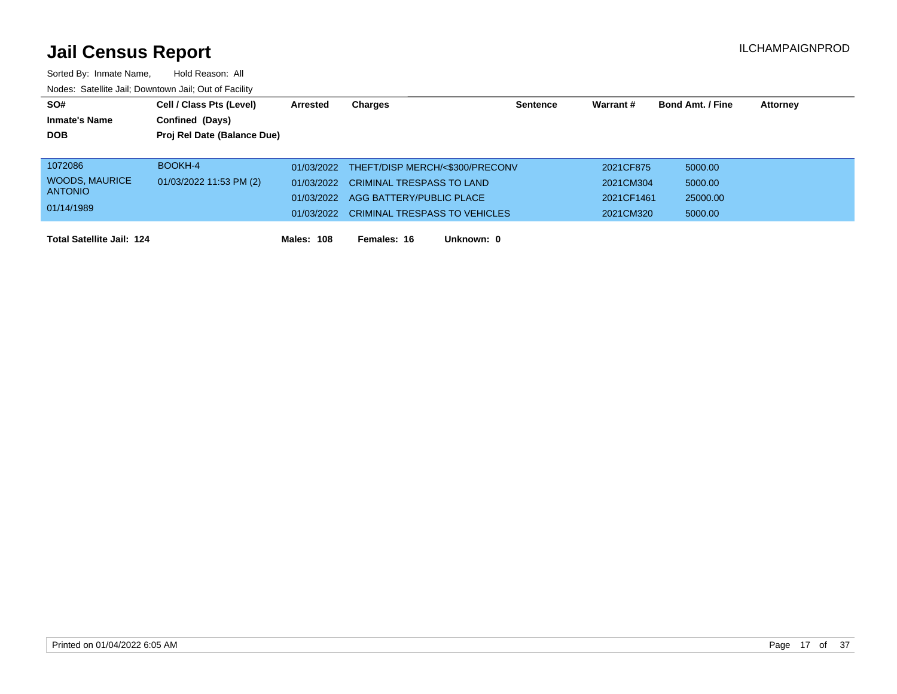| SO#                              | Cell / Class Pts (Level)    | Arrested          | Charges                                    | <b>Sentence</b> | Warrant#   | <b>Bond Amt. / Fine</b> | <b>Attorney</b> |
|----------------------------------|-----------------------------|-------------------|--------------------------------------------|-----------------|------------|-------------------------|-----------------|
| <b>Inmate's Name</b>             | Confined (Days)             |                   |                                            |                 |            |                         |                 |
| <b>DOB</b>                       | Proj Rel Date (Balance Due) |                   |                                            |                 |            |                         |                 |
|                                  |                             |                   |                                            |                 |            |                         |                 |
| 1072086                          | BOOKH-4                     |                   | 01/03/2022 THEFT/DISP MERCH/<\$300/PRECONV |                 | 2021CF875  | 5000.00                 |                 |
| <b>WOODS, MAURICE</b>            | 01/03/2022 11:53 PM (2)     |                   | 01/03/2022 CRIMINAL TRESPASS TO LAND       |                 | 2021CM304  | 5000.00                 |                 |
| <b>ANTONIO</b>                   |                             |                   | 01/03/2022 AGG BATTERY/PUBLIC PLACE        |                 | 2021CF1461 | 25000.00                |                 |
| 01/14/1989                       |                             |                   | 01/03/2022 CRIMINAL TRESPASS TO VEHICLES   |                 | 2021CM320  | 5000.00                 |                 |
|                                  |                             |                   |                                            |                 |            |                         |                 |
| <b>Total Satellite Jail: 124</b> |                             | <b>Males: 108</b> | Females: 16<br>Unknown: 0                  |                 |            |                         |                 |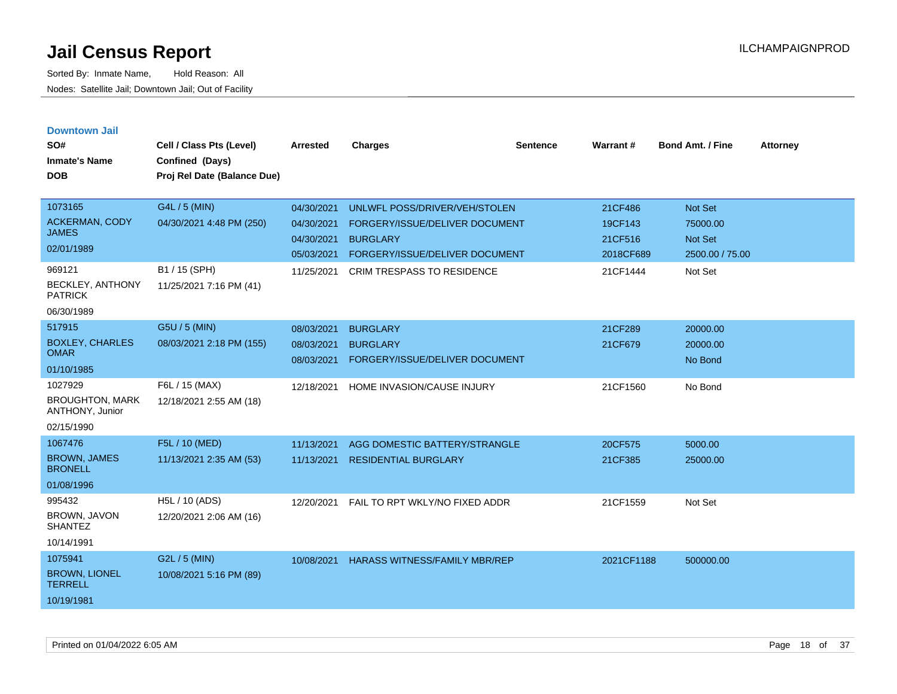| <b>Downtown Jail</b><br>SO#<br><b>Inmate's Name</b><br><b>DOB</b>                            | Cell / Class Pts (Level)<br>Confined (Days)<br>Proj Rel Date (Balance Due)            | <b>Arrested</b>                                                    | <b>Charges</b>                                                                                                                                            | <b>Sentence</b> | Warrant#                                               | <b>Bond Amt. / Fine</b>                                      | <b>Attorney</b> |
|----------------------------------------------------------------------------------------------|---------------------------------------------------------------------------------------|--------------------------------------------------------------------|-----------------------------------------------------------------------------------------------------------------------------------------------------------|-----------------|--------------------------------------------------------|--------------------------------------------------------------|-----------------|
| 1073165<br><b>ACKERMAN, CODY</b><br><b>JAMES</b><br>02/01/1989<br>969121<br>BECKLEY, ANTHONY | G4L / 5 (MIN)<br>04/30/2021 4:48 PM (250)<br>B1 / 15 (SPH)<br>11/25/2021 7:16 PM (41) | 04/30/2021<br>04/30/2021<br>04/30/2021<br>05/03/2021<br>11/25/2021 | UNLWFL POSS/DRIVER/VEH/STOLEN<br>FORGERY/ISSUE/DELIVER DOCUMENT<br><b>BURGLARY</b><br>FORGERY/ISSUE/DELIVER DOCUMENT<br><b>CRIM TRESPASS TO RESIDENCE</b> |                 | 21CF486<br>19CF143<br>21CF516<br>2018CF689<br>21CF1444 | Not Set<br>75000.00<br>Not Set<br>2500.00 / 75.00<br>Not Set |                 |
| <b>PATRICK</b><br>06/30/1989                                                                 |                                                                                       |                                                                    |                                                                                                                                                           |                 |                                                        |                                                              |                 |
| 517915<br><b>BOXLEY, CHARLES</b><br><b>OMAR</b><br>01/10/1985                                | G5U / 5 (MIN)<br>08/03/2021 2:18 PM (155)                                             | 08/03/2021<br>08/03/2021<br>08/03/2021                             | <b>BURGLARY</b><br><b>BURGLARY</b><br>FORGERY/ISSUE/DELIVER DOCUMENT                                                                                      |                 | 21CF289<br>21CF679                                     | 20000.00<br>20000.00<br>No Bond                              |                 |
| 1027929<br><b>BROUGHTON, MARK</b><br>ANTHONY, Junior<br>02/15/1990                           | F6L / 15 (MAX)<br>12/18/2021 2:55 AM (18)                                             | 12/18/2021                                                         | HOME INVASION/CAUSE INJURY                                                                                                                                |                 | 21CF1560                                               | No Bond                                                      |                 |
| 1067476<br><b>BROWN, JAMES</b><br><b>BRONELL</b><br>01/08/1996                               | F5L / 10 (MED)<br>11/13/2021 2:35 AM (53)                                             | 11/13/2021<br>11/13/2021                                           | AGG DOMESTIC BATTERY/STRANGLE<br><b>RESIDENTIAL BURGLARY</b>                                                                                              |                 | 20CF575<br>21CF385                                     | 5000.00<br>25000.00                                          |                 |
| 995432<br>BROWN, JAVON<br><b>SHANTEZ</b><br>10/14/1991                                       | H5L / 10 (ADS)<br>12/20/2021 2:06 AM (16)                                             | 12/20/2021                                                         | FAIL TO RPT WKLY/NO FIXED ADDR                                                                                                                            |                 | 21CF1559                                               | Not Set                                                      |                 |
| 1075941<br><b>BROWN, LIONEL</b><br><b>TERRELL</b><br>10/19/1981                              | G2L / 5 (MIN)<br>10/08/2021 5:16 PM (89)                                              | 10/08/2021                                                         | <b>HARASS WITNESS/FAMILY MBR/REP</b>                                                                                                                      |                 | 2021CF1188                                             | 500000.00                                                    |                 |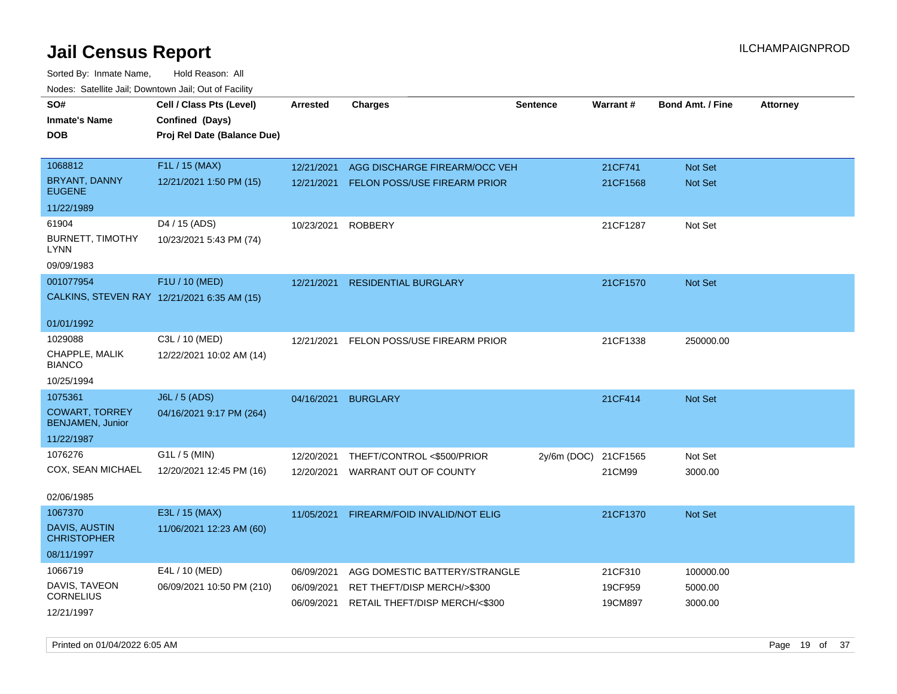Sorted By: Inmate Name, Hold Reason: All Nodes: Satellite Jail; Downtown Jail; Out of Facility

| <u>Rodos.</u> Odiolino dali, Downtown dali, Odi of Fabilit |                                             |                 |                                     |                      |          |                         |                 |
|------------------------------------------------------------|---------------------------------------------|-----------------|-------------------------------------|----------------------|----------|-------------------------|-----------------|
| SO#                                                        | Cell / Class Pts (Level)                    | <b>Arrested</b> | <b>Charges</b>                      | <b>Sentence</b>      | Warrant# | <b>Bond Amt. / Fine</b> | <b>Attorney</b> |
| <b>Inmate's Name</b>                                       | Confined (Days)                             |                 |                                     |                      |          |                         |                 |
| <b>DOB</b>                                                 | Proj Rel Date (Balance Due)                 |                 |                                     |                      |          |                         |                 |
|                                                            |                                             |                 |                                     |                      |          |                         |                 |
| 1068812                                                    | F1L / 15 (MAX)                              | 12/21/2021      | AGG DISCHARGE FIREARM/OCC VEH       |                      | 21CF741  | Not Set                 |                 |
| <b>BRYANT, DANNY</b><br><b>EUGENE</b>                      | 12/21/2021 1:50 PM (15)                     | 12/21/2021      | <b>FELON POSS/USE FIREARM PRIOR</b> |                      | 21CF1568 | <b>Not Set</b>          |                 |
| 11/22/1989                                                 |                                             |                 |                                     |                      |          |                         |                 |
| 61904                                                      | D4 / 15 (ADS)                               | 10/23/2021      | <b>ROBBERY</b>                      |                      | 21CF1287 | Not Set                 |                 |
| <b>BURNETT, TIMOTHY</b><br>LYNN                            | 10/23/2021 5:43 PM (74)                     |                 |                                     |                      |          |                         |                 |
| 09/09/1983                                                 |                                             |                 |                                     |                      |          |                         |                 |
| 001077954                                                  | F1U / 10 (MED)                              | 12/21/2021      | <b>RESIDENTIAL BURGLARY</b>         |                      | 21CF1570 | Not Set                 |                 |
|                                                            | CALKINS, STEVEN RAY 12/21/2021 6:35 AM (15) |                 |                                     |                      |          |                         |                 |
|                                                            |                                             |                 |                                     |                      |          |                         |                 |
| 01/01/1992                                                 |                                             |                 |                                     |                      |          |                         |                 |
| 1029088                                                    | C3L / 10 (MED)                              | 12/21/2021      | FELON POSS/USE FIREARM PRIOR        |                      | 21CF1338 | 250000.00               |                 |
| CHAPPLE, MALIK<br><b>BIANCO</b>                            | 12/22/2021 10:02 AM (14)                    |                 |                                     |                      |          |                         |                 |
| 10/25/1994                                                 |                                             |                 |                                     |                      |          |                         |                 |
| 1075361                                                    | J6L / 5 (ADS)                               | 04/16/2021      | <b>BURGLARY</b>                     |                      | 21CF414  | Not Set                 |                 |
| <b>COWART, TORREY</b><br>BENJAMEN, Junior                  | 04/16/2021 9:17 PM (264)                    |                 |                                     |                      |          |                         |                 |
| 11/22/1987                                                 |                                             |                 |                                     |                      |          |                         |                 |
| 1076276                                                    | G1L / 5 (MIN)                               | 12/20/2021      | THEFT/CONTROL <\$500/PRIOR          | 2y/6m (DOC) 21CF1565 |          | Not Set                 |                 |
| COX, SEAN MICHAEL                                          | 12/20/2021 12:45 PM (16)                    | 12/20/2021      | WARRANT OUT OF COUNTY               |                      | 21CM99   | 3000.00                 |                 |
|                                                            |                                             |                 |                                     |                      |          |                         |                 |
| 02/06/1985                                                 |                                             |                 |                                     |                      |          |                         |                 |
| 1067370                                                    | E3L / 15 (MAX)                              | 11/05/2021      | FIREARM/FOID INVALID/NOT ELIG       |                      | 21CF1370 | <b>Not Set</b>          |                 |
| DAVIS, AUSTIN<br><b>CHRISTOPHER</b>                        | 11/06/2021 12:23 AM (60)                    |                 |                                     |                      |          |                         |                 |
| 08/11/1997                                                 |                                             |                 |                                     |                      |          |                         |                 |
| 1066719                                                    | E4L / 10 (MED)                              | 06/09/2021      | AGG DOMESTIC BATTERY/STRANGLE       |                      | 21CF310  | 100000.00               |                 |
| DAVIS, TAVEON                                              | 06/09/2021 10:50 PM (210)                   | 06/09/2021      | RET THEFT/DISP MERCH/>\$300         |                      | 19CF959  | 5000.00                 |                 |
| <b>CORNELIUS</b>                                           |                                             | 06/09/2021      | RETAIL THEFT/DISP MERCH/<\$300      |                      | 19CM897  | 3000.00                 |                 |
| 12/21/1997                                                 |                                             |                 |                                     |                      |          |                         |                 |

Printed on 01/04/2022 6:05 AM Page 19 of 37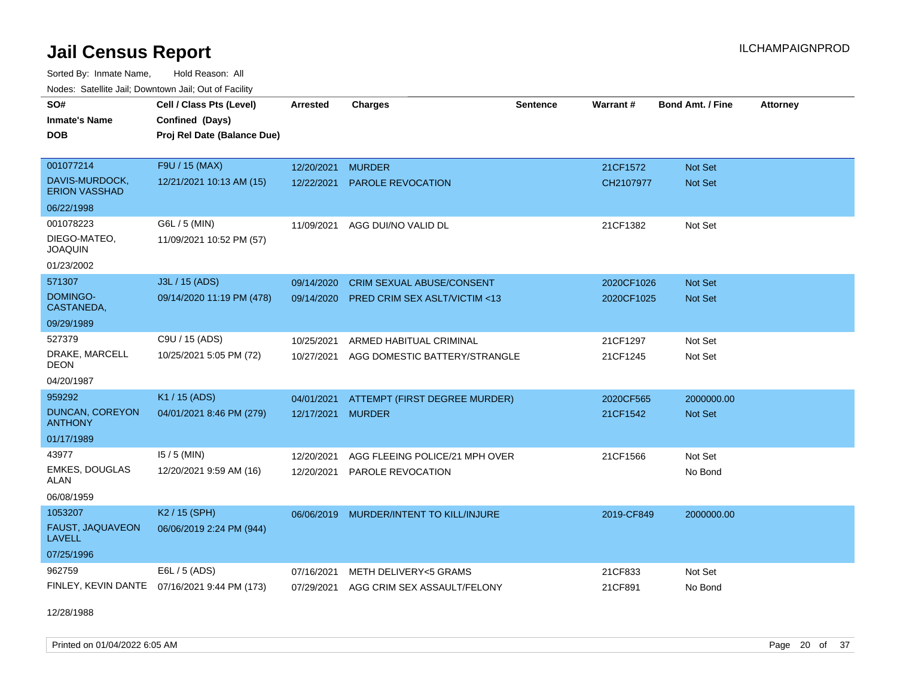Sorted By: Inmate Name, Hold Reason: All Nodes: Satellite Jail; Downtown Jail; Out of Facility

| <b>Houce.</b> Catellite ball, Downtown ball, Out of Fability<br>SO# | Cell / Class Pts (Level)                     | <b>Arrested</b> | <b>Charges</b>                          | <b>Sentence</b> | Warrant#   | <b>Bond Amt. / Fine</b> | <b>Attorney</b> |
|---------------------------------------------------------------------|----------------------------------------------|-----------------|-----------------------------------------|-----------------|------------|-------------------------|-----------------|
| <b>Inmate's Name</b>                                                | Confined (Days)                              |                 |                                         |                 |            |                         |                 |
| <b>DOB</b>                                                          | Proj Rel Date (Balance Due)                  |                 |                                         |                 |            |                         |                 |
|                                                                     |                                              |                 |                                         |                 |            |                         |                 |
| 001077214                                                           | F9U / 15 (MAX)                               | 12/20/2021      | <b>MURDER</b>                           |                 | 21CF1572   | <b>Not Set</b>          |                 |
| DAVIS-MURDOCK,<br><b>ERION VASSHAD</b>                              | 12/21/2021 10:13 AM (15)                     | 12/22/2021      | <b>PAROLE REVOCATION</b>                |                 | CH2107977  | <b>Not Set</b>          |                 |
| 06/22/1998                                                          |                                              |                 |                                         |                 |            |                         |                 |
| 001078223                                                           | G6L / 5 (MIN)                                |                 | 11/09/2021 AGG DUI/NO VALID DL          |                 | 21CF1382   | Not Set                 |                 |
| DIEGO-MATEO,<br><b>JOAQUIN</b>                                      | 11/09/2021 10:52 PM (57)                     |                 |                                         |                 |            |                         |                 |
| 01/23/2002                                                          |                                              |                 |                                         |                 |            |                         |                 |
| 571307                                                              | J3L / 15 (ADS)                               | 09/14/2020      | <b>CRIM SEXUAL ABUSE/CONSENT</b>        |                 | 2020CF1026 | Not Set                 |                 |
| DOMINGO-<br>CASTANEDA,                                              | 09/14/2020 11:19 PM (478)                    | 09/14/2020      | <b>PRED CRIM SEX ASLT/VICTIM &lt;13</b> |                 | 2020CF1025 | <b>Not Set</b>          |                 |
| 09/29/1989                                                          |                                              |                 |                                         |                 |            |                         |                 |
| 527379                                                              | C9U / 15 (ADS)                               | 10/25/2021      | ARMED HABITUAL CRIMINAL                 |                 | 21CF1297   | Not Set                 |                 |
| DRAKE, MARCELL<br><b>DEON</b>                                       | 10/25/2021 5:05 PM (72)                      | 10/27/2021      | AGG DOMESTIC BATTERY/STRANGLE           |                 | 21CF1245   | Not Set                 |                 |
| 04/20/1987                                                          |                                              |                 |                                         |                 |            |                         |                 |
| 959292                                                              | K1 / 15 (ADS)                                | 04/01/2021      | ATTEMPT (FIRST DEGREE MURDER)           |                 | 2020CF565  | 2000000.00              |                 |
| DUNCAN, COREYON<br><b>ANTHONY</b>                                   | 04/01/2021 8:46 PM (279)                     | 12/17/2021      | <b>MURDER</b>                           |                 | 21CF1542   | <b>Not Set</b>          |                 |
| 01/17/1989                                                          |                                              |                 |                                         |                 |            |                         |                 |
| 43977                                                               | $15/5$ (MIN)                                 | 12/20/2021      | AGG FLEEING POLICE/21 MPH OVER          |                 | 21CF1566   | Not Set                 |                 |
| <b>EMKES, DOUGLAS</b><br><b>ALAN</b>                                | 12/20/2021 9:59 AM (16)                      | 12/20/2021      | PAROLE REVOCATION                       |                 |            | No Bond                 |                 |
| 06/08/1959                                                          |                                              |                 |                                         |                 |            |                         |                 |
| 1053207                                                             | K <sub>2</sub> / 15 (SPH)                    | 06/06/2019      | MURDER/INTENT TO KILL/INJURE            |                 | 2019-CF849 | 2000000.00              |                 |
| FAUST, JAQUAVEON<br><b>LAVELL</b>                                   | 06/06/2019 2:24 PM (944)                     |                 |                                         |                 |            |                         |                 |
| 07/25/1996                                                          |                                              |                 |                                         |                 |            |                         |                 |
| 962759                                                              | E6L / 5 (ADS)                                | 07/16/2021      | METH DELIVERY<5 GRAMS                   |                 | 21CF833    | Not Set                 |                 |
|                                                                     | FINLEY, KEVIN DANTE 07/16/2021 9:44 PM (173) |                 | 07/29/2021 AGG CRIM SEX ASSAULT/FELONY  |                 | 21CF891    | No Bond                 |                 |

12/28/1988

Printed on 01/04/2022 6:05 AM Page 20 of 37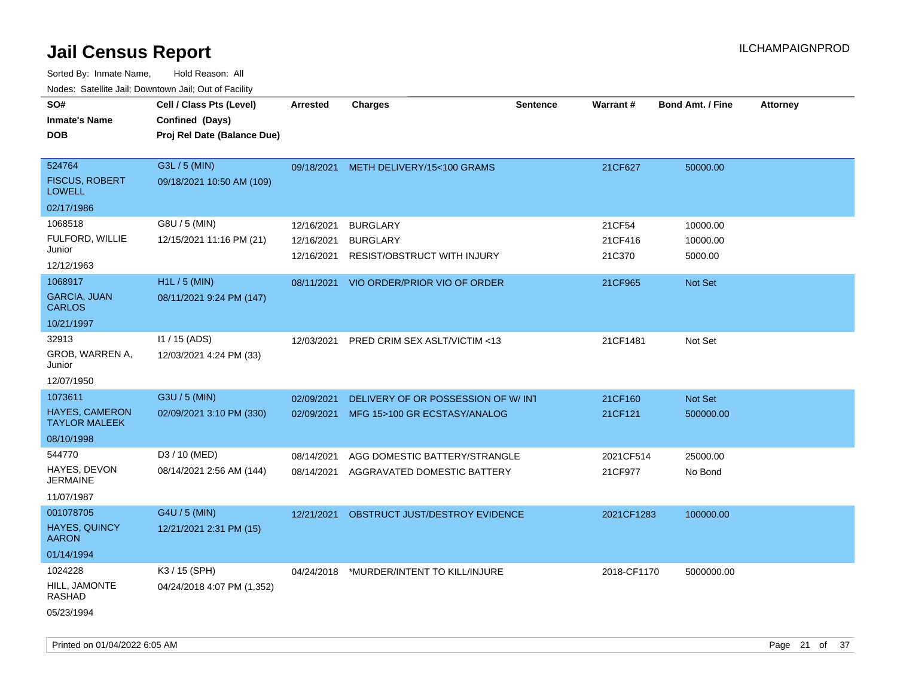| SO#                                           | Cell / Class Pts (Level)    | <b>Arrested</b> | <b>Charges</b>                          | <b>Sentence</b> | Warrant#    | <b>Bond Amt. / Fine</b> | <b>Attorney</b> |
|-----------------------------------------------|-----------------------------|-----------------|-----------------------------------------|-----------------|-------------|-------------------------|-----------------|
| <b>Inmate's Name</b>                          | Confined (Days)             |                 |                                         |                 |             |                         |                 |
| <b>DOB</b>                                    | Proj Rel Date (Balance Due) |                 |                                         |                 |             |                         |                 |
|                                               |                             |                 |                                         |                 |             |                         |                 |
| 524764                                        | G3L / 5 (MIN)               |                 | 09/18/2021 METH DELIVERY/15<100 GRAMS   |                 | 21CF627     | 50000.00                |                 |
| <b>FISCUS, ROBERT</b><br><b>LOWELL</b>        | 09/18/2021 10:50 AM (109)   |                 |                                         |                 |             |                         |                 |
| 02/17/1986                                    |                             |                 |                                         |                 |             |                         |                 |
| 1068518                                       | G8U / 5 (MIN)               | 12/16/2021      | <b>BURGLARY</b>                         |                 | 21CF54      | 10000.00                |                 |
| FULFORD, WILLIE                               | 12/15/2021 11:16 PM (21)    | 12/16/2021      | <b>BURGLARY</b>                         |                 | 21CF416     | 10000.00                |                 |
| Junior                                        |                             | 12/16/2021      | <b>RESIST/OBSTRUCT WITH INJURY</b>      |                 | 21C370      | 5000.00                 |                 |
| 12/12/1963                                    |                             |                 |                                         |                 |             |                         |                 |
| 1068917                                       | $H1L / 5$ (MIN)             |                 | 08/11/2021 VIO ORDER/PRIOR VIO OF ORDER |                 | 21CF965     | Not Set                 |                 |
| <b>GARCIA, JUAN</b><br><b>CARLOS</b>          | 08/11/2021 9:24 PM (147)    |                 |                                         |                 |             |                         |                 |
| 10/21/1997                                    |                             |                 |                                         |                 |             |                         |                 |
| 32913                                         | I1 / 15 (ADS)               | 12/03/2021      | PRED CRIM SEX ASLT/VICTIM <13           |                 | 21CF1481    | Not Set                 |                 |
| GROB, WARREN A,<br>Junior                     | 12/03/2021 4:24 PM (33)     |                 |                                         |                 |             |                         |                 |
| 12/07/1950                                    |                             |                 |                                         |                 |             |                         |                 |
| 1073611                                       | G3U / 5 (MIN)               | 02/09/2021      | DELIVERY OF OR POSSESSION OF W/INT      |                 | 21CF160     | Not Set                 |                 |
| <b>HAYES, CAMERON</b><br><b>TAYLOR MALEEK</b> | 02/09/2021 3:10 PM (330)    |                 | 02/09/2021 MFG 15>100 GR ECSTASY/ANALOG |                 | 21CF121     | 500000.00               |                 |
| 08/10/1998                                    |                             |                 |                                         |                 |             |                         |                 |
| 544770                                        | D3 / 10 (MED)               | 08/14/2021      | AGG DOMESTIC BATTERY/STRANGLE           |                 | 2021CF514   | 25000.00                |                 |
| HAYES, DEVON<br><b>JERMAINE</b>               | 08/14/2021 2:56 AM (144)    | 08/14/2021      | AGGRAVATED DOMESTIC BATTERY             |                 | 21CF977     | No Bond                 |                 |
| 11/07/1987                                    |                             |                 |                                         |                 |             |                         |                 |
| 001078705                                     | G4U / 5 (MIN)               | 12/21/2021      | OBSTRUCT JUST/DESTROY EVIDENCE          |                 | 2021CF1283  | 100000.00               |                 |
| <b>HAYES, QUINCY</b><br><b>AARON</b>          | 12/21/2021 2:31 PM (15)     |                 |                                         |                 |             |                         |                 |
| 01/14/1994                                    |                             |                 |                                         |                 |             |                         |                 |
| 1024228                                       | K3 / 15 (SPH)               | 04/24/2018      | *MURDER/INTENT TO KILL/INJURE           |                 | 2018-CF1170 | 5000000.00              |                 |
| HILL, JAMONTE<br><b>RASHAD</b>                | 04/24/2018 4:07 PM (1,352)  |                 |                                         |                 |             |                         |                 |
| 05/23/1994                                    |                             |                 |                                         |                 |             |                         |                 |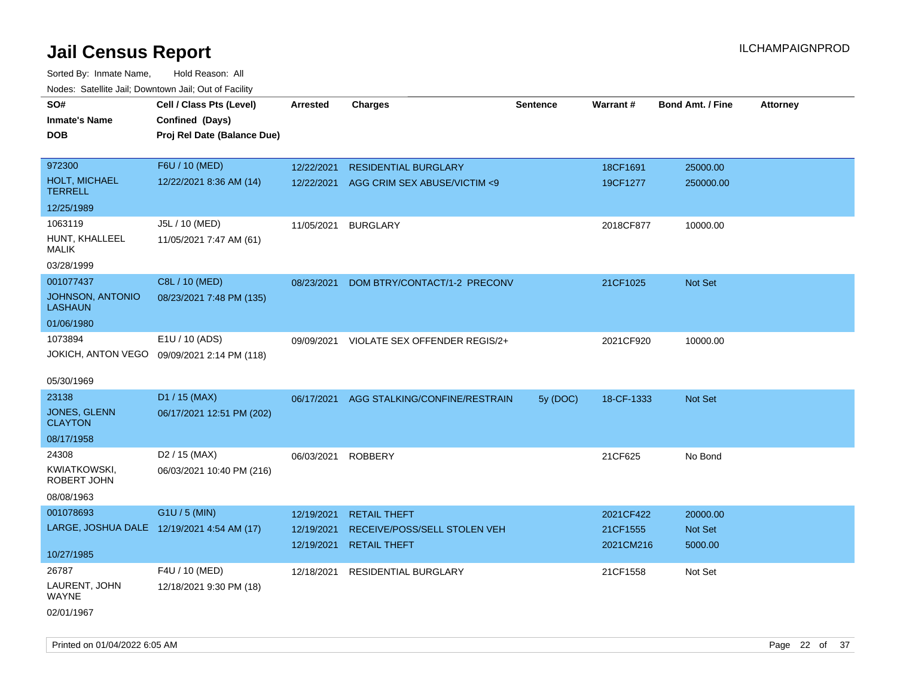| roaco. Odichile Jan, Downtown Jan, Out of Facility |                                             |                 |                               |                 |            |                         |                 |
|----------------------------------------------------|---------------------------------------------|-----------------|-------------------------------|-----------------|------------|-------------------------|-----------------|
| SO#                                                | Cell / Class Pts (Level)                    | <b>Arrested</b> | <b>Charges</b>                | <b>Sentence</b> | Warrant#   | <b>Bond Amt. / Fine</b> | <b>Attorney</b> |
| <b>Inmate's Name</b>                               | Confined (Days)                             |                 |                               |                 |            |                         |                 |
| <b>DOB</b>                                         | Proj Rel Date (Balance Due)                 |                 |                               |                 |            |                         |                 |
|                                                    |                                             |                 |                               |                 |            |                         |                 |
| 972300                                             | F6U / 10 (MED)                              | 12/22/2021      | <b>RESIDENTIAL BURGLARY</b>   |                 | 18CF1691   | 25000.00                |                 |
| <b>HOLT, MICHAEL</b><br><b>TERRELL</b>             | 12/22/2021 8:36 AM (14)                     | 12/22/2021      | AGG CRIM SEX ABUSE/VICTIM <9  |                 | 19CF1277   | 250000.00               |                 |
| 12/25/1989                                         |                                             |                 |                               |                 |            |                         |                 |
| 1063119                                            | J5L / 10 (MED)                              | 11/05/2021      | <b>BURGLARY</b>               |                 | 2018CF877  | 10000.00                |                 |
| HUNT, KHALLEEL<br><b>MALIK</b>                     | 11/05/2021 7:47 AM (61)                     |                 |                               |                 |            |                         |                 |
| 03/28/1999                                         |                                             |                 |                               |                 |            |                         |                 |
| 001077437                                          | C8L / 10 (MED)                              | 08/23/2021      | DOM BTRY/CONTACT/1-2 PRECONV  |                 | 21CF1025   | Not Set                 |                 |
| JOHNSON, ANTONIO<br><b>LASHAUN</b>                 | 08/23/2021 7:48 PM (135)                    |                 |                               |                 |            |                         |                 |
| 01/06/1980                                         |                                             |                 |                               |                 |            |                         |                 |
| 1073894                                            | E1U / 10 (ADS)                              | 09/09/2021      | VIOLATE SEX OFFENDER REGIS/2+ |                 | 2021CF920  | 10000.00                |                 |
|                                                    | JOKICH, ANTON VEGO 09/09/2021 2:14 PM (118) |                 |                               |                 |            |                         |                 |
|                                                    |                                             |                 |                               |                 |            |                         |                 |
| 05/30/1969                                         |                                             |                 |                               |                 |            |                         |                 |
| 23138                                              | D1 / 15 (MAX)                               | 06/17/2021      | AGG STALKING/CONFINE/RESTRAIN | 5y (DOC)        | 18-CF-1333 | Not Set                 |                 |
| <b>JONES, GLENN</b><br><b>CLAYTON</b>              | 06/17/2021 12:51 PM (202)                   |                 |                               |                 |            |                         |                 |
| 08/17/1958                                         |                                             |                 |                               |                 |            |                         |                 |
| 24308                                              | D <sub>2</sub> / 15 (MAX)                   | 06/03/2021      | <b>ROBBERY</b>                |                 | 21CF625    | No Bond                 |                 |
| KWIATKOWSKI,<br>ROBERT JOHN                        | 06/03/2021 10:40 PM (216)                   |                 |                               |                 |            |                         |                 |
| 08/08/1963                                         |                                             |                 |                               |                 |            |                         |                 |
| 001078693                                          | G1U / 5 (MIN)                               | 12/19/2021      | <b>RETAIL THEFT</b>           |                 | 2021CF422  | 20000.00                |                 |
| LARGE, JOSHUA DALE 12/19/2021 4:54 AM (17)         |                                             | 12/19/2021      | RECEIVE/POSS/SELL STOLEN VEH  |                 | 21CF1555   | Not Set                 |                 |
|                                                    |                                             | 12/19/2021      | <b>RETAIL THEFT</b>           |                 | 2021CM216  | 5000.00                 |                 |
| 10/27/1985                                         |                                             |                 |                               |                 |            |                         |                 |
| 26787                                              | F4U / 10 (MED)                              | 12/18/2021      | <b>RESIDENTIAL BURGLARY</b>   |                 | 21CF1558   | Not Set                 |                 |
| LAURENT, JOHN<br><b>WAYNE</b>                      | 12/18/2021 9:30 PM (18)                     |                 |                               |                 |            |                         |                 |
| 02/01/1967                                         |                                             |                 |                               |                 |            |                         |                 |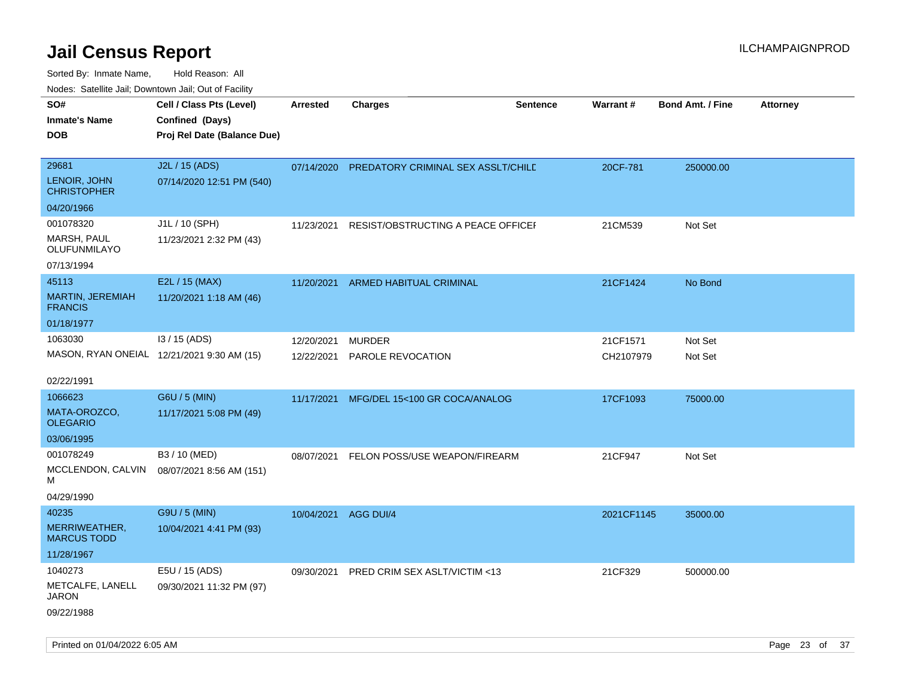| roaco. Odiollito dall, Downtown dall, Out of Fability      |                                                                            |                          |                                         |                 |                       |                         |                 |
|------------------------------------------------------------|----------------------------------------------------------------------------|--------------------------|-----------------------------------------|-----------------|-----------------------|-------------------------|-----------------|
| SO#<br><b>Inmate's Name</b><br>DOB                         | Cell / Class Pts (Level)<br>Confined (Days)<br>Proj Rel Date (Balance Due) | Arrested                 | <b>Charges</b>                          | <b>Sentence</b> | Warrant#              | <b>Bond Amt. / Fine</b> | <b>Attorney</b> |
| 29681<br>LENOIR, JOHN<br><b>CHRISTOPHER</b>                | J2L / 15 (ADS)<br>07/14/2020 12:51 PM (540)                                | 07/14/2020               | PREDATORY CRIMINAL SEX ASSLT/CHILD      |                 | 20CF-781              | 250000.00               |                 |
| 04/20/1966                                                 |                                                                            |                          |                                         |                 |                       |                         |                 |
| 001078320<br>MARSH, PAUL<br>OLUFUNMILAYO                   | J1L / 10 (SPH)<br>11/23/2021 2:32 PM (43)                                  | 11/23/2021               | RESIST/OBSTRUCTING A PEACE OFFICEF      |                 | 21CM539               | Not Set                 |                 |
| 07/13/1994                                                 |                                                                            |                          |                                         |                 |                       |                         |                 |
| 45113<br><b>MARTIN, JEREMIAH</b><br><b>FRANCIS</b>         | E2L / 15 (MAX)<br>11/20/2021 1:18 AM (46)                                  | 11/20/2021               | ARMED HABITUAL CRIMINAL                 |                 | 21CF1424              | No Bond                 |                 |
| 01/18/1977                                                 |                                                                            |                          |                                         |                 |                       |                         |                 |
| 1063030<br>02/22/1991                                      | I3 / 15 (ADS)<br>MASON, RYAN ONEIAL 12/21/2021 9:30 AM (15)                | 12/20/2021<br>12/22/2021 | <b>MURDER</b><br>PAROLE REVOCATION      |                 | 21CF1571<br>CH2107979 | Not Set<br>Not Set      |                 |
| 1066623                                                    | G6U / 5 (MIN)                                                              | 11/17/2021               | MFG/DEL 15<100 GR COCA/ANALOG           |                 | 17CF1093              | 75000.00                |                 |
| MATA-OROZCO,<br><b>OLEGARIO</b>                            | 11/17/2021 5:08 PM (49)                                                    |                          |                                         |                 |                       |                         |                 |
| 03/06/1995                                                 |                                                                            |                          |                                         |                 |                       |                         |                 |
| 001078249<br>MCCLENDON, CALVIN<br>м<br>04/29/1990          | B3 / 10 (MED)<br>08/07/2021 8:56 AM (151)                                  | 08/07/2021               | FELON POSS/USE WEAPON/FIREARM           |                 | 21CF947               | Not Set                 |                 |
| 40235<br>MERRIWEATHER,<br><b>MARCUS TODD</b><br>11/28/1967 | G9U / 5 (MIN)<br>10/04/2021 4:41 PM (93)                                   | 10/04/2021 AGG DUI/4     |                                         |                 | 2021CF1145            | 35000.00                |                 |
| 1040273<br>METCALFE, LANELL<br>JARON<br>09/22/1988         | E5U / 15 (ADS)<br>09/30/2021 11:32 PM (97)                                 | 09/30/2021               | <b>PRED CRIM SEX ASLT/VICTIM &lt;13</b> |                 | 21CF329               | 500000.00               |                 |
|                                                            |                                                                            |                          |                                         |                 |                       |                         |                 |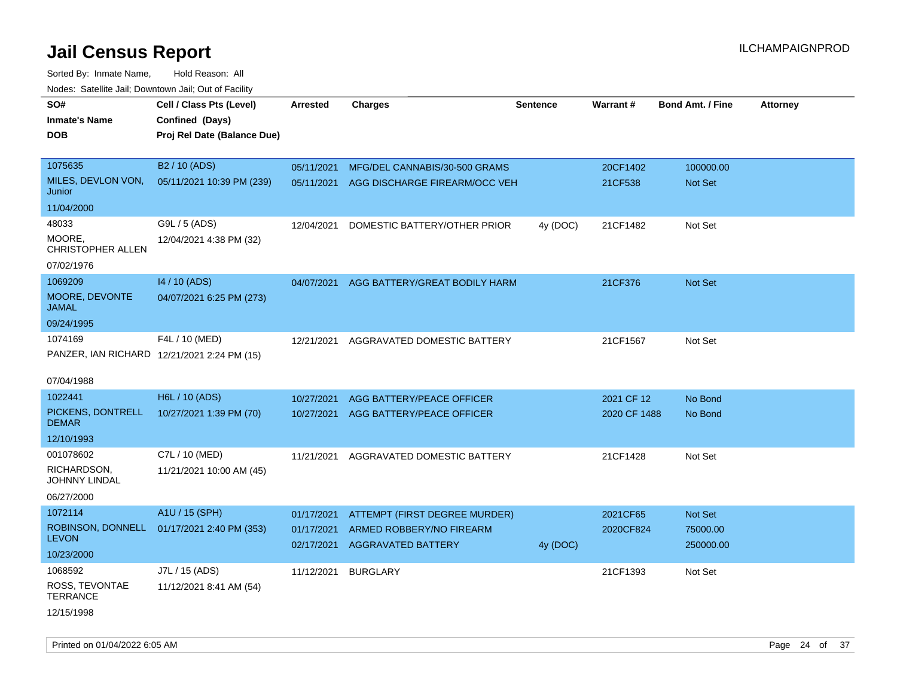| ivouss. Saleling Jali, Downtown Jali, Out of Facility |                                            |                 |                               |                 |              |                         |                 |
|-------------------------------------------------------|--------------------------------------------|-----------------|-------------------------------|-----------------|--------------|-------------------------|-----------------|
| SO#                                                   | Cell / Class Pts (Level)                   | <b>Arrested</b> | <b>Charges</b>                | <b>Sentence</b> | Warrant#     | <b>Bond Amt. / Fine</b> | <b>Attorney</b> |
| <b>Inmate's Name</b>                                  | Confined (Days)                            |                 |                               |                 |              |                         |                 |
| <b>DOB</b>                                            | Proj Rel Date (Balance Due)                |                 |                               |                 |              |                         |                 |
|                                                       |                                            |                 |                               |                 |              |                         |                 |
| 1075635                                               | B <sub>2</sub> / 10 (ADS)                  | 05/11/2021      | MFG/DEL CANNABIS/30-500 GRAMS |                 | 20CF1402     | 100000.00               |                 |
| MILES, DEVLON VON,<br>Junior                          | 05/11/2021 10:39 PM (239)                  | 05/11/2021      | AGG DISCHARGE FIREARM/OCC VEH |                 | 21CF538      | Not Set                 |                 |
| 11/04/2000                                            |                                            |                 |                               |                 |              |                         |                 |
| 48033                                                 | G9L / 5 (ADS)                              | 12/04/2021      | DOMESTIC BATTERY/OTHER PRIOR  | 4y (DOC)        | 21CF1482     | Not Set                 |                 |
| MOORE.<br><b>CHRISTOPHER ALLEN</b>                    | 12/04/2021 4:38 PM (32)                    |                 |                               |                 |              |                         |                 |
| 07/02/1976                                            |                                            |                 |                               |                 |              |                         |                 |
| 1069209                                               | 14 / 10 (ADS)                              | 04/07/2021      | AGG BATTERY/GREAT BODILY HARM |                 | 21CF376      | Not Set                 |                 |
| MOORE, DEVONTE<br>JAMAL                               | 04/07/2021 6:25 PM (273)                   |                 |                               |                 |              |                         |                 |
| 09/24/1995                                            |                                            |                 |                               |                 |              |                         |                 |
| 1074169                                               | F4L / 10 (MED)                             | 12/21/2021      | AGGRAVATED DOMESTIC BATTERY   |                 | 21CF1567     | Not Set                 |                 |
| PANZER, IAN RICHARD 12/21/2021 2:24 PM (15)           |                                            |                 |                               |                 |              |                         |                 |
| 07/04/1988                                            |                                            |                 |                               |                 |              |                         |                 |
| 1022441                                               | H6L / 10 (ADS)                             | 10/27/2021      | AGG BATTERY/PEACE OFFICER     |                 | 2021 CF 12   | No Bond                 |                 |
| PICKENS, DONTRELL<br><b>DEMAR</b>                     | 10/27/2021 1:39 PM (70)                    | 10/27/2021      | AGG BATTERY/PEACE OFFICER     |                 | 2020 CF 1488 | No Bond                 |                 |
| 12/10/1993                                            |                                            |                 |                               |                 |              |                         |                 |
| 001078602                                             | C7L / 10 (MED)                             | 11/21/2021      | AGGRAVATED DOMESTIC BATTERY   |                 | 21CF1428     | Not Set                 |                 |
| RICHARDSON,<br>JOHNNY LINDAL                          | 11/21/2021 10:00 AM (45)                   |                 |                               |                 |              |                         |                 |
| 06/27/2000                                            |                                            |                 |                               |                 |              |                         |                 |
| 1072114                                               | A1U / 15 (SPH)                             | 01/17/2021      | ATTEMPT (FIRST DEGREE MURDER) |                 | 2021CF65     | Not Set                 |                 |
|                                                       | ROBINSON, DONNELL 01/17/2021 2:40 PM (353) | 01/17/2021      | ARMED ROBBERY/NO FIREARM      |                 | 2020CF824    | 75000.00                |                 |
| <b>LEVON</b>                                          |                                            | 02/17/2021      | <b>AGGRAVATED BATTERY</b>     | 4y (DOC)        |              | 250000.00               |                 |
| 10/23/2000                                            |                                            |                 |                               |                 |              |                         |                 |
| 1068592                                               | J7L / 15 (ADS)                             | 11/12/2021      | <b>BURGLARY</b>               |                 | 21CF1393     | Not Set                 |                 |
| ROSS, TEVONTAE<br><b>TERRANCE</b>                     | 11/12/2021 8:41 AM (54)                    |                 |                               |                 |              |                         |                 |
| 12/15/1998                                            |                                            |                 |                               |                 |              |                         |                 |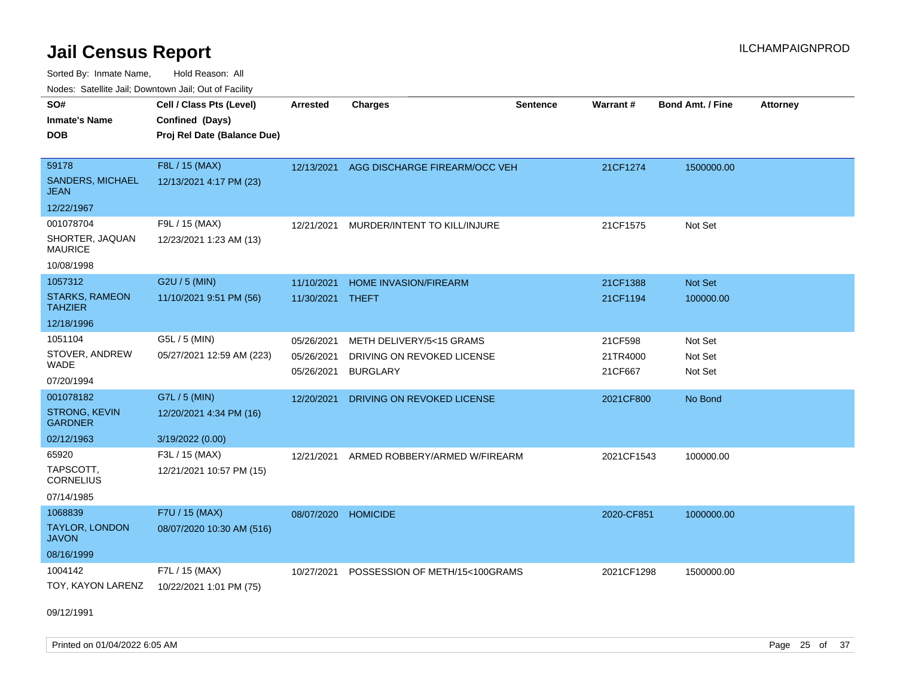Sorted By: Inmate Name, Hold Reason: All Nodes: Satellite Jail; Downtown Jail; Out of Facility

| roaco. Calcinio dan, Downtown dan, Cal or Fability |                                                                            |                          |                                               |                 |                     |                         |                 |
|----------------------------------------------------|----------------------------------------------------------------------------|--------------------------|-----------------------------------------------|-----------------|---------------------|-------------------------|-----------------|
| SO#<br>Inmate's Name<br><b>DOB</b>                 | Cell / Class Pts (Level)<br>Confined (Days)<br>Proj Rel Date (Balance Due) | <b>Arrested</b>          | <b>Charges</b>                                | <b>Sentence</b> | <b>Warrant#</b>     | <b>Bond Amt. / Fine</b> | <b>Attorney</b> |
| 59178                                              | F8L / 15 (MAX)                                                             |                          | 12/13/2021 AGG DISCHARGE FIREARM/OCC VEH      |                 | 21CF1274            | 1500000.00              |                 |
| <b>SANDERS, MICHAEL</b><br>JEAN                    | 12/13/2021 4:17 PM (23)                                                    |                          |                                               |                 |                     |                         |                 |
| 12/22/1967                                         |                                                                            |                          |                                               |                 |                     |                         |                 |
| 001078704                                          | F9L / 15 (MAX)                                                             | 12/21/2021               | MURDER/INTENT TO KILL/INJURE                  |                 | 21CF1575            | Not Set                 |                 |
| SHORTER, JAQUAN<br><b>MAURICE</b>                  | 12/23/2021 1:23 AM (13)                                                    |                          |                                               |                 |                     |                         |                 |
| 10/08/1998                                         |                                                                            |                          |                                               |                 |                     |                         |                 |
| 1057312                                            | G2U / 5 (MIN)                                                              | 11/10/2021               | <b>HOME INVASION/FIREARM</b>                  |                 | 21CF1388            | <b>Not Set</b>          |                 |
| <b>STARKS, RAMEON</b><br>TAHZIER                   | 11/10/2021 9:51 PM (56)                                                    | 11/30/2021 THEFT         |                                               |                 | 21CF1194            | 100000.00               |                 |
| 12/18/1996                                         |                                                                            |                          |                                               |                 |                     |                         |                 |
| 1051104                                            | G5L / 5 (MIN)                                                              | 05/26/2021               | METH DELIVERY/5<15 GRAMS                      |                 | 21CF598             | Not Set                 |                 |
| STOVER, ANDREW<br>WADE                             | 05/27/2021 12:59 AM (223)                                                  | 05/26/2021<br>05/26/2021 | DRIVING ON REVOKED LICENSE<br><b>BURGLARY</b> |                 | 21TR4000<br>21CF667 | Not Set<br>Not Set      |                 |
| 07/20/1994                                         |                                                                            |                          |                                               |                 |                     |                         |                 |
| 001078182                                          | G7L / 5 (MIN)                                                              | 12/20/2021               | DRIVING ON REVOKED LICENSE                    |                 | 2021CF800           | No Bond                 |                 |
| <b>STRONG, KEVIN</b><br><b>GARDNER</b>             | 12/20/2021 4:34 PM (16)                                                    |                          |                                               |                 |                     |                         |                 |
| 02/12/1963                                         | 3/19/2022 (0.00)                                                           |                          |                                               |                 |                     |                         |                 |
| 65920                                              | F3L / 15 (MAX)                                                             | 12/21/2021               | ARMED ROBBERY/ARMED W/FIREARM                 |                 | 2021CF1543          | 100000.00               |                 |
| TAPSCOTT,<br>CORNELIUS                             | 12/21/2021 10:57 PM (15)                                                   |                          |                                               |                 |                     |                         |                 |
| 07/14/1985                                         |                                                                            |                          |                                               |                 |                     |                         |                 |
| 1068839                                            | F7U / 15 (MAX)                                                             | 08/07/2020 HOMICIDE      |                                               |                 | 2020-CF851          | 1000000.00              |                 |
| <b>TAYLOR, LONDON</b><br>JAVON                     | 08/07/2020 10:30 AM (516)                                                  |                          |                                               |                 |                     |                         |                 |
| 08/16/1999                                         |                                                                            |                          |                                               |                 |                     |                         |                 |
| 1004142                                            | F7L / 15 (MAX)                                                             | 10/27/2021               | POSSESSION OF METH/15<100GRAMS                |                 | 2021CF1298          | 1500000.00              |                 |
| TOY, KAYON LARENZ                                  | 10/22/2021 1:01 PM (75)                                                    |                          |                                               |                 |                     |                         |                 |

09/12/1991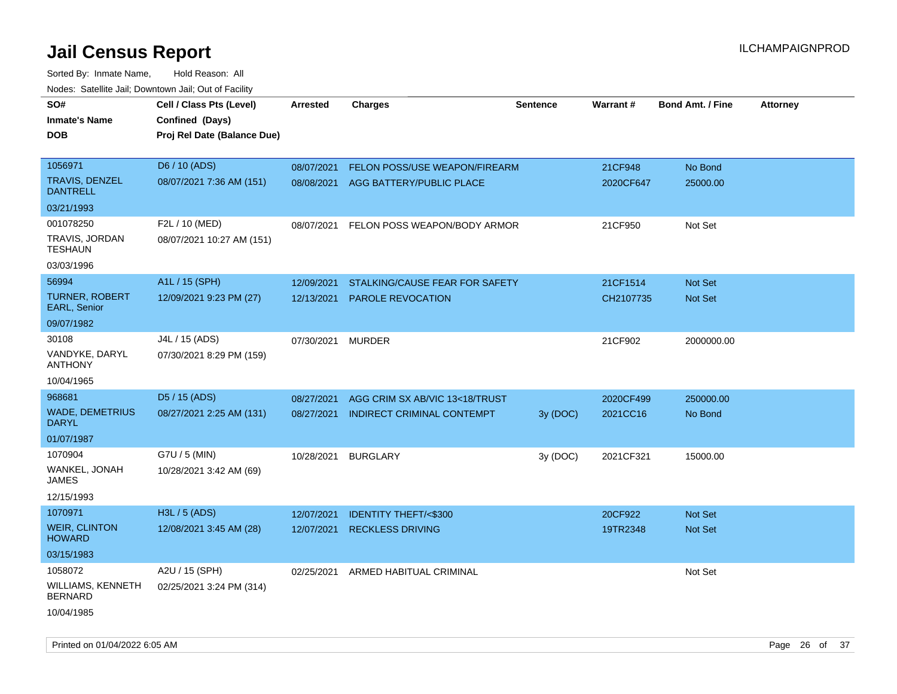| roaco. Catolino dall, Downtown dall, Out of Fability |                             |                 |                                     |                 |           |                         |                 |
|------------------------------------------------------|-----------------------------|-----------------|-------------------------------------|-----------------|-----------|-------------------------|-----------------|
| SO#                                                  | Cell / Class Pts (Level)    | <b>Arrested</b> | <b>Charges</b>                      | <b>Sentence</b> | Warrant#  | <b>Bond Amt. / Fine</b> | <b>Attorney</b> |
| <b>Inmate's Name</b>                                 | Confined (Days)             |                 |                                     |                 |           |                         |                 |
| <b>DOB</b>                                           | Proj Rel Date (Balance Due) |                 |                                     |                 |           |                         |                 |
|                                                      |                             |                 |                                     |                 |           |                         |                 |
| 1056971                                              | D6 / 10 (ADS)               | 08/07/2021      | FELON POSS/USE WEAPON/FIREARM       |                 | 21CF948   | No Bond                 |                 |
| <b>TRAVIS, DENZEL</b><br><b>DANTRELL</b>             | 08/07/2021 7:36 AM (151)    |                 | 08/08/2021 AGG BATTERY/PUBLIC PLACE |                 | 2020CF647 | 25000.00                |                 |
| 03/21/1993                                           |                             |                 |                                     |                 |           |                         |                 |
| 001078250                                            | F2L / 10 (MED)              | 08/07/2021      | FELON POSS WEAPON/BODY ARMOR        |                 | 21CF950   | Not Set                 |                 |
| TRAVIS, JORDAN<br><b>TESHAUN</b>                     | 08/07/2021 10:27 AM (151)   |                 |                                     |                 |           |                         |                 |
| 03/03/1996                                           |                             |                 |                                     |                 |           |                         |                 |
| 56994                                                | A1L / 15 (SPH)              | 12/09/2021      | STALKING/CAUSE FEAR FOR SAFETY      |                 | 21CF1514  | <b>Not Set</b>          |                 |
| <b>TURNER, ROBERT</b><br><b>EARL, Senior</b>         | 12/09/2021 9:23 PM (27)     | 12/13/2021      | <b>PAROLE REVOCATION</b>            |                 | CH2107735 | Not Set                 |                 |
| 09/07/1982                                           |                             |                 |                                     |                 |           |                         |                 |
| 30108                                                | J4L / 15 (ADS)              | 07/30/2021      | <b>MURDER</b>                       |                 | 21CF902   | 2000000.00              |                 |
| VANDYKE, DARYL<br><b>ANTHONY</b>                     | 07/30/2021 8:29 PM (159)    |                 |                                     |                 |           |                         |                 |
| 10/04/1965                                           |                             |                 |                                     |                 |           |                         |                 |
| 968681                                               | D5 / 15 (ADS)               | 08/27/2021      | AGG CRIM SX AB/VIC 13<18/TRUST      |                 | 2020CF499 | 250000.00               |                 |
| <b>WADE, DEMETRIUS</b><br><b>DARYL</b>               | 08/27/2021 2:25 AM (131)    | 08/27/2021      | <b>INDIRECT CRIMINAL CONTEMPT</b>   | 3y (DOC)        | 2021CC16  | No Bond                 |                 |
| 01/07/1987                                           |                             |                 |                                     |                 |           |                         |                 |
| 1070904                                              | G7U / 5 (MIN)               | 10/28/2021      | <b>BURGLARY</b>                     | 3y (DOC)        | 2021CF321 | 15000.00                |                 |
| WANKEL, JONAH<br>JAMES                               | 10/28/2021 3:42 AM (69)     |                 |                                     |                 |           |                         |                 |
| 12/15/1993                                           |                             |                 |                                     |                 |           |                         |                 |
| 1070971                                              | H3L / 5 (ADS)               | 12/07/2021      | <b>IDENTITY THEFT/&lt;\$300</b>     |                 | 20CF922   | <b>Not Set</b>          |                 |
| <b>WEIR, CLINTON</b><br><b>HOWARD</b>                | 12/08/2021 3:45 AM (28)     | 12/07/2021      | <b>RECKLESS DRIVING</b>             |                 | 19TR2348  | <b>Not Set</b>          |                 |
| 03/15/1983                                           |                             |                 |                                     |                 |           |                         |                 |
| 1058072                                              | A2U / 15 (SPH)              | 02/25/2021      | ARMED HABITUAL CRIMINAL             |                 |           | Not Set                 |                 |
| WILLIAMS, KENNETH<br><b>BERNARD</b>                  | 02/25/2021 3:24 PM (314)    |                 |                                     |                 |           |                         |                 |
| 10/04/1985                                           |                             |                 |                                     |                 |           |                         |                 |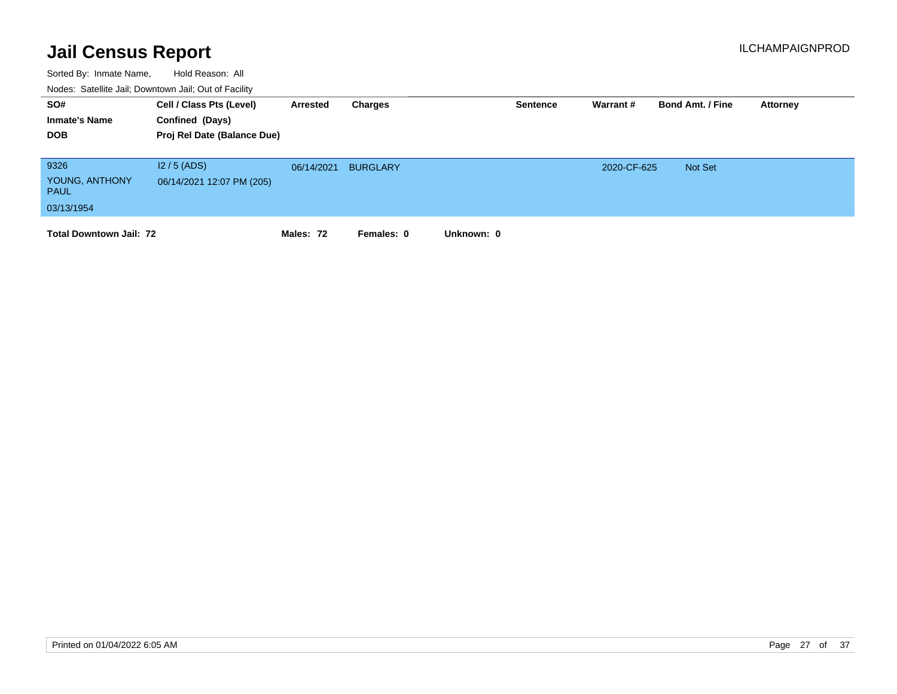| SO#<br><b>Inmate's Name</b><br><b>DOB</b>           | Cell / Class Pts (Level)<br>Confined (Days)<br>Proj Rel Date (Balance Due) | Arrested   | Charges         |            | <b>Sentence</b> | Warrant#    | <b>Bond Amt. / Fine</b> | Attorney |
|-----------------------------------------------------|----------------------------------------------------------------------------|------------|-----------------|------------|-----------------|-------------|-------------------------|----------|
| 9326<br>YOUNG, ANTHONY<br><b>PAUL</b><br>03/13/1954 | $12/5$ (ADS)<br>06/14/2021 12:07 PM (205)                                  | 06/14/2021 | <b>BURGLARY</b> |            |                 | 2020-CF-625 | Not Set                 |          |
| <b>Total Downtown Jail: 72</b>                      |                                                                            | Males: 72  | Females: 0      | Unknown: 0 |                 |             |                         |          |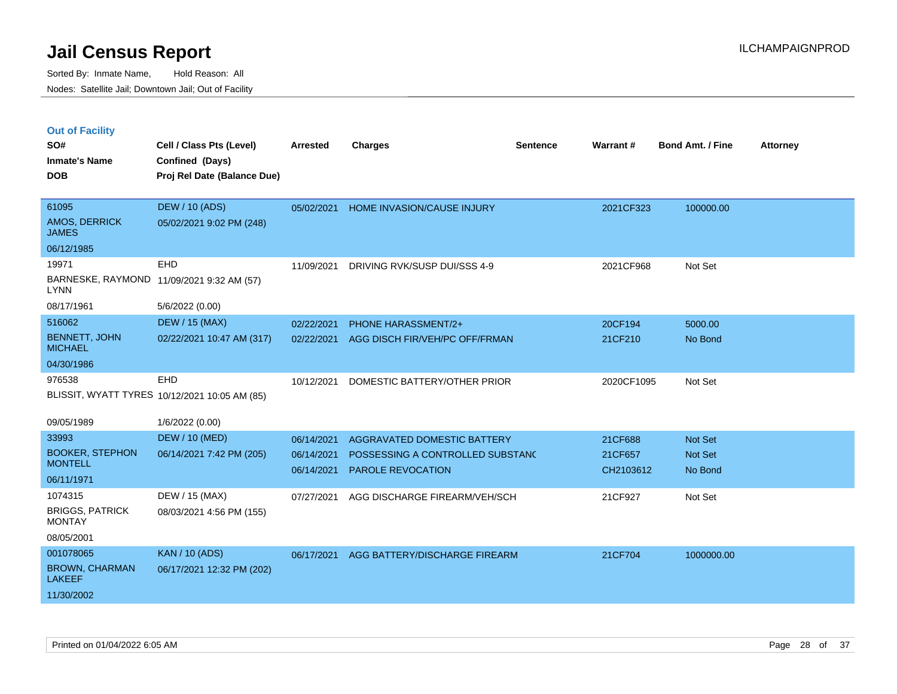|  | <b>Out of Facility</b> |  |
|--|------------------------|--|

| SO#<br><b>Inmate's Name</b><br><b>DOB</b> | Cell / Class Pts (Level)<br>Confined (Days)<br>Proj Rel Date (Balance Due) | <b>Arrested</b> | <b>Charges</b>                     | <b>Sentence</b> | Warrant#   | <b>Bond Amt. / Fine</b> | <b>Attorney</b> |
|-------------------------------------------|----------------------------------------------------------------------------|-----------------|------------------------------------|-----------------|------------|-------------------------|-----------------|
| 61095<br>AMOS, DERRICK<br><b>JAMES</b>    | <b>DEW / 10 (ADS)</b><br>05/02/2021 9:02 PM (248)                          | 05/02/2021      | HOME INVASION/CAUSE INJURY         |                 | 2021CF323  | 100000.00               |                 |
| 06/12/1985                                |                                                                            |                 |                                    |                 |            |                         |                 |
| 19971                                     | EHD                                                                        | 11/09/2021      | DRIVING RVK/SUSP DUI/SSS 4-9       |                 | 2021CF968  | Not Set                 |                 |
| <b>LYNN</b>                               | BARNESKE, RAYMOND 11/09/2021 9:32 AM (57)                                  |                 |                                    |                 |            |                         |                 |
| 08/17/1961                                | 5/6/2022 (0.00)                                                            |                 |                                    |                 |            |                         |                 |
| 516062                                    | <b>DEW / 15 (MAX)</b>                                                      | 02/22/2021      | PHONE HARASSMENT/2+                |                 | 20CF194    | 5000.00                 |                 |
| <b>BENNETT, JOHN</b><br><b>MICHAEL</b>    | 02/22/2021 10:47 AM (317)                                                  | 02/22/2021      | AGG DISCH FIR/VEH/PC OFF/FRMAN     |                 | 21CF210    | No Bond                 |                 |
| 04/30/1986                                |                                                                            |                 |                                    |                 |            |                         |                 |
| 976538                                    | EHD<br>BLISSIT, WYATT TYRES 10/12/2021 10:05 AM (85)                       | 10/12/2021      | DOMESTIC BATTERY/OTHER PRIOR       |                 | 2020CF1095 | Not Set                 |                 |
| 09/05/1989                                | 1/6/2022 (0.00)                                                            |                 |                                    |                 |            |                         |                 |
| 33993                                     | <b>DEW / 10 (MED)</b>                                                      | 06/14/2021      | <b>AGGRAVATED DOMESTIC BATTERY</b> |                 | 21CF688    | Not Set                 |                 |
| <b>BOOKER, STEPHON</b>                    | 06/14/2021 7:42 PM (205)                                                   | 06/14/2021      | POSSESSING A CONTROLLED SUBSTANC   |                 | 21CF657    | Not Set                 |                 |
| <b>MONTELL</b>                            |                                                                            | 06/14/2021      | <b>PAROLE REVOCATION</b>           |                 | CH2103612  | No Bond                 |                 |
| 06/11/1971                                |                                                                            |                 |                                    |                 |            |                         |                 |
| 1074315                                   | DEW / 15 (MAX)                                                             | 07/27/2021      | AGG DISCHARGE FIREARM/VEH/SCH      |                 | 21CF927    | Not Set                 |                 |
| <b>BRIGGS, PATRICK</b><br><b>MONTAY</b>   | 08/03/2021 4:56 PM (155)                                                   |                 |                                    |                 |            |                         |                 |
| 08/05/2001                                |                                                                            |                 |                                    |                 |            |                         |                 |
| 001078065                                 | <b>KAN / 10 (ADS)</b>                                                      | 06/17/2021      | AGG BATTERY/DISCHARGE FIREARM      |                 | 21CF704    | 1000000.00              |                 |
| <b>BROWN, CHARMAN</b><br><b>LAKEEF</b>    | 06/17/2021 12:32 PM (202)                                                  |                 |                                    |                 |            |                         |                 |
| 11/30/2002                                |                                                                            |                 |                                    |                 |            |                         |                 |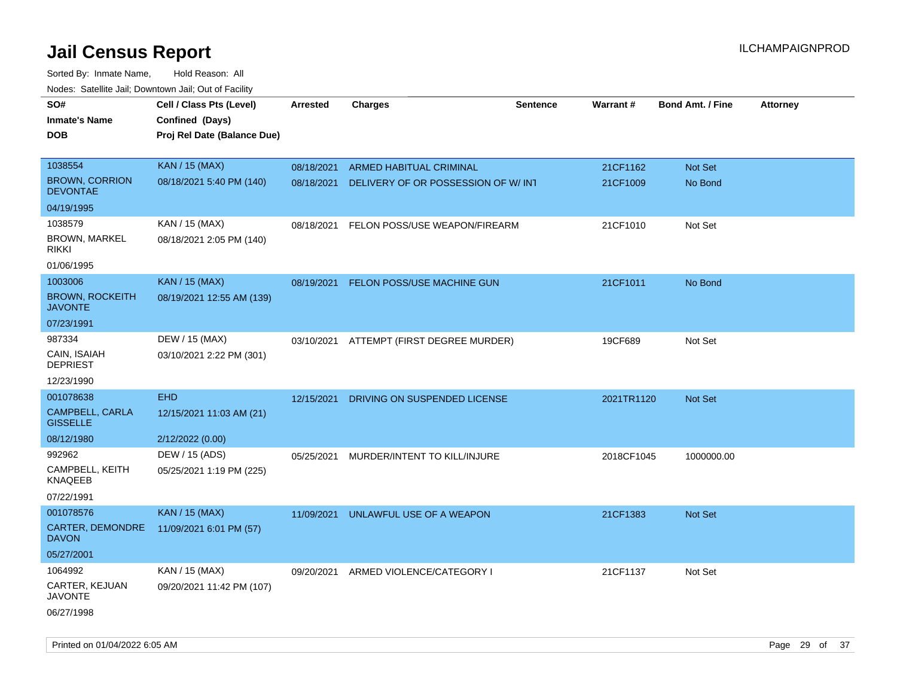| Hougo. Catolino can, Bowmown can, Cat or Fagint<br>SO# | Cell / Class Pts (Level)                       | <b>Arrested</b> | <b>Charges</b>                           | <b>Sentence</b> | Warrant#   | <b>Bond Amt. / Fine</b> | <b>Attorney</b> |
|--------------------------------------------------------|------------------------------------------------|-----------------|------------------------------------------|-----------------|------------|-------------------------|-----------------|
| <b>Inmate's Name</b><br><b>DOB</b>                     | Confined (Days)<br>Proj Rel Date (Balance Due) |                 |                                          |                 |            |                         |                 |
|                                                        |                                                |                 |                                          |                 |            |                         |                 |
| 1038554                                                | <b>KAN / 15 (MAX)</b>                          | 08/18/2021      | ARMED HABITUAL CRIMINAL                  |                 | 21CF1162   | Not Set                 |                 |
| <b>BROWN, CORRION</b><br><b>DEVONTAE</b>               | 08/18/2021 5:40 PM (140)                       | 08/18/2021      | DELIVERY OF OR POSSESSION OF W/INT       |                 | 21CF1009   | No Bond                 |                 |
| 04/19/1995                                             |                                                |                 |                                          |                 |            |                         |                 |
| 1038579                                                | KAN / 15 (MAX)                                 | 08/18/2021      | FELON POSS/USE WEAPON/FIREARM            |                 | 21CF1010   | Not Set                 |                 |
| <b>BROWN, MARKEL</b><br><b>RIKKI</b>                   | 08/18/2021 2:05 PM (140)                       |                 |                                          |                 |            |                         |                 |
| 01/06/1995                                             |                                                |                 |                                          |                 |            |                         |                 |
| 1003006                                                | <b>KAN / 15 (MAX)</b>                          | 08/19/2021      | FELON POSS/USE MACHINE GUN               |                 | 21CF1011   | No Bond                 |                 |
| <b>BROWN, ROCKEITH</b><br><b>JAVONTE</b>               | 08/19/2021 12:55 AM (139)                      |                 |                                          |                 |            |                         |                 |
| 07/23/1991                                             |                                                |                 |                                          |                 |            |                         |                 |
| 987334                                                 | DEW / 15 (MAX)                                 |                 | 03/10/2021 ATTEMPT (FIRST DEGREE MURDER) |                 | 19CF689    | Not Set                 |                 |
| CAIN, ISAIAH<br><b>DEPRIEST</b>                        | 03/10/2021 2:22 PM (301)                       |                 |                                          |                 |            |                         |                 |
| 12/23/1990                                             |                                                |                 |                                          |                 |            |                         |                 |
| 001078638                                              | <b>EHD</b>                                     | 12/15/2021      | DRIVING ON SUSPENDED LICENSE             |                 | 2021TR1120 | Not Set                 |                 |
| CAMPBELL, CARLA<br><b>GISSELLE</b>                     | 12/15/2021 11:03 AM (21)                       |                 |                                          |                 |            |                         |                 |
| 08/12/1980                                             | 2/12/2022 (0.00)                               |                 |                                          |                 |            |                         |                 |
| 992962                                                 | DEW / 15 (ADS)                                 | 05/25/2021      | MURDER/INTENT TO KILL/INJURE             |                 | 2018CF1045 | 1000000.00              |                 |
| CAMPBELL, KEITH<br>KNAQEEB                             | 05/25/2021 1:19 PM (225)                       |                 |                                          |                 |            |                         |                 |
| 07/22/1991                                             |                                                |                 |                                          |                 |            |                         |                 |
| 001078576                                              | <b>KAN / 15 (MAX)</b>                          | 11/09/2021      | UNLAWFUL USE OF A WEAPON                 |                 | 21CF1383   | <b>Not Set</b>          |                 |
| CARTER, DEMONDRE<br><b>DAVON</b>                       | 11/09/2021 6:01 PM (57)                        |                 |                                          |                 |            |                         |                 |
| 05/27/2001                                             |                                                |                 |                                          |                 |            |                         |                 |
| 1064992                                                | KAN / 15 (MAX)                                 | 09/20/2021      | ARMED VIOLENCE/CATEGORY I                |                 | 21CF1137   | Not Set                 |                 |
| CARTER, KEJUAN<br>JAVONTE                              | 09/20/2021 11:42 PM (107)                      |                 |                                          |                 |            |                         |                 |
| 06/27/1998                                             |                                                |                 |                                          |                 |            |                         |                 |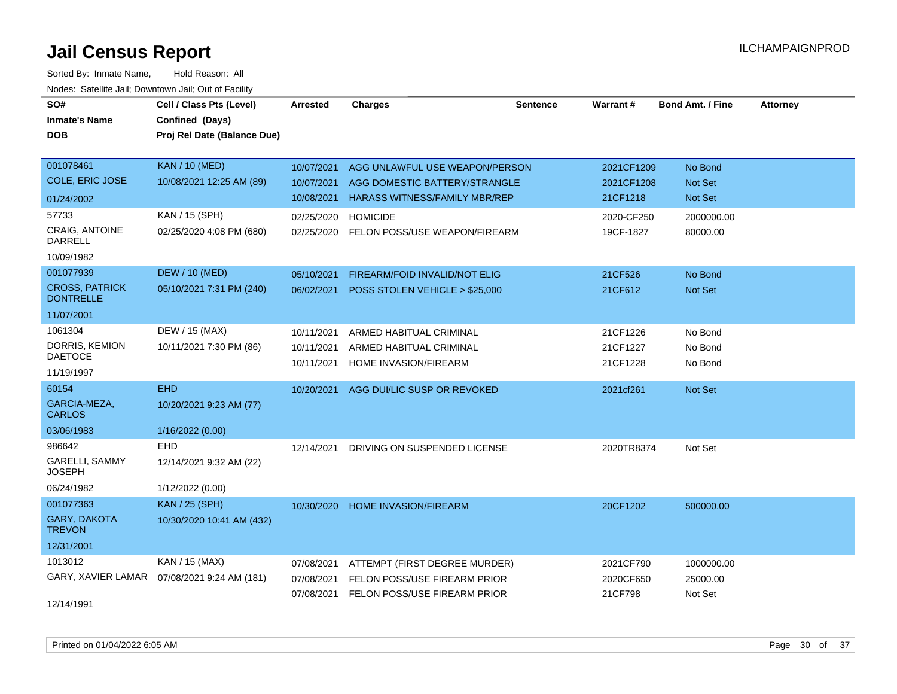| SO#                                       | Cell / Class Pts (Level)    | <b>Arrested</b> | <b>Charges</b>                       | <b>Sentence</b> | <b>Warrant#</b> | <b>Bond Amt. / Fine</b> | <b>Attorney</b> |
|-------------------------------------------|-----------------------------|-----------------|--------------------------------------|-----------------|-----------------|-------------------------|-----------------|
| <b>Inmate's Name</b>                      | Confined (Days)             |                 |                                      |                 |                 |                         |                 |
| <b>DOB</b>                                | Proj Rel Date (Balance Due) |                 |                                      |                 |                 |                         |                 |
|                                           |                             |                 |                                      |                 |                 |                         |                 |
| 001078461                                 | <b>KAN / 10 (MED)</b>       | 10/07/2021      | AGG UNLAWFUL USE WEAPON/PERSON       |                 | 2021CF1209      | No Bond                 |                 |
| <b>COLE, ERIC JOSE</b>                    | 10/08/2021 12:25 AM (89)    | 10/07/2021      | AGG DOMESTIC BATTERY/STRANGLE        |                 | 2021CF1208      | Not Set                 |                 |
| 01/24/2002                                |                             | 10/08/2021      | <b>HARASS WITNESS/FAMILY MBR/REP</b> |                 | 21CF1218        | Not Set                 |                 |
| 57733                                     | KAN / 15 (SPH)              | 02/25/2020      | <b>HOMICIDE</b>                      |                 | 2020-CF250      | 2000000.00              |                 |
| <b>CRAIG, ANTOINE</b><br><b>DARRELL</b>   | 02/25/2020 4:08 PM (680)    | 02/25/2020      | FELON POSS/USE WEAPON/FIREARM        |                 | 19CF-1827       | 80000.00                |                 |
| 10/09/1982                                |                             |                 |                                      |                 |                 |                         |                 |
| 001077939                                 | <b>DEW / 10 (MED)</b>       | 05/10/2021      | FIREARM/FOID INVALID/NOT ELIG        |                 | 21CF526         | No Bond                 |                 |
| <b>CROSS, PATRICK</b><br><b>DONTRELLE</b> | 05/10/2021 7:31 PM (240)    | 06/02/2021      | POSS STOLEN VEHICLE > \$25,000       |                 | 21CF612         | Not Set                 |                 |
| 11/07/2001                                |                             |                 |                                      |                 |                 |                         |                 |
| 1061304                                   | DEW / 15 (MAX)              | 10/11/2021      | ARMED HABITUAL CRIMINAL              |                 | 21CF1226        | No Bond                 |                 |
| DORRIS, KEMION                            | 10/11/2021 7:30 PM (86)     | 10/11/2021      | ARMED HABITUAL CRIMINAL              |                 | 21CF1227        | No Bond                 |                 |
| <b>DAETOCE</b>                            |                             | 10/11/2021      | HOME INVASION/FIREARM                |                 | 21CF1228        | No Bond                 |                 |
| 11/19/1997                                |                             |                 |                                      |                 |                 |                         |                 |
| 60154                                     | <b>EHD</b>                  | 10/20/2021      | AGG DUI/LIC SUSP OR REVOKED          |                 | 2021cf261       | Not Set                 |                 |
| GARCIA-MEZA,<br><b>CARLOS</b>             | 10/20/2021 9:23 AM (77)     |                 |                                      |                 |                 |                         |                 |
| 03/06/1983                                | 1/16/2022 (0.00)            |                 |                                      |                 |                 |                         |                 |
| 986642                                    | <b>EHD</b>                  | 12/14/2021      | DRIVING ON SUSPENDED LICENSE         |                 | 2020TR8374      | Not Set                 |                 |
| <b>GARELLI, SAMMY</b><br><b>JOSEPH</b>    | 12/14/2021 9:32 AM (22)     |                 |                                      |                 |                 |                         |                 |
| 06/24/1982                                | 1/12/2022 (0.00)            |                 |                                      |                 |                 |                         |                 |
| 001077363                                 | <b>KAN / 25 (SPH)</b>       | 10/30/2020      | <b>HOME INVASION/FIREARM</b>         |                 | 20CF1202        | 500000.00               |                 |
| GARY, DAKOTA<br><b>TREVON</b>             | 10/30/2020 10:41 AM (432)   |                 |                                      |                 |                 |                         |                 |
| 12/31/2001                                |                             |                 |                                      |                 |                 |                         |                 |
| 1013012                                   | KAN / 15 (MAX)              | 07/08/2021      | ATTEMPT (FIRST DEGREE MURDER)        |                 | 2021CF790       | 1000000.00              |                 |
| GARY, XAVIER LAMAR                        | 07/08/2021 9:24 AM (181)    | 07/08/2021      | FELON POSS/USE FIREARM PRIOR         |                 | 2020CF650       | 25000.00                |                 |
|                                           |                             | 07/08/2021      | FELON POSS/USE FIREARM PRIOR         |                 | 21CF798         | Not Set                 |                 |
| 12/14/1991                                |                             |                 |                                      |                 |                 |                         |                 |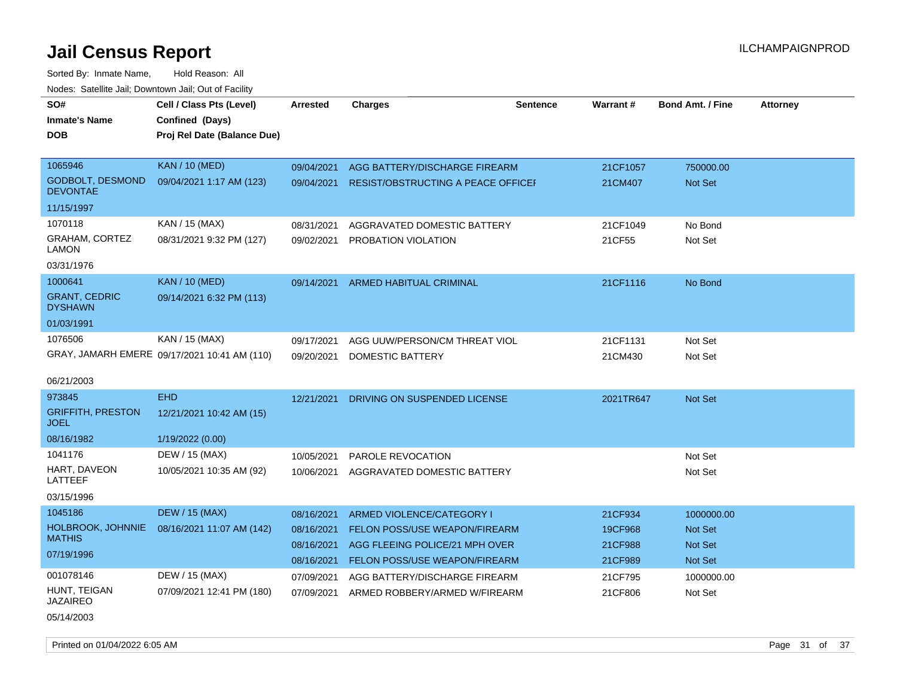| SO#<br><b>Inmate's Name</b><br><b>DOB</b> | Cell / Class Pts (Level)<br>Confined (Days)<br>Proj Rel Date (Balance Due) | Arrested   | <b>Charges</b>                            | <b>Sentence</b> | Warrant#  | <b>Bond Amt. / Fine</b> | <b>Attorney</b> |
|-------------------------------------------|----------------------------------------------------------------------------|------------|-------------------------------------------|-----------------|-----------|-------------------------|-----------------|
| 1065946                                   | <b>KAN / 10 (MED)</b>                                                      | 09/04/2021 | AGG BATTERY/DISCHARGE FIREARM             |                 | 21CF1057  | 750000.00               |                 |
| GODBOLT, DESMOND<br><b>DEVONTAE</b>       | 09/04/2021 1:17 AM (123)                                                   | 09/04/2021 | <b>RESIST/OBSTRUCTING A PEACE OFFICEF</b> |                 | 21CM407   | <b>Not Set</b>          |                 |
| 11/15/1997                                |                                                                            |            |                                           |                 |           |                         |                 |
| 1070118                                   | KAN / 15 (MAX)                                                             | 08/31/2021 | AGGRAVATED DOMESTIC BATTERY               |                 | 21CF1049  | No Bond                 |                 |
| <b>GRAHAM, CORTEZ</b><br>LAMON            | 08/31/2021 9:32 PM (127)                                                   | 09/02/2021 | <b>PROBATION VIOLATION</b>                |                 | 21CF55    | Not Set                 |                 |
| 03/31/1976                                |                                                                            |            |                                           |                 |           |                         |                 |
| 1000641                                   | <b>KAN / 10 (MED)</b>                                                      | 09/14/2021 | ARMED HABITUAL CRIMINAL                   |                 | 21CF1116  | No Bond                 |                 |
| <b>GRANT, CEDRIC</b><br><b>DYSHAWN</b>    | 09/14/2021 6:32 PM (113)                                                   |            |                                           |                 |           |                         |                 |
| 01/03/1991                                |                                                                            |            |                                           |                 |           |                         |                 |
| 1076506                                   | KAN / 15 (MAX)                                                             | 09/17/2021 | AGG UUW/PERSON/CM THREAT VIOL             |                 | 21CF1131  | Not Set                 |                 |
|                                           | GRAY, JAMARH EMERE 09/17/2021 10:41 AM (110)                               | 09/20/2021 | DOMESTIC BATTERY                          |                 | 21CM430   | Not Set                 |                 |
| 06/21/2003                                |                                                                            |            |                                           |                 |           |                         |                 |
| 973845                                    | <b>EHD</b>                                                                 | 12/21/2021 | DRIVING ON SUSPENDED LICENSE              |                 | 2021TR647 | <b>Not Set</b>          |                 |
| <b>GRIFFITH, PRESTON</b><br><b>JOEL</b>   | 12/21/2021 10:42 AM (15)                                                   |            |                                           |                 |           |                         |                 |
| 08/16/1982                                | 1/19/2022 (0.00)                                                           |            |                                           |                 |           |                         |                 |
| 1041176                                   | DEW / 15 (MAX)                                                             | 10/05/2021 | PAROLE REVOCATION                         |                 |           | Not Set                 |                 |
| HART, DAVEON<br>LATTEEF                   | 10/05/2021 10:35 AM (92)                                                   | 10/06/2021 | AGGRAVATED DOMESTIC BATTERY               |                 |           | Not Set                 |                 |
| 03/15/1996                                |                                                                            |            |                                           |                 |           |                         |                 |
| 1045186                                   | <b>DEW / 15 (MAX)</b>                                                      | 08/16/2021 | ARMED VIOLENCE/CATEGORY I                 |                 | 21CF934   | 1000000.00              |                 |
| HOLBROOK, JOHNNIE                         | 08/16/2021 11:07 AM (142)                                                  | 08/16/2021 | FELON POSS/USE WEAPON/FIREARM             |                 | 19CF968   | <b>Not Set</b>          |                 |
| <b>MATHIS</b>                             |                                                                            | 08/16/2021 | AGG FLEEING POLICE/21 MPH OVER            |                 | 21CF988   | <b>Not Set</b>          |                 |
| 07/19/1996                                |                                                                            | 08/16/2021 | FELON POSS/USE WEAPON/FIREARM             |                 | 21CF989   | Not Set                 |                 |
| 001078146                                 | DEW / 15 (MAX)                                                             | 07/09/2021 | AGG BATTERY/DISCHARGE FIREARM             |                 | 21CF795   | 1000000.00              |                 |
| HUNT, TEIGAN<br><b>JAZAIREO</b>           | 07/09/2021 12:41 PM (180)                                                  | 07/09/2021 | ARMED ROBBERY/ARMED W/FIREARM             |                 | 21CF806   | Not Set                 |                 |
| 05/14/2003                                |                                                                            |            |                                           |                 |           |                         |                 |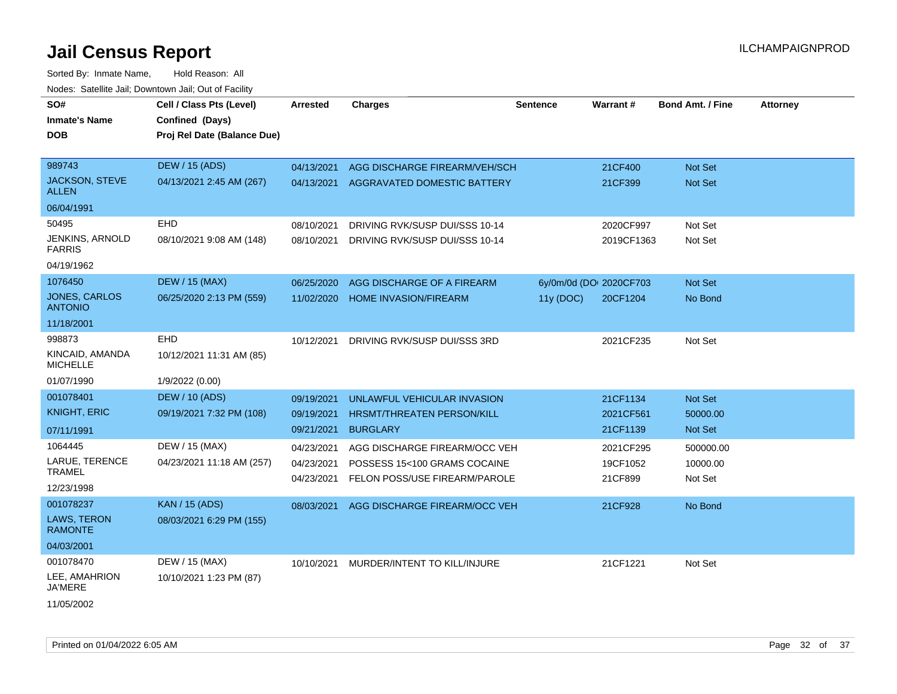| SO#                                    | Cell / Class Pts (Level)    | <b>Arrested</b> | <b>Charges</b>                 | <b>Sentence</b> | <b>Warrant#</b>         | <b>Bond Amt. / Fine</b> | <b>Attorney</b> |
|----------------------------------------|-----------------------------|-----------------|--------------------------------|-----------------|-------------------------|-------------------------|-----------------|
| <b>Inmate's Name</b>                   | Confined (Days)             |                 |                                |                 |                         |                         |                 |
| DOB                                    | Proj Rel Date (Balance Due) |                 |                                |                 |                         |                         |                 |
|                                        |                             |                 |                                |                 |                         |                         |                 |
| 989743                                 | <b>DEW / 15 (ADS)</b>       | 04/13/2021      | AGG DISCHARGE FIREARM/VEH/SCH  |                 | 21CF400                 | Not Set                 |                 |
| JACKSON, STEVE<br><b>ALLEN</b>         | 04/13/2021 2:45 AM (267)    | 04/13/2021      | AGGRAVATED DOMESTIC BATTERY    |                 | 21CF399                 | Not Set                 |                 |
| 06/04/1991                             |                             |                 |                                |                 |                         |                         |                 |
| 50495                                  | <b>EHD</b>                  | 08/10/2021      | DRIVING RVK/SUSP DUI/SSS 10-14 |                 | 2020CF997               | Not Set                 |                 |
| JENKINS, ARNOLD<br><b>FARRIS</b>       | 08/10/2021 9:08 AM (148)    | 08/10/2021      | DRIVING RVK/SUSP DUI/SSS 10-14 |                 | 2019CF1363              | Not Set                 |                 |
| 04/19/1962                             |                             |                 |                                |                 |                         |                         |                 |
| 1076450                                | <b>DEW / 15 (MAX)</b>       | 06/25/2020      | AGG DISCHARGE OF A FIREARM     |                 | 6y/0m/0d (DOI 2020CF703 | Not Set                 |                 |
| <b>JONES, CARLOS</b><br><b>ANTONIO</b> | 06/25/2020 2:13 PM (559)    | 11/02/2020      | <b>HOME INVASION/FIREARM</b>   | 11y (DOC)       | 20CF1204                | No Bond                 |                 |
| 11/18/2001                             |                             |                 |                                |                 |                         |                         |                 |
| 998873                                 | <b>EHD</b>                  | 10/12/2021      | DRIVING RVK/SUSP DUI/SSS 3RD   |                 | 2021CF235               | Not Set                 |                 |
| KINCAID, AMANDA<br><b>MICHELLE</b>     | 10/12/2021 11:31 AM (85)    |                 |                                |                 |                         |                         |                 |
| 01/07/1990                             | 1/9/2022 (0.00)             |                 |                                |                 |                         |                         |                 |
| 001078401                              | <b>DEW / 10 (ADS)</b>       | 09/19/2021      | UNLAWFUL VEHICULAR INVASION    |                 | 21CF1134                | <b>Not Set</b>          |                 |
| <b>KNIGHT, ERIC</b>                    | 09/19/2021 7:32 PM (108)    | 09/19/2021      | HRSMT/THREATEN PERSON/KILL     |                 | 2021CF561               | 50000.00                |                 |
| 07/11/1991                             |                             | 09/21/2021      | <b>BURGLARY</b>                |                 | 21CF1139                | Not Set                 |                 |
| 1064445                                | DEW / 15 (MAX)              | 04/23/2021      | AGG DISCHARGE FIREARM/OCC VEH  |                 | 2021CF295               | 500000.00               |                 |
| LARUE, TERENCE                         | 04/23/2021 11:18 AM (257)   | 04/23/2021      | POSSESS 15<100 GRAMS COCAINE   |                 | 19CF1052                | 10000.00                |                 |
| <b>TRAMEL</b>                          |                             | 04/23/2021      | FELON POSS/USE FIREARM/PAROLE  |                 | 21CF899                 | Not Set                 |                 |
| 12/23/1998                             |                             |                 |                                |                 |                         |                         |                 |
| 001078237                              | <b>KAN / 15 (ADS)</b>       | 08/03/2021      | AGG DISCHARGE FIREARM/OCC VEH  |                 | 21CF928                 | No Bond                 |                 |
| LAWS, TERON<br><b>RAMONTE</b>          | 08/03/2021 6:29 PM (155)    |                 |                                |                 |                         |                         |                 |
| 04/03/2001                             |                             |                 |                                |                 |                         |                         |                 |
| 001078470                              | DEW / 15 (MAX)              | 10/10/2021      | MURDER/INTENT TO KILL/INJURE   |                 | 21CF1221                | Not Set                 |                 |
| LEE, AMAHRION<br><b>JA'MERE</b>        | 10/10/2021 1:23 PM (87)     |                 |                                |                 |                         |                         |                 |
| 11/05/2002                             |                             |                 |                                |                 |                         |                         |                 |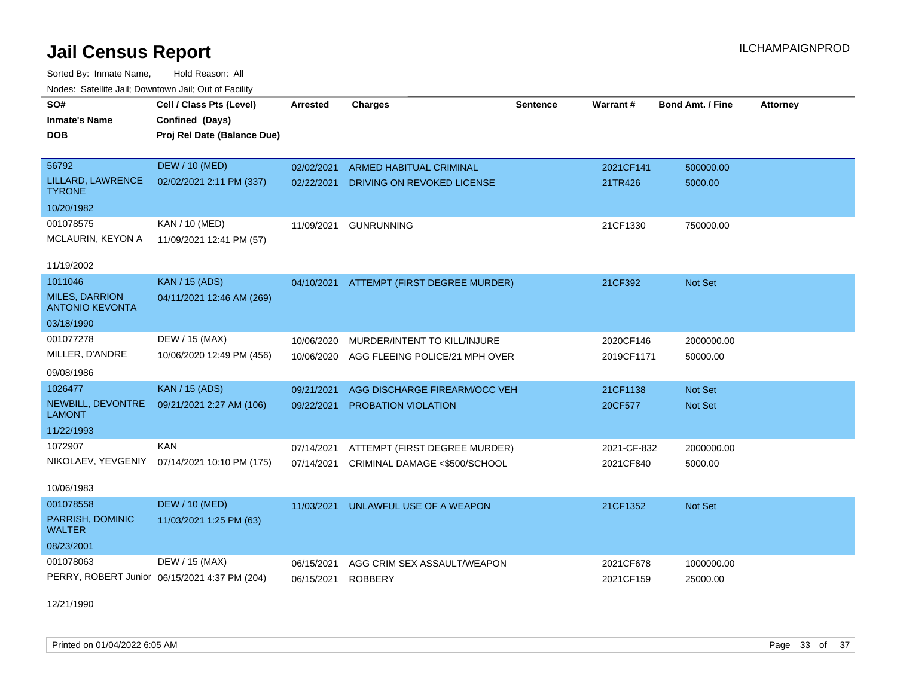Sorted By: Inmate Name, Hold Reason: All Nodes: Satellite Jail; Downtown Jail; Out of Facility

| SO#<br><b>Inmate's Name</b><br>DOB              | Cell / Class Pts (Level)<br>Confined (Days)<br>Proj Rel Date (Balance Due) | <b>Arrested</b> | <b>Charges</b>                 | <b>Sentence</b> | Warrant#    | <b>Bond Amt. / Fine</b> | <b>Attorney</b> |
|-------------------------------------------------|----------------------------------------------------------------------------|-----------------|--------------------------------|-----------------|-------------|-------------------------|-----------------|
| 56792                                           | <b>DEW / 10 (MED)</b>                                                      | 02/02/2021      | ARMED HABITUAL CRIMINAL        |                 | 2021CF141   | 500000.00               |                 |
| LILLARD, LAWRENCE<br><b>TYRONE</b>              | 02/02/2021 2:11 PM (337)                                                   | 02/22/2021      | DRIVING ON REVOKED LICENSE     |                 | 21TR426     | 5000.00                 |                 |
| 10/20/1982                                      |                                                                            |                 |                                |                 |             |                         |                 |
| 001078575                                       | KAN / 10 (MED)                                                             | 11/09/2021      | <b>GUNRUNNING</b>              |                 | 21CF1330    | 750000.00               |                 |
| MCLAURIN, KEYON A                               | 11/09/2021 12:41 PM (57)                                                   |                 |                                |                 |             |                         |                 |
| 11/19/2002                                      |                                                                            |                 |                                |                 |             |                         |                 |
| 1011046                                         | <b>KAN / 15 (ADS)</b>                                                      | 04/10/2021      | ATTEMPT (FIRST DEGREE MURDER)  |                 | 21CF392     | Not Set                 |                 |
| <b>MILES, DARRION</b><br><b>ANTONIO KEVONTA</b> | 04/11/2021 12:46 AM (269)                                                  |                 |                                |                 |             |                         |                 |
| 03/18/1990                                      |                                                                            |                 |                                |                 |             |                         |                 |
| 001077278                                       | DEW / 15 (MAX)                                                             | 10/06/2020      | MURDER/INTENT TO KILL/INJURE   |                 | 2020CF146   | 2000000.00              |                 |
| MILLER, D'ANDRE                                 | 10/06/2020 12:49 PM (456)                                                  | 10/06/2020      | AGG FLEEING POLICE/21 MPH OVER |                 | 2019CF1171  | 50000.00                |                 |
| 09/08/1986                                      |                                                                            |                 |                                |                 |             |                         |                 |
| 1026477                                         | <b>KAN / 15 (ADS)</b>                                                      | 09/21/2021      | AGG DISCHARGE FIREARM/OCC VEH  |                 | 21CF1138    | <b>Not Set</b>          |                 |
| NEWBILL, DEVONTRE<br><b>LAMONT</b>              | 09/21/2021 2:27 AM (106)                                                   | 09/22/2021      | PROBATION VIOLATION            |                 | 20CF577     | Not Set                 |                 |
| 11/22/1993                                      |                                                                            |                 |                                |                 |             |                         |                 |
| 1072907                                         | <b>KAN</b>                                                                 | 07/14/2021      | ATTEMPT (FIRST DEGREE MURDER)  |                 | 2021-CF-832 | 2000000.00              |                 |
| NIKOLAEV, YEVGENIY                              | 07/14/2021 10:10 PM (175)                                                  | 07/14/2021      | CRIMINAL DAMAGE <\$500/SCHOOL  |                 | 2021CF840   | 5000.00                 |                 |
| 10/06/1983                                      |                                                                            |                 |                                |                 |             |                         |                 |
| 001078558                                       | <b>DEW / 10 (MED)</b>                                                      | 11/03/2021      | UNLAWFUL USE OF A WEAPON       |                 | 21CF1352    | Not Set                 |                 |
| PARRISH, DOMINIC<br><b>WALTER</b>               | 11/03/2021 1:25 PM (63)                                                    |                 |                                |                 |             |                         |                 |
| 08/23/2001                                      |                                                                            |                 |                                |                 |             |                         |                 |
| 001078063                                       | DEW / 15 (MAX)                                                             | 06/15/2021      | AGG CRIM SEX ASSAULT/WEAPON    |                 | 2021CF678   | 1000000.00              |                 |
|                                                 | PERRY, ROBERT Junior 06/15/2021 4:37 PM (204)                              | 06/15/2021      | <b>ROBBERY</b>                 |                 | 2021CF159   | 25000.00                |                 |

12/21/1990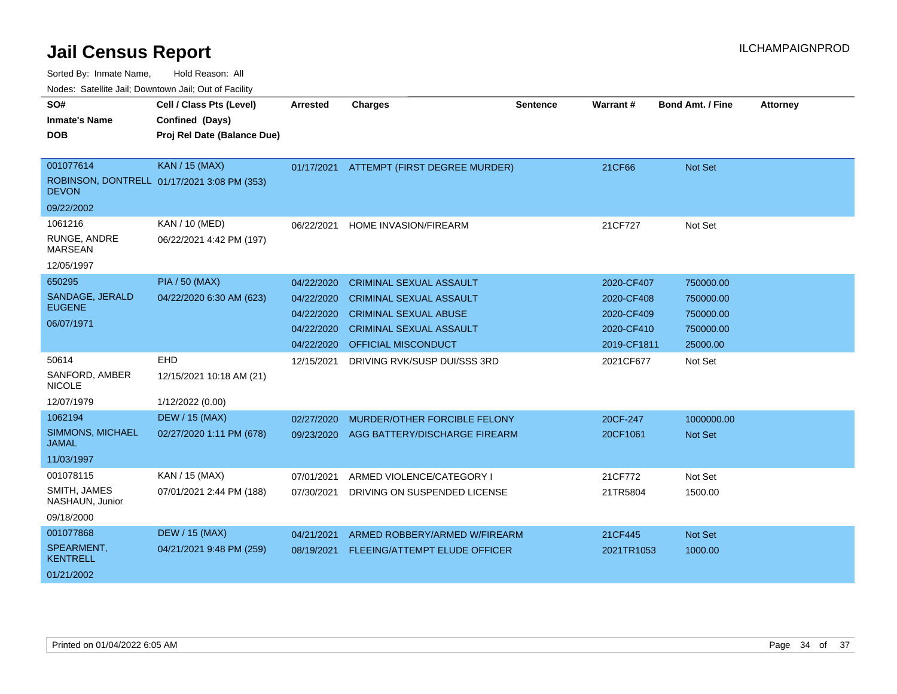| SO#                                     | Cell / Class Pts (Level)                    | <b>Arrested</b> | <b>Charges</b>                 | <b>Sentence</b> | Warrant#    | <b>Bond Amt. / Fine</b> | <b>Attorney</b> |
|-----------------------------------------|---------------------------------------------|-----------------|--------------------------------|-----------------|-------------|-------------------------|-----------------|
| <b>Inmate's Name</b>                    | Confined (Days)                             |                 |                                |                 |             |                         |                 |
| DOB.                                    | Proj Rel Date (Balance Due)                 |                 |                                |                 |             |                         |                 |
|                                         |                                             |                 |                                |                 |             |                         |                 |
| 001077614                               | <b>KAN / 15 (MAX)</b>                       | 01/17/2021      | ATTEMPT (FIRST DEGREE MURDER)  |                 | 21CF66      | Not Set                 |                 |
| <b>DEVON</b>                            | ROBINSON, DONTRELL 01/17/2021 3:08 PM (353) |                 |                                |                 |             |                         |                 |
| 09/22/2002                              |                                             |                 |                                |                 |             |                         |                 |
| 1061216                                 | KAN / 10 (MED)                              | 06/22/2021      | <b>HOME INVASION/FIREARM</b>   |                 | 21CF727     | Not Set                 |                 |
| RUNGE, ANDRE<br><b>MARSEAN</b>          | 06/22/2021 4:42 PM (197)                    |                 |                                |                 |             |                         |                 |
| 12/05/1997                              |                                             |                 |                                |                 |             |                         |                 |
| 650295                                  | <b>PIA / 50 (MAX)</b>                       | 04/22/2020      | <b>CRIMINAL SEXUAL ASSAULT</b> |                 | 2020-CF407  | 750000.00               |                 |
| SANDAGE, JERALD                         | 04/22/2020 6:30 AM (623)                    | 04/22/2020      | <b>CRIMINAL SEXUAL ASSAULT</b> |                 | 2020-CF408  | 750000.00               |                 |
| <b>EUGENE</b>                           |                                             | 04/22/2020      | <b>CRIMINAL SEXUAL ABUSE</b>   |                 | 2020-CF409  | 750000.00               |                 |
| 06/07/1971                              |                                             | 04/22/2020      | <b>CRIMINAL SEXUAL ASSAULT</b> |                 | 2020-CF410  | 750000.00               |                 |
|                                         |                                             | 04/22/2020      | <b>OFFICIAL MISCONDUCT</b>     |                 | 2019-CF1811 | 25000.00                |                 |
| 50614                                   | EHD                                         | 12/15/2021      | DRIVING RVK/SUSP DUI/SSS 3RD   |                 | 2021CF677   | Not Set                 |                 |
| SANFORD, AMBER<br><b>NICOLE</b>         | 12/15/2021 10:18 AM (21)                    |                 |                                |                 |             |                         |                 |
| 12/07/1979                              | 1/12/2022 (0.00)                            |                 |                                |                 |             |                         |                 |
| 1062194                                 | <b>DEW / 15 (MAX)</b>                       | 02/27/2020      | MURDER/OTHER FORCIBLE FELONY   |                 | 20CF-247    | 1000000.00              |                 |
| <b>SIMMONS, MICHAEL</b><br><b>JAMAL</b> | 02/27/2020 1:11 PM (678)                    | 09/23/2020      | AGG BATTERY/DISCHARGE FIREARM  |                 | 20CF1061    | Not Set                 |                 |
| 11/03/1997                              |                                             |                 |                                |                 |             |                         |                 |
| 001078115                               | KAN / 15 (MAX)                              | 07/01/2021      | ARMED VIOLENCE/CATEGORY I      |                 | 21CF772     | Not Set                 |                 |
| SMITH, JAMES<br>NASHAUN, Junior         | 07/01/2021 2:44 PM (188)                    | 07/30/2021      | DRIVING ON SUSPENDED LICENSE   |                 | 21TR5804    | 1500.00                 |                 |
| 09/18/2000                              |                                             |                 |                                |                 |             |                         |                 |
| 001077868                               | <b>DEW / 15 (MAX)</b>                       | 04/21/2021      | ARMED ROBBERY/ARMED W/FIREARM  |                 | 21CF445     | <b>Not Set</b>          |                 |
| SPEARMENT,<br><b>KENTRELL</b>           | 04/21/2021 9:48 PM (259)                    | 08/19/2021      | FLEEING/ATTEMPT ELUDE OFFICER  |                 | 2021TR1053  | 1000.00                 |                 |
| 01/21/2002                              |                                             |                 |                                |                 |             |                         |                 |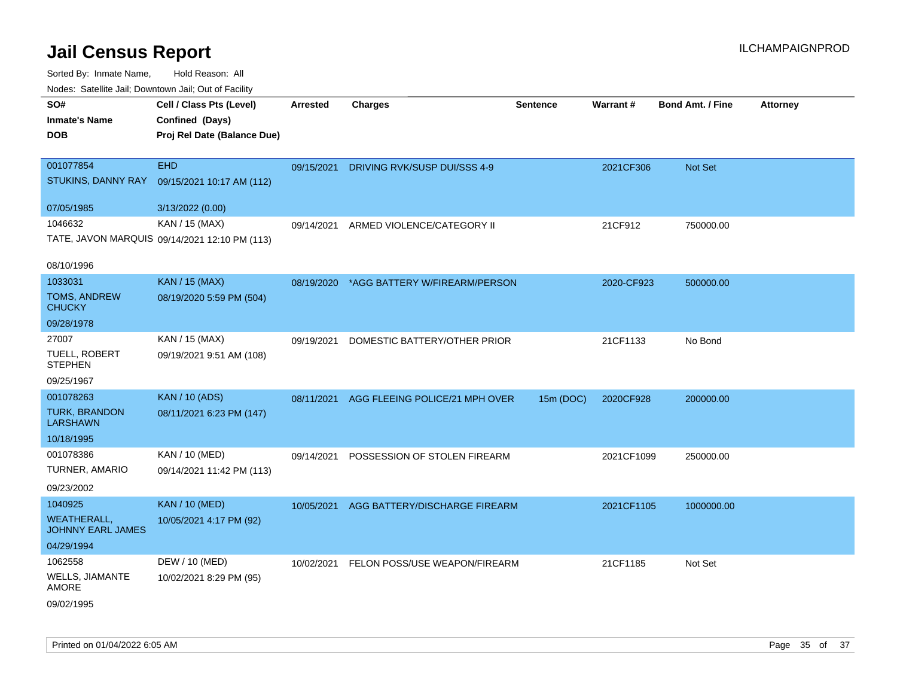| rouce. Calcinic Jan, Downtown Jan, Out or Facility |                                                                            |            |                                          |                 |                 |                         |                 |
|----------------------------------------------------|----------------------------------------------------------------------------|------------|------------------------------------------|-----------------|-----------------|-------------------------|-----------------|
| SO#<br><b>Inmate's Name</b><br><b>DOB</b>          | Cell / Class Pts (Level)<br>Confined (Days)<br>Proj Rel Date (Balance Due) | Arrested   | <b>Charges</b>                           | <b>Sentence</b> | <b>Warrant#</b> | <b>Bond Amt. / Fine</b> | <b>Attorney</b> |
|                                                    |                                                                            |            |                                          |                 |                 |                         |                 |
| 001077854                                          | <b>EHD</b>                                                                 | 09/15/2021 | DRIVING RVK/SUSP DUI/SSS 4-9             |                 | 2021CF306       | Not Set                 |                 |
| STUKINS, DANNY RAY                                 | 09/15/2021 10:17 AM (112)                                                  |            |                                          |                 |                 |                         |                 |
| 07/05/1985                                         | 3/13/2022 (0.00)                                                           |            |                                          |                 |                 |                         |                 |
| 1046632                                            | KAN / 15 (MAX)                                                             | 09/14/2021 | ARMED VIOLENCE/CATEGORY II               |                 | 21CF912         | 750000.00               |                 |
|                                                    | TATE, JAVON MARQUIS 09/14/2021 12:10 PM (113)                              |            |                                          |                 |                 |                         |                 |
| 08/10/1996                                         |                                                                            |            |                                          |                 |                 |                         |                 |
| 1033031                                            | <b>KAN / 15 (MAX)</b>                                                      |            | 08/19/2020 *AGG BATTERY W/FIREARM/PERSON |                 | 2020-CF923      | 500000.00               |                 |
| <b>TOMS, ANDREW</b><br><b>CHUCKY</b>               | 08/19/2020 5:59 PM (504)                                                   |            |                                          |                 |                 |                         |                 |
| 09/28/1978                                         |                                                                            |            |                                          |                 |                 |                         |                 |
| 27007                                              | KAN / 15 (MAX)                                                             | 09/19/2021 | DOMESTIC BATTERY/OTHER PRIOR             |                 | 21CF1133        | No Bond                 |                 |
| TUELL, ROBERT<br><b>STEPHEN</b>                    | 09/19/2021 9:51 AM (108)                                                   |            |                                          |                 |                 |                         |                 |
| 09/25/1967                                         |                                                                            |            |                                          |                 |                 |                         |                 |
| 001078263                                          | <b>KAN / 10 (ADS)</b>                                                      | 08/11/2021 | AGG FLEEING POLICE/21 MPH OVER           | 15m (DOC)       | 2020CF928       | 200000.00               |                 |
| TURK, BRANDON<br><b>LARSHAWN</b>                   | 08/11/2021 6:23 PM (147)                                                   |            |                                          |                 |                 |                         |                 |
| 10/18/1995                                         |                                                                            |            |                                          |                 |                 |                         |                 |
| 001078386                                          | KAN / 10 (MED)                                                             | 09/14/2021 | POSSESSION OF STOLEN FIREARM             |                 | 2021CF1099      | 250000.00               |                 |
| <b>TURNER, AMARIO</b>                              | 09/14/2021 11:42 PM (113)                                                  |            |                                          |                 |                 |                         |                 |
| 09/23/2002                                         |                                                                            |            |                                          |                 |                 |                         |                 |
| 1040925                                            | <b>KAN / 10 (MED)</b>                                                      | 10/05/2021 | AGG BATTERY/DISCHARGE FIREARM            |                 | 2021CF1105      | 1000000.00              |                 |
| <b>WEATHERALL,</b><br><b>JOHNNY EARL JAMES</b>     | 10/05/2021 4:17 PM (92)                                                    |            |                                          |                 |                 |                         |                 |
| 04/29/1994                                         |                                                                            |            |                                          |                 |                 |                         |                 |
| 1062558                                            | DEW / 10 (MED)                                                             |            | 10/02/2021 FELON POSS/USE WEAPON/FIREARM |                 | 21CF1185        | Not Set                 |                 |
| WELLS, JIAMANTE<br>AMORE                           | 10/02/2021 8:29 PM (95)                                                    |            |                                          |                 |                 |                         |                 |
| 09/02/1995                                         |                                                                            |            |                                          |                 |                 |                         |                 |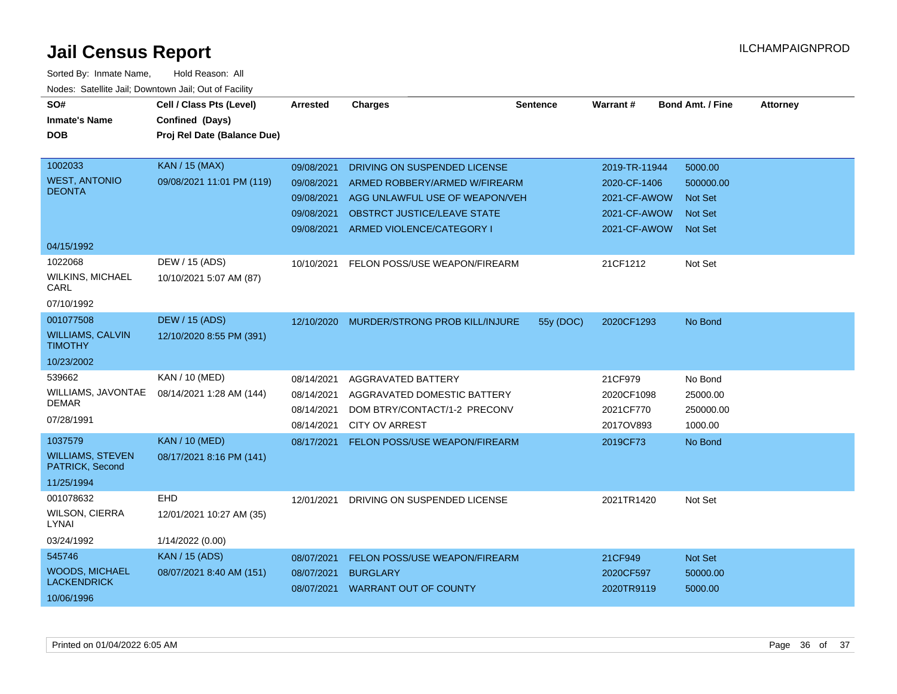| SO#<br><b>Inmate's Name</b><br>DOB          | Cell / Class Pts (Level)<br>Confined (Days)<br>Proj Rel Date (Balance Due) | <b>Arrested</b> | <b>Charges</b>                     | <b>Sentence</b> | Warrant#      | <b>Bond Amt. / Fine</b> | <b>Attorney</b> |
|---------------------------------------------|----------------------------------------------------------------------------|-----------------|------------------------------------|-----------------|---------------|-------------------------|-----------------|
|                                             |                                                                            |                 |                                    |                 |               |                         |                 |
| 1002033                                     | <b>KAN / 15 (MAX)</b>                                                      | 09/08/2021      | DRIVING ON SUSPENDED LICENSE       |                 | 2019-TR-11944 | 5000.00                 |                 |
| <b>WEST, ANTONIO</b>                        | 09/08/2021 11:01 PM (119)                                                  | 09/08/2021      | ARMED ROBBERY/ARMED W/FIREARM      |                 | 2020-CF-1406  | 500000.00               |                 |
| <b>DEONTA</b>                               |                                                                            | 09/08/2021      | AGG UNLAWFUL USE OF WEAPON/VEH     |                 | 2021-CF-AWOW  | <b>Not Set</b>          |                 |
|                                             |                                                                            | 09/08/2021      | <b>OBSTRCT JUSTICE/LEAVE STATE</b> |                 | 2021-CF-AWOW  | <b>Not Set</b>          |                 |
|                                             |                                                                            | 09/08/2021      | ARMED VIOLENCE/CATEGORY I          |                 | 2021-CF-AWOW  | <b>Not Set</b>          |                 |
| 04/15/1992                                  |                                                                            |                 |                                    |                 |               |                         |                 |
| 1022068                                     | DEW / 15 (ADS)                                                             | 10/10/2021      | FELON POSS/USE WEAPON/FIREARM      |                 | 21CF1212      | Not Set                 |                 |
| <b>WILKINS, MICHAEL</b><br>CARL             | 10/10/2021 5:07 AM (87)                                                    |                 |                                    |                 |               |                         |                 |
| 07/10/1992                                  |                                                                            |                 |                                    |                 |               |                         |                 |
| 001077508                                   | <b>DEW / 15 (ADS)</b>                                                      | 12/10/2020      | MURDER/STRONG PROB KILL/INJURE     | 55y (DOC)       | 2020CF1293    | No Bond                 |                 |
| <b>WILLIAMS, CALVIN</b><br><b>TIMOTHY</b>   | 12/10/2020 8:55 PM (391)                                                   |                 |                                    |                 |               |                         |                 |
| 10/23/2002                                  |                                                                            |                 |                                    |                 |               |                         |                 |
| 539662                                      | KAN / 10 (MED)                                                             | 08/14/2021      | AGGRAVATED BATTERY                 |                 | 21CF979       | No Bond                 |                 |
| WILLIAMS, JAVONTAE                          | 08/14/2021 1:28 AM (144)                                                   | 08/14/2021      | AGGRAVATED DOMESTIC BATTERY        |                 | 2020CF1098    | 25000.00                |                 |
| <b>DEMAR</b>                                |                                                                            | 08/14/2021      | DOM BTRY/CONTACT/1-2 PRECONV       |                 | 2021CF770     | 250000.00               |                 |
| 07/28/1991                                  |                                                                            | 08/14/2021      | <b>CITY OV ARREST</b>              |                 | 2017OV893     | 1000.00                 |                 |
| 1037579                                     | <b>KAN / 10 (MED)</b>                                                      | 08/17/2021      | FELON POSS/USE WEAPON/FIREARM      |                 | 2019CF73      | No Bond                 |                 |
| <b>WILLIAMS, STEVEN</b><br>PATRICK, Second  | 08/17/2021 8:16 PM (141)                                                   |                 |                                    |                 |               |                         |                 |
| 11/25/1994                                  |                                                                            |                 |                                    |                 |               |                         |                 |
| 001078632                                   | EHD                                                                        | 12/01/2021      | DRIVING ON SUSPENDED LICENSE       |                 | 2021TR1420    | Not Set                 |                 |
| WILSON, CIERRA<br>LYNAI                     | 12/01/2021 10:27 AM (35)                                                   |                 |                                    |                 |               |                         |                 |
| 03/24/1992                                  | 1/14/2022 (0.00)                                                           |                 |                                    |                 |               |                         |                 |
| 545746                                      | <b>KAN / 15 (ADS)</b>                                                      | 08/07/2021      | FELON POSS/USE WEAPON/FIREARM      |                 | 21CF949       | Not Set                 |                 |
| <b>WOODS, MICHAEL</b><br><b>LACKENDRICK</b> | 08/07/2021 8:40 AM (151)                                                   | 08/07/2021      | <b>BURGLARY</b>                    |                 | 2020CF597     | 50000.00                |                 |
| 10/06/1996                                  |                                                                            | 08/07/2021      | <b>WARRANT OUT OF COUNTY</b>       |                 | 2020TR9119    | 5000.00                 |                 |